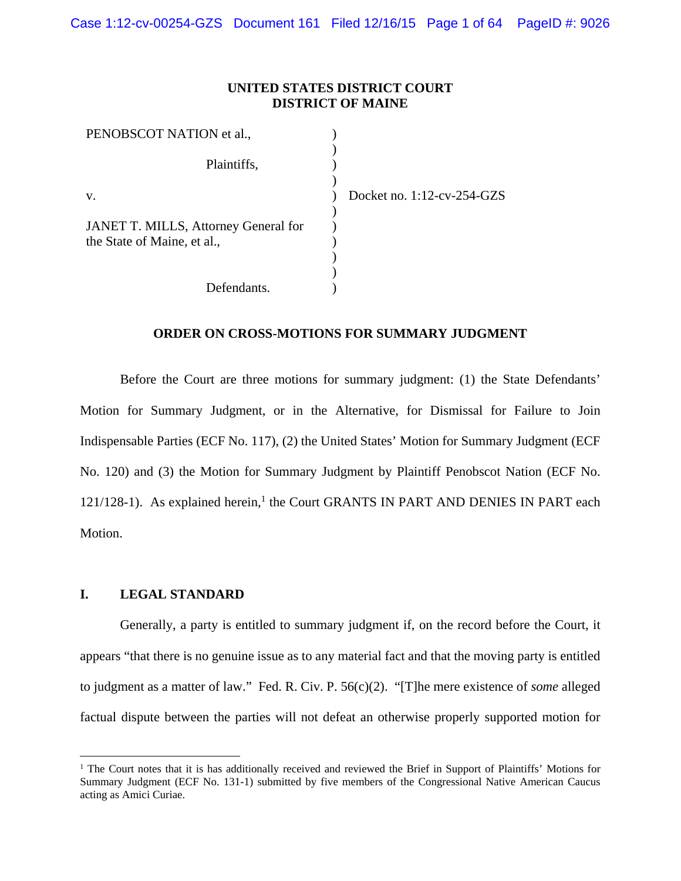## **UNITED STATES DISTRICT COURT DISTRICT OF MAINE**

| PENOBSCOT NATION et al.,             |  |
|--------------------------------------|--|
|                                      |  |
| Plaintiffs,                          |  |
| $V_{\cdot}$                          |  |
|                                      |  |
| JANET T. MILLS, Attorney General for |  |
| the State of Maine, et al.,          |  |
|                                      |  |
|                                      |  |
| Defendants.                          |  |

Docket no. 1:12-cv-254-GZS

# **ORDER ON CROSS-MOTIONS FOR SUMMARY JUDGMENT**

Before the Court are three motions for summary judgment: (1) the State Defendants' Motion for Summary Judgment, or in the Alternative, for Dismissal for Failure to Join Indispensable Parties (ECF No. 117), (2) the United States' Motion for Summary Judgment (ECF No. 120) and (3) the Motion for Summary Judgment by Plaintiff Penobscot Nation (ECF No. 121/128-1). As explained herein,<sup>1</sup> the Court GRANTS IN PART AND DENIES IN PART each Motion.

# **I. LEGAL STANDARD**

 $\overline{a}$ 

 Generally, a party is entitled to summary judgment if, on the record before the Court, it appears "that there is no genuine issue as to any material fact and that the moving party is entitled to judgment as a matter of law." Fed. R. Civ. P. 56(c)(2). "[T]he mere existence of *some* alleged factual dispute between the parties will not defeat an otherwise properly supported motion for

<sup>&</sup>lt;sup>1</sup> The Court notes that it is has additionally received and reviewed the Brief in Support of Plaintiffs' Motions for Summary Judgment (ECF No. 131-1) submitted by five members of the Congressional Native American Caucus acting as Amici Curiae.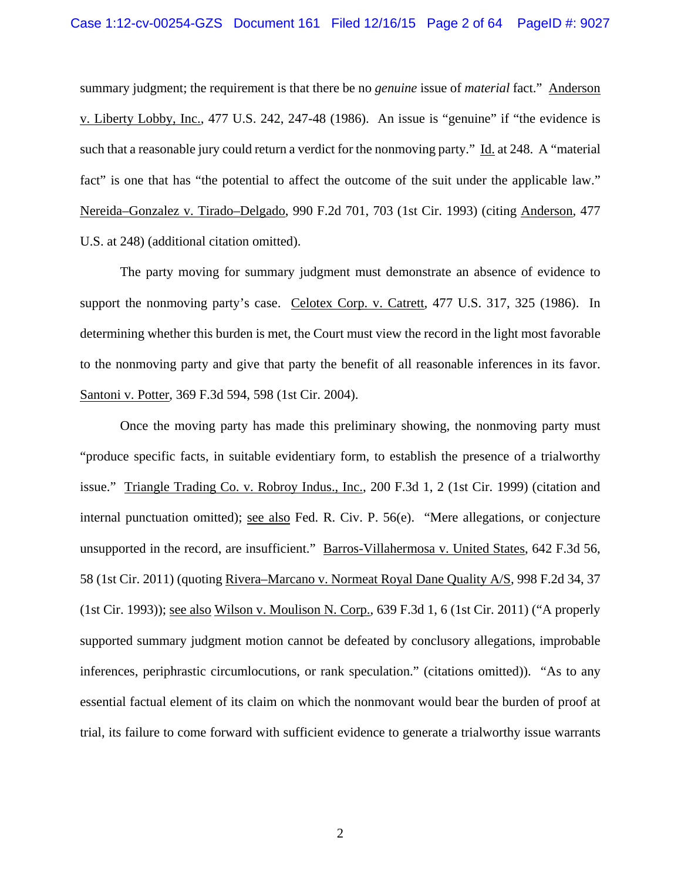summary judgment; the requirement is that there be no *genuine* issue of *material* fact." Anderson v. Liberty Lobby, Inc., 477 U.S. 242, 247-48 (1986). An issue is "genuine" if "the evidence is such that a reasonable jury could return a verdict for the nonmoving party." Id. at 248. A "material fact" is one that has "the potential to affect the outcome of the suit under the applicable law." Nereida–Gonzalez v. Tirado–Delgado, 990 F.2d 701, 703 (1st Cir. 1993) (citing Anderson*,* 477 U.S. at 248) (additional citation omitted).

 The party moving for summary judgment must demonstrate an absence of evidence to support the nonmoving party's case. Celotex Corp. v. Catrett*,* 477 U.S. 317, 325 (1986). In determining whether this burden is met, the Court must view the record in the light most favorable to the nonmoving party and give that party the benefit of all reasonable inferences in its favor. Santoni v. Potter, 369 F.3d 594, 598 (1st Cir. 2004).

Once the moving party has made this preliminary showing, the nonmoving party must "produce specific facts, in suitable evidentiary form, to establish the presence of a trialworthy issue." Triangle Trading Co. v. Robroy Indus., Inc., 200 F.3d 1, 2 (1st Cir. 1999) (citation and internal punctuation omitted); see also Fed. R. Civ. P. 56(e). "Mere allegations, or conjecture unsupported in the record, are insufficient." Barros-Villahermosa v. United States, 642 F.3d 56, 58 (1st Cir. 2011) (quoting Rivera–Marcano v. Normeat Royal Dane Quality A/S, 998 F.2d 34, 37 (1st Cir. 1993)); see also Wilson v. Moulison N. Corp., 639 F.3d 1, 6 (1st Cir. 2011) ("A properly supported summary judgment motion cannot be defeated by conclusory allegations, improbable inferences, periphrastic circumlocutions, or rank speculation." (citations omitted)). "As to any essential factual element of its claim on which the nonmovant would bear the burden of proof at trial, its failure to come forward with sufficient evidence to generate a trialworthy issue warrants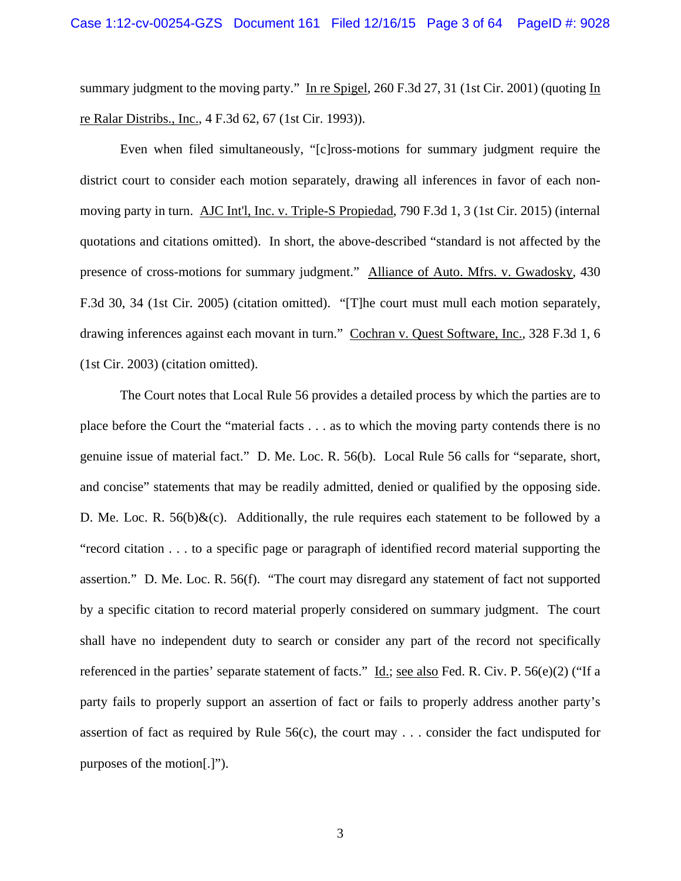summary judgment to the moving party." In re Spigel, 260 F.3d 27, 31 (1st Cir. 2001) (quoting In re Ralar Distribs., Inc., 4 F.3d 62, 67 (1st Cir. 1993)).

 Even when filed simultaneously, "[c]ross-motions for summary judgment require the district court to consider each motion separately, drawing all inferences in favor of each nonmoving party in turn. AJC Int'l, Inc. v. Triple-S Propiedad, 790 F.3d 1, 3 (1st Cir. 2015) (internal quotations and citations omitted). In short, the above-described "standard is not affected by the presence of cross-motions for summary judgment." Alliance of Auto. Mfrs. v. Gwadosky, 430 F.3d 30, 34 (1st Cir. 2005) (citation omitted). "[T]he court must mull each motion separately, drawing inferences against each movant in turn." Cochran v. Quest Software, Inc., 328 F.3d 1, 6 (1st Cir. 2003) (citation omitted).

 The Court notes that Local Rule 56 provides a detailed process by which the parties are to place before the Court the "material facts . . . as to which the moving party contends there is no genuine issue of material fact." D. Me. Loc. R. 56(b). Local Rule 56 calls for "separate, short, and concise" statements that may be readily admitted, denied or qualified by the opposing side. D. Me. Loc. R.  $56(b)\&c)$ . Additionally, the rule requires each statement to be followed by a "record citation . . . to a specific page or paragraph of identified record material supporting the assertion." D. Me. Loc. R. 56(f). "The court may disregard any statement of fact not supported by a specific citation to record material properly considered on summary judgment. The court shall have no independent duty to search or consider any part of the record not specifically referenced in the parties' separate statement of facts." Id.; see also Fed. R. Civ. P. 56(e)(2) ("If a party fails to properly support an assertion of fact or fails to properly address another party's assertion of fact as required by Rule 56(c), the court may . . . consider the fact undisputed for purposes of the motion[.]").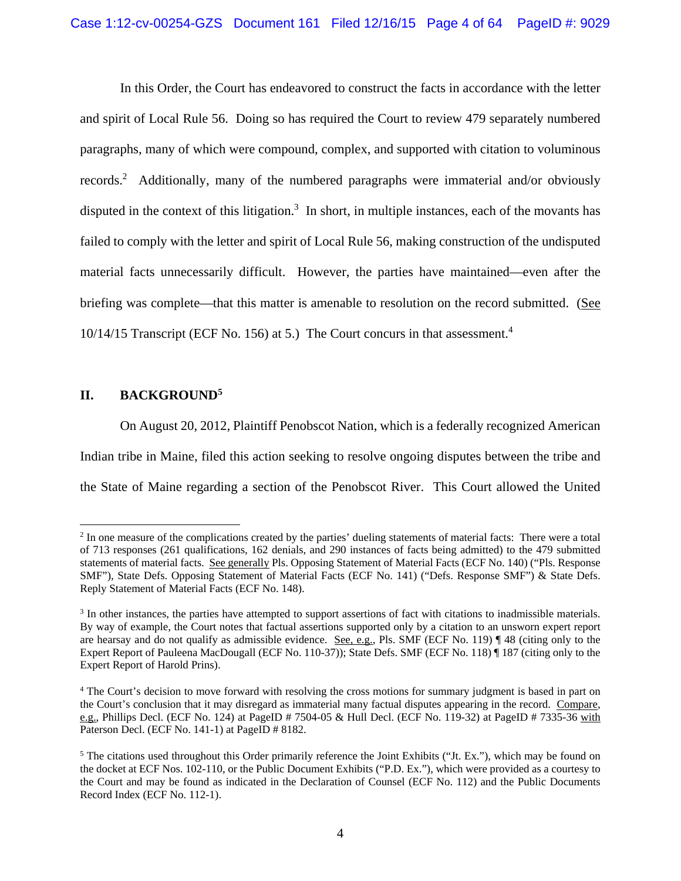In this Order, the Court has endeavored to construct the facts in accordance with the letter and spirit of Local Rule 56. Doing so has required the Court to review 479 separately numbered paragraphs, many of which were compound, complex, and supported with citation to voluminous records.<sup>2</sup> Additionally, many of the numbered paragraphs were immaterial and/or obviously disputed in the context of this litigation.<sup>3</sup> In short, in multiple instances, each of the movants has failed to comply with the letter and spirit of Local Rule 56, making construction of the undisputed material facts unnecessarily difficult. However, the parties have maintained—even after the briefing was complete—that this matter is amenable to resolution on the record submitted. (See 10/14/15 Transcript (ECF No. 156) at 5.) The Court concurs in that assessment.4

# **II. BACKGROUND5**

 $\overline{a}$ 

On August 20, 2012, Plaintiff Penobscot Nation, which is a federally recognized American Indian tribe in Maine, filed this action seeking to resolve ongoing disputes between the tribe and the State of Maine regarding a section of the Penobscot River. This Court allowed the United

 $2 \text{ In one measure of the complications created by the parties' dueling statements of material facts: There were a total$ of 713 responses (261 qualifications, 162 denials, and 290 instances of facts being admitted) to the 479 submitted statements of material facts. See generally Pls. Opposing Statement of Material Facts (ECF No. 140) ("Pls. Response SMF"), State Defs. Opposing Statement of Material Facts (ECF No. 141) ("Defs. Response SMF") & State Defs. Reply Statement of Material Facts (ECF No. 148).

<sup>&</sup>lt;sup>3</sup> In other instances, the parties have attempted to support assertions of fact with citations to inadmissible materials. By way of example, the Court notes that factual assertions supported only by a citation to an unsworn expert report are hearsay and do not qualify as admissible evidence. See, e.g., Pls. SMF (ECF No. 119) ¶ 48 (citing only to the Expert Report of Pauleena MacDougall (ECF No. 110-37)); State Defs. SMF (ECF No. 118) ¶ 187 (citing only to the Expert Report of Harold Prins).

<sup>&</sup>lt;sup>4</sup> The Court's decision to move forward with resolving the cross motions for summary judgment is based in part on the Court's conclusion that it may disregard as immaterial many factual disputes appearing in the record. Compare, e.g., Phillips Decl. (ECF No. 124) at PageID # 7504-05 & Hull Decl. (ECF No. 119-32) at PageID # 7335-36 with Paterson Decl. (ECF No. 141-1) at PageID # 8182.

<sup>&</sup>lt;sup>5</sup> The citations used throughout this Order primarily reference the Joint Exhibits ("Jt. Ex."), which may be found on the docket at ECF Nos. 102-110, or the Public Document Exhibits ("P.D. Ex."), which were provided as a courtesy to the Court and may be found as indicated in the Declaration of Counsel (ECF No. 112) and the Public Documents Record Index (ECF No. 112-1).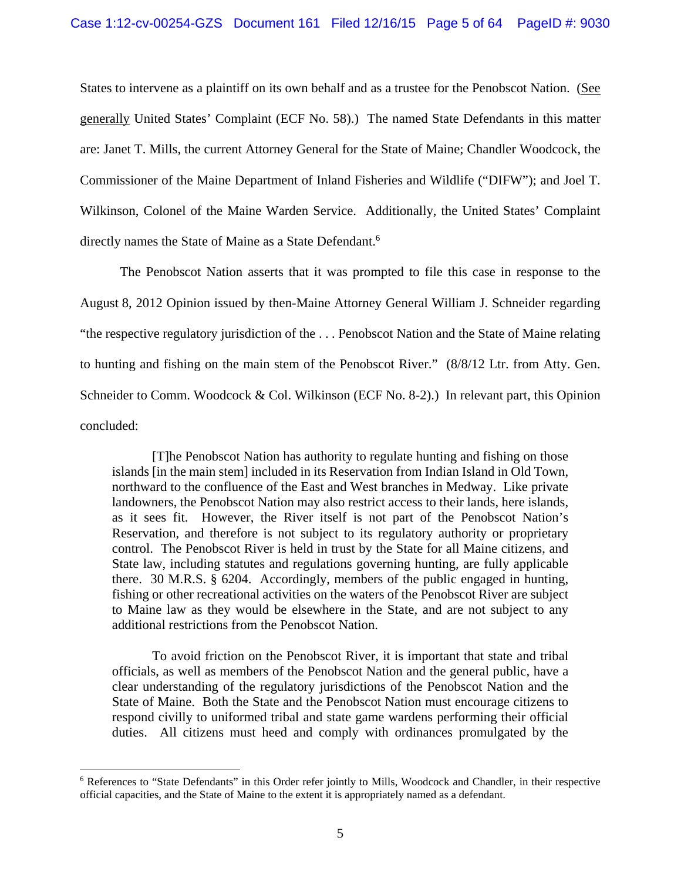States to intervene as a plaintiff on its own behalf and as a trustee for the Penobscot Nation. (See generally United States' Complaint (ECF No. 58).) The named State Defendants in this matter are: Janet T. Mills, the current Attorney General for the State of Maine; Chandler Woodcock, the Commissioner of the Maine Department of Inland Fisheries and Wildlife ("DIFW"); and Joel T. Wilkinson, Colonel of the Maine Warden Service. Additionally, the United States' Complaint directly names the State of Maine as a State Defendant.<sup>6</sup>

The Penobscot Nation asserts that it was prompted to file this case in response to the August 8, 2012 Opinion issued by then-Maine Attorney General William J. Schneider regarding "the respective regulatory jurisdiction of the . . . Penobscot Nation and the State of Maine relating to hunting and fishing on the main stem of the Penobscot River." (8/8/12 Ltr. from Atty. Gen. Schneider to Comm. Woodcock & Col. Wilkinson (ECF No. 8-2).) In relevant part, this Opinion concluded:

[T]he Penobscot Nation has authority to regulate hunting and fishing on those islands [in the main stem] included in its Reservation from Indian Island in Old Town, northward to the confluence of the East and West branches in Medway. Like private landowners, the Penobscot Nation may also restrict access to their lands, here islands, as it sees fit. However, the River itself is not part of the Penobscot Nation's Reservation, and therefore is not subject to its regulatory authority or proprietary control. The Penobscot River is held in trust by the State for all Maine citizens, and State law, including statutes and regulations governing hunting, are fully applicable there. 30 M.R.S. § 6204. Accordingly, members of the public engaged in hunting, fishing or other recreational activities on the waters of the Penobscot River are subject to Maine law as they would be elsewhere in the State, and are not subject to any additional restrictions from the Penobscot Nation.

To avoid friction on the Penobscot River, it is important that state and tribal officials, as well as members of the Penobscot Nation and the general public, have a clear understanding of the regulatory jurisdictions of the Penobscot Nation and the State of Maine. Both the State and the Penobscot Nation must encourage citizens to respond civilly to uniformed tribal and state game wardens performing their official duties. All citizens must heed and comply with ordinances promulgated by the

1

<sup>&</sup>lt;sup>6</sup> References to "State Defendants" in this Order refer jointly to Mills, Woodcock and Chandler, in their respective official capacities, and the State of Maine to the extent it is appropriately named as a defendant.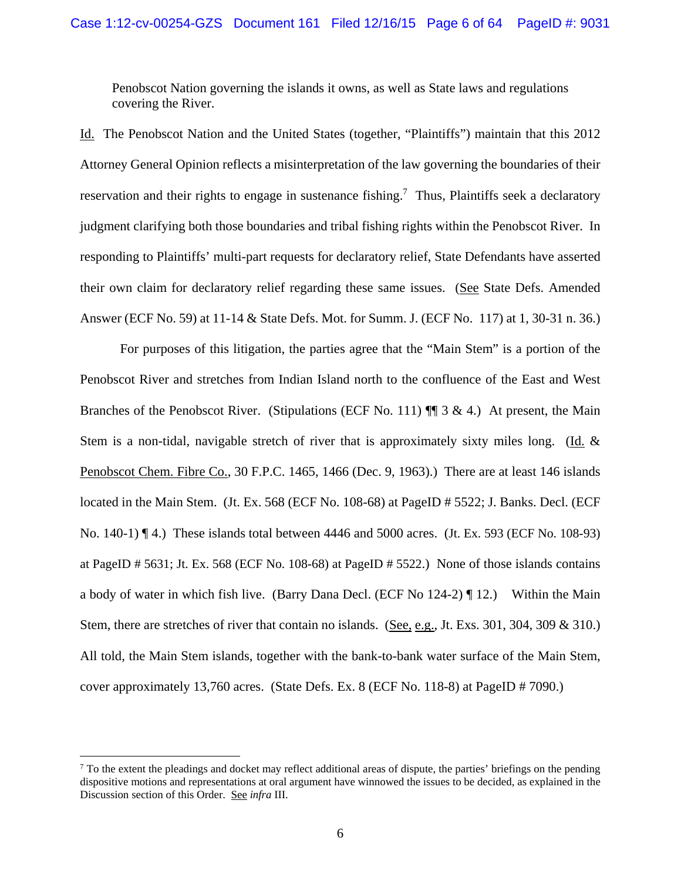Penobscot Nation governing the islands it owns, as well as State laws and regulations covering the River.

Id. The Penobscot Nation and the United States (together, "Plaintiffs") maintain that this 2012 Attorney General Opinion reflects a misinterpretation of the law governing the boundaries of their reservation and their rights to engage in sustenance fishing.<sup>7</sup> Thus, Plaintiffs seek a declaratory judgment clarifying both those boundaries and tribal fishing rights within the Penobscot River. In responding to Plaintiffs' multi-part requests for declaratory relief, State Defendants have asserted their own claim for declaratory relief regarding these same issues. (See State Defs. Amended Answer (ECF No. 59) at 11-14 & State Defs. Mot. for Summ. J. (ECF No. 117) at 1, 30-31 n. 36.)

For purposes of this litigation, the parties agree that the "Main Stem" is a portion of the Penobscot River and stretches from Indian Island north to the confluence of the East and West Branches of the Penobscot River. (Stipulations (ECF No. 111)  $\P$  3 & 4.) At present, the Main Stem is a non-tidal, navigable stretch of river that is approximately sixty miles long. (Id. & Penobscot Chem. Fibre Co., 30 F.P.C. 1465, 1466 (Dec. 9, 1963).) There are at least 146 islands located in the Main Stem. (Jt. Ex. 568 (ECF No. 108-68) at PageID # 5522; J. Banks. Decl. (ECF No. 140-1) ¶ 4.) These islands total between 4446 and 5000 acres. (Jt. Ex. 593 (ECF No. 108-93) at PageID # 5631; Jt. Ex. 568 (ECF No. 108-68) at PageID # 5522.) None of those islands contains a body of water in which fish live. (Barry Dana Decl. (ECF No 124-2) ¶ 12.) Within the Main Stem, there are stretches of river that contain no islands. (See, e.g., Jt. Exs. 301, 304, 309 & 310.) All told, the Main Stem islands, together with the bank-to-bank water surface of the Main Stem, cover approximately 13,760 acres. (State Defs. Ex. 8 (ECF No. 118-8) at PageID # 7090.)

 $<sup>7</sup>$  To the extent the pleadings and docket may reflect additional areas of dispute, the parties' briefings on the pending</sup> dispositive motions and representations at oral argument have winnowed the issues to be decided, as explained in the Discussion section of this Order. See *infra* III.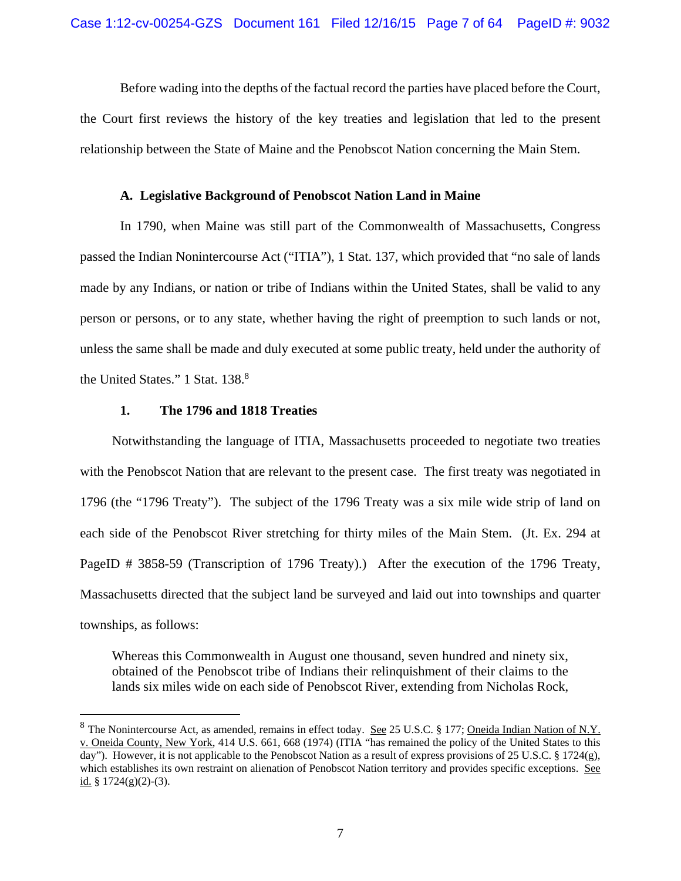Before wading into the depths of the factual record the parties have placed before the Court, the Court first reviews the history of the key treaties and legislation that led to the present relationship between the State of Maine and the Penobscot Nation concerning the Main Stem.

# **A. Legislative Background of Penobscot Nation Land in Maine**

In 1790, when Maine was still part of the Commonwealth of Massachusetts, Congress passed the Indian Nonintercourse Act ("ITIA"), 1 Stat. 137, which provided that "no sale of lands made by any Indians, or nation or tribe of Indians within the United States, shall be valid to any person or persons, or to any state, whether having the right of preemption to such lands or not, unless the same shall be made and duly executed at some public treaty, held under the authority of the United States." 1 Stat. 138.8

# **1. The 1796 and 1818 Treaties**

1

Notwithstanding the language of ITIA, Massachusetts proceeded to negotiate two treaties with the Penobscot Nation that are relevant to the present case. The first treaty was negotiated in 1796 (the "1796 Treaty"). The subject of the 1796 Treaty was a six mile wide strip of land on each side of the Penobscot River stretching for thirty miles of the Main Stem. (Jt. Ex. 294 at PageID # 3858-59 (Transcription of 1796 Treaty).) After the execution of the 1796 Treaty, Massachusetts directed that the subject land be surveyed and laid out into townships and quarter townships, as follows:

Whereas this Commonwealth in August one thousand, seven hundred and ninety six, obtained of the Penobscot tribe of Indians their relinquishment of their claims to the lands six miles wide on each side of Penobscot River, extending from Nicholas Rock,

<sup>&</sup>lt;sup>8</sup> The Nonintercourse Act, as amended, remains in effect today. <u>See</u> 25 U.S.C. § 177; Oneida Indian Nation of N.Y. v. Oneida County, New York, 414 U.S. 661, 668 (1974) (ITIA "has remained the policy of the United States to this day"). However, it is not applicable to the Penobscot Nation as a result of express provisions of 25 U.S.C. § 1724(g), which establishes its own restraint on alienation of Penobscot Nation territory and provides specific exceptions. See id.  $\frac{8}{9}$  1724(g)(2)-(3).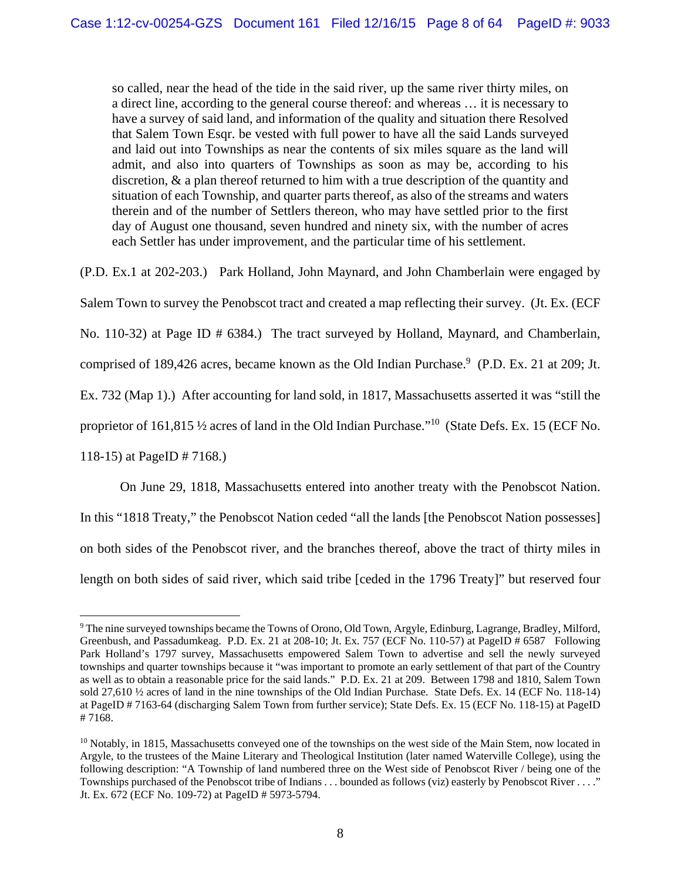so called, near the head of the tide in the said river, up the same river thirty miles, on a direct line, according to the general course thereof: and whereas … it is necessary to have a survey of said land, and information of the quality and situation there Resolved that Salem Town Esqr. be vested with full power to have all the said Lands surveyed and laid out into Townships as near the contents of six miles square as the land will admit, and also into quarters of Townships as soon as may be, according to his discretion, & a plan thereof returned to him with a true description of the quantity and situation of each Township, and quarter parts thereof, as also of the streams and waters therein and of the number of Settlers thereon, who may have settled prior to the first day of August one thousand, seven hundred and ninety six, with the number of acres each Settler has under improvement, and the particular time of his settlement.

(P.D. Ex.1 at 202-203.) Park Holland, John Maynard, and John Chamberlain were engaged by Salem Town to survey the Penobscot tract and created a map reflecting their survey. (Jt. Ex. (ECF No. 110-32) at Page ID # 6384.) The tract surveyed by Holland, Maynard, and Chamberlain, comprised of 189,426 acres, became known as the Old Indian Purchase.<sup>9</sup> (P.D. Ex. 21 at 209; Jt. Ex. 732 (Map 1).) After accounting for land sold, in 1817, Massachusetts asserted it was "still the proprietor of 161,815 ½ acres of land in the Old Indian Purchase."10 (State Defs. Ex. 15 (ECF No. 118-15) at PageID # 7168.)

 On June 29, 1818, Massachusetts entered into another treaty with the Penobscot Nation. In this "1818 Treaty," the Penobscot Nation ceded "all the lands [the Penobscot Nation possesses] on both sides of the Penobscot river, and the branches thereof, above the tract of thirty miles in length on both sides of said river, which said tribe [ceded in the 1796 Treaty]" but reserved four

<sup>9</sup> The nine surveyed townships became the Towns of Orono, Old Town, Argyle, Edinburg, Lagrange, Bradley, Milford, Greenbush, and Passadumkeag. P.D. Ex. 21 at 208-10; Jt. Ex. 757 (ECF No. 110-57) at PageID # 6587 Following Park Holland's 1797 survey, Massachusetts empowered Salem Town to advertise and sell the newly surveyed townships and quarter townships because it "was important to promote an early settlement of that part of the Country as well as to obtain a reasonable price for the said lands." P.D. Ex. 21 at 209. Between 1798 and 1810, Salem Town sold 27,610 ½ acres of land in the nine townships of the Old Indian Purchase. State Defs. Ex. 14 (ECF No. 118-14) at PageID # 7163-64 (discharging Salem Town from further service); State Defs. Ex. 15 (ECF No. 118-15) at PageID # 7168.

<sup>&</sup>lt;sup>10</sup> Notably, in 1815, Massachusetts conveyed one of the townships on the west side of the Main Stem, now located in Argyle, to the trustees of the Maine Literary and Theological Institution (later named Waterville College), using the following description: "A Township of land numbered three on the West side of Penobscot River / being one of the Townships purchased of the Penobscot tribe of Indians . . . bounded as follows (viz) easterly by Penobscot River . . . ." Jt. Ex. 672 (ECF No. 109-72) at PageID # 5973-5794.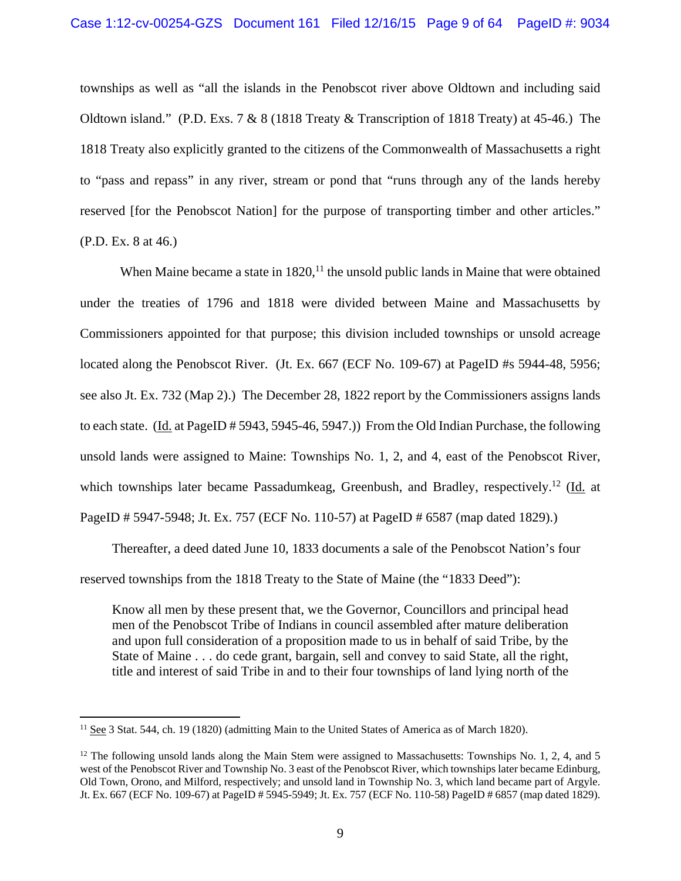townships as well as "all the islands in the Penobscot river above Oldtown and including said Oldtown island." (P.D. Exs. 7 & 8 (1818 Treaty & Transcription of 1818 Treaty) at 45-46.) The 1818 Treaty also explicitly granted to the citizens of the Commonwealth of Massachusetts a right to "pass and repass" in any river, stream or pond that "runs through any of the lands hereby reserved [for the Penobscot Nation] for the purpose of transporting timber and other articles." (P.D. Ex. 8 at 46.)

When Maine became a state in  $1820$ ,<sup>11</sup> the unsold public lands in Maine that were obtained under the treaties of 1796 and 1818 were divided between Maine and Massachusetts by Commissioners appointed for that purpose; this division included townships or unsold acreage located along the Penobscot River. (Jt. Ex. 667 (ECF No. 109-67) at PageID #s 5944-48, 5956; see also Jt. Ex. 732 (Map 2).) The December 28, 1822 report by the Commissioners assigns lands to each state. (Id. at PageID # 5943, 5945-46, 5947.)) From the Old Indian Purchase, the following unsold lands were assigned to Maine: Townships No. 1, 2, and 4, east of the Penobscot River, which townships later became Passadumkeag, Greenbush, and Bradley, respectively.<sup>12</sup> (Id. at PageID # 5947-5948; Jt. Ex. 757 (ECF No. 110-57) at PageID # 6587 (map dated 1829).)

Thereafter, a deed dated June 10, 1833 documents a sale of the Penobscot Nation's four reserved townships from the 1818 Treaty to the State of Maine (the "1833 Deed"):

Know all men by these present that, we the Governor, Councillors and principal head men of the Penobscot Tribe of Indians in council assembled after mature deliberation and upon full consideration of a proposition made to us in behalf of said Tribe, by the State of Maine . . . do cede grant, bargain, sell and convey to said State, all the right, title and interest of said Tribe in and to their four townships of land lying north of the

<sup>&</sup>lt;sup>11</sup> See 3 Stat. 544, ch. 19 (1820) (admitting Main to the United States of America as of March 1820).

<sup>&</sup>lt;sup>12</sup> The following unsold lands along the Main Stem were assigned to Massachusetts: Townships No. 1, 2, 4, and 5 west of the Penobscot River and Township No. 3 east of the Penobscot River, which townships later became Edinburg, Old Town, Orono, and Milford, respectively; and unsold land in Township No. 3, which land became part of Argyle. Jt. Ex. 667 (ECF No. 109-67) at PageID # 5945-5949; Jt. Ex. 757 (ECF No. 110-58) PageID # 6857 (map dated 1829).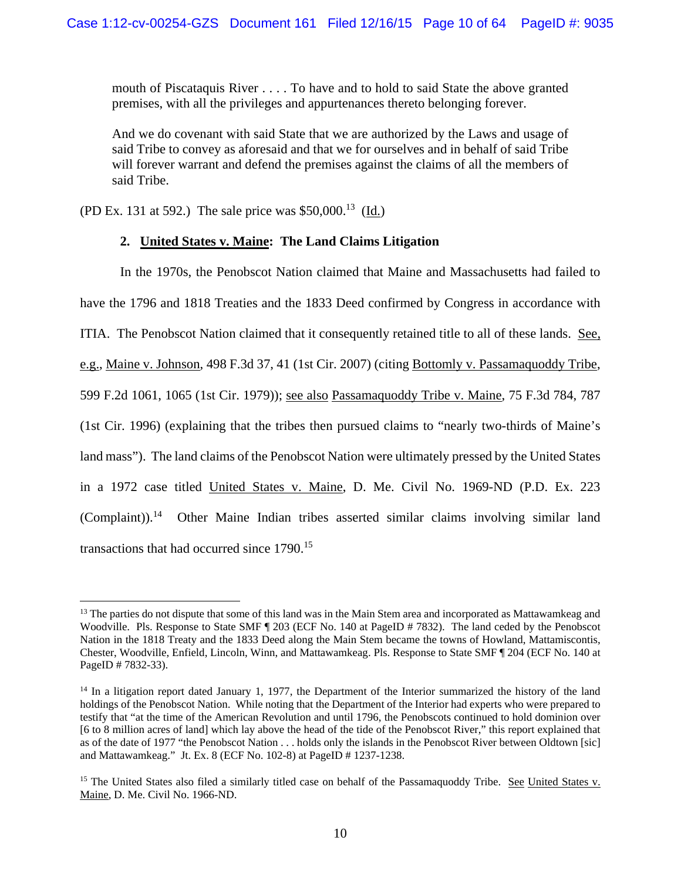mouth of Piscataquis River . . . . To have and to hold to said State the above granted premises, with all the privileges and appurtenances thereto belonging forever.

And we do covenant with said State that we are authorized by the Laws and usage of said Tribe to convey as aforesaid and that we for ourselves and in behalf of said Tribe will forever warrant and defend the premises against the claims of all the members of said Tribe.

(PD Ex. 131 at 592.) The sale price was  $$50,000$ <sup>13</sup> (Id.)

 $\overline{a}$ 

# **2. United States v. Maine: The Land Claims Litigation**

 In the 1970s, the Penobscot Nation claimed that Maine and Massachusetts had failed to have the 1796 and 1818 Treaties and the 1833 Deed confirmed by Congress in accordance with ITIA. The Penobscot Nation claimed that it consequently retained title to all of these lands. See, e.g., Maine v. Johnson, 498 F.3d 37, 41 (1st Cir. 2007) (citing Bottomly v. Passamaquoddy Tribe, 599 F.2d 1061, 1065 (1st Cir. 1979)); see also Passamaquoddy Tribe v. Maine, 75 F.3d 784, 787 (1st Cir. 1996) (explaining that the tribes then pursued claims to "nearly two-thirds of Maine's land mass"). The land claims of the Penobscot Nation were ultimately pressed by the United States in a 1972 case titled United States v. Maine, D. Me. Civil No. 1969-ND (P.D. Ex. 223 (Complaint)).14 Other Maine Indian tribes asserted similar claims involving similar land transactions that had occurred since 1790.<sup>15</sup>

 $<sup>13</sup>$  The parties do not dispute that some of this land was in the Main Stem area and incorporated as Mattawamkeag and</sup> Woodville. Pls. Response to State SMF  $\parallel$  203 (ECF No. 140 at PageID # 7832). The land ceded by the Penobscot Nation in the 1818 Treaty and the 1833 Deed along the Main Stem became the towns of Howland, Mattamiscontis, Chester, Woodville, Enfield, Lincoln, Winn, and Mattawamkeag. Pls. Response to State SMF ¶ 204 (ECF No. 140 at PageID # 7832-33).

<sup>&</sup>lt;sup>14</sup> In a litigation report dated January 1, 1977, the Department of the Interior summarized the history of the land holdings of the Penobscot Nation. While noting that the Department of the Interior had experts who were prepared to testify that "at the time of the American Revolution and until 1796, the Penobscots continued to hold dominion over [6 to 8 million acres of land] which lay above the head of the tide of the Penobscot River," this report explained that as of the date of 1977 "the Penobscot Nation . . . holds only the islands in the Penobscot River between Oldtown [sic] and Mattawamkeag." Jt. Ex. 8 (ECF No. 102-8) at PageID # 1237-1238.

<sup>&</sup>lt;sup>15</sup> The United States also filed a similarly titled case on behalf of the Passamaquoddy Tribe. See United States  $v$ . Maine, D. Me. Civil No. 1966-ND.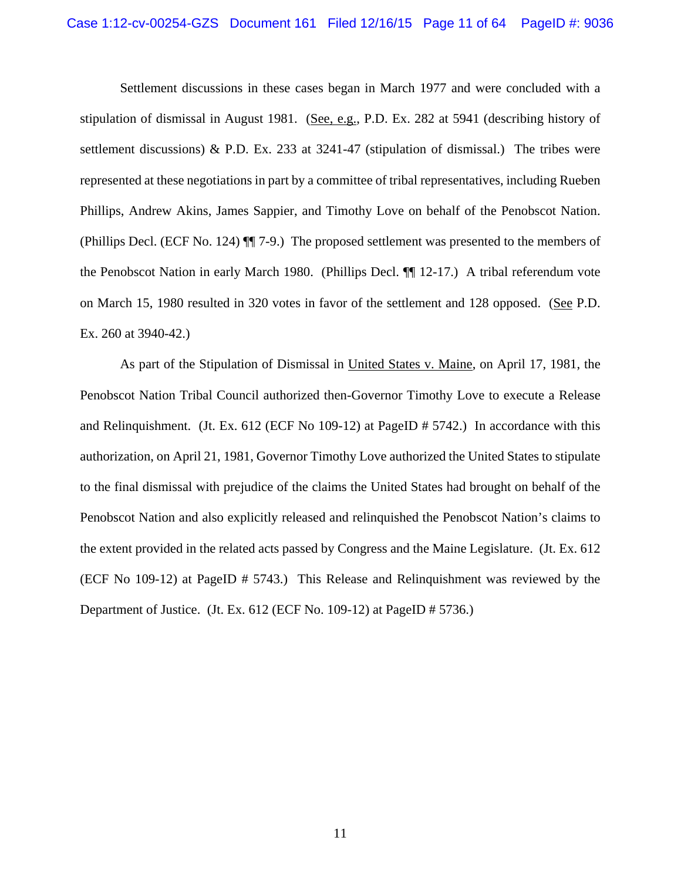Settlement discussions in these cases began in March 1977 and were concluded with a stipulation of dismissal in August 1981. (See, e.g., P.D. Ex. 282 at 5941 (describing history of settlement discussions) & P.D. Ex. 233 at 3241-47 (stipulation of dismissal.) The tribes were represented at these negotiations in part by a committee of tribal representatives, including Rueben Phillips, Andrew Akins, James Sappier, and Timothy Love on behalf of the Penobscot Nation. (Phillips Decl. (ECF No. 124) ¶¶ 7-9.) The proposed settlement was presented to the members of the Penobscot Nation in early March 1980. (Phillips Decl. ¶¶ 12-17.) A tribal referendum vote on March 15, 1980 resulted in 320 votes in favor of the settlement and 128 opposed. (See P.D. Ex. 260 at 3940-42.)

As part of the Stipulation of Dismissal in United States v. Maine, on April 17, 1981, the Penobscot Nation Tribal Council authorized then-Governor Timothy Love to execute a Release and Relinquishment. (Jt. Ex. 612 (ECF No 109-12) at PageID # 5742.) In accordance with this authorization, on April 21, 1981, Governor Timothy Love authorized the United States to stipulate to the final dismissal with prejudice of the claims the United States had brought on behalf of the Penobscot Nation and also explicitly released and relinquished the Penobscot Nation's claims to the extent provided in the related acts passed by Congress and the Maine Legislature. (Jt. Ex. 612 (ECF No 109-12) at PageID # 5743.) This Release and Relinquishment was reviewed by the Department of Justice. (Jt. Ex. 612 (ECF No. 109-12) at PageID # 5736.)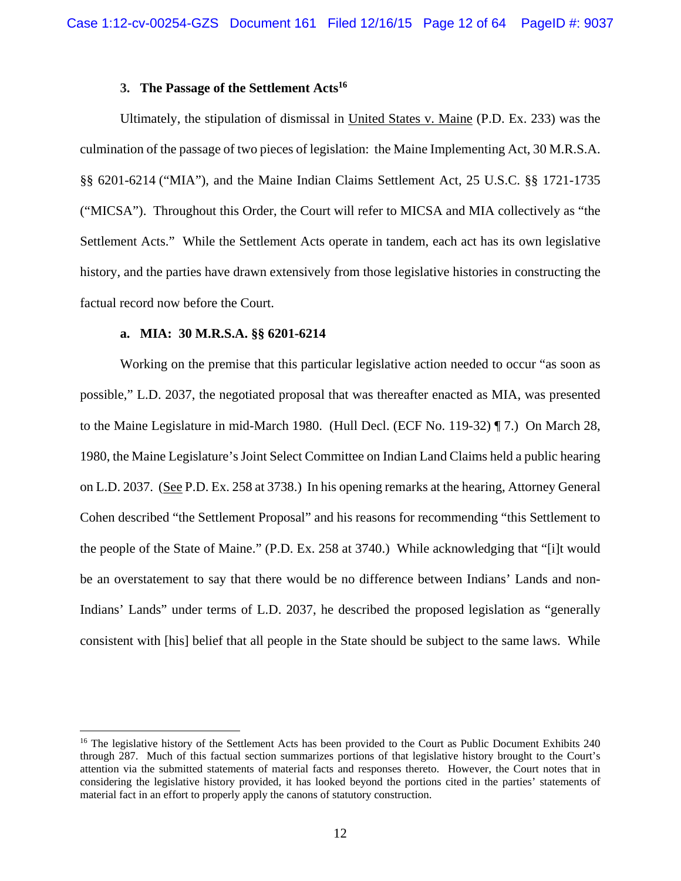## **3. The Passage of the Settlement Acts16**

Ultimately, the stipulation of dismissal in United States v. Maine (P.D. Ex. 233) was the culmination of the passage of two pieces of legislation: the Maine Implementing Act, 30 M.R.S.A. §§ 6201-6214 ("MIA"), and the Maine Indian Claims Settlement Act, 25 U.S.C. §§ 1721-1735 ("MICSA"). Throughout this Order, the Court will refer to MICSA and MIA collectively as "the Settlement Acts." While the Settlement Acts operate in tandem, each act has its own legislative history, and the parties have drawn extensively from those legislative histories in constructing the factual record now before the Court.

# **a. MIA: 30 M.R.S.A. §§ 6201-6214**

 $\overline{a}$ 

Working on the premise that this particular legislative action needed to occur "as soon as possible," L.D. 2037, the negotiated proposal that was thereafter enacted as MIA, was presented to the Maine Legislature in mid-March 1980. (Hull Decl. (ECF No. 119-32) ¶ 7.) On March 28, 1980, the Maine Legislature's Joint Select Committee on Indian Land Claims held a public hearing on L.D. 2037. (See P.D. Ex. 258 at 3738.) In his opening remarks at the hearing, Attorney General Cohen described "the Settlement Proposal" and his reasons for recommending "this Settlement to the people of the State of Maine." (P.D. Ex. 258 at 3740.) While acknowledging that "[i]t would be an overstatement to say that there would be no difference between Indians' Lands and non-Indians' Lands" under terms of L.D. 2037, he described the proposed legislation as "generally consistent with [his] belief that all people in the State should be subject to the same laws. While

<sup>&</sup>lt;sup>16</sup> The legislative history of the Settlement Acts has been provided to the Court as Public Document Exhibits 240 through 287. Much of this factual section summarizes portions of that legislative history brought to the Court's attention via the submitted statements of material facts and responses thereto. However, the Court notes that in considering the legislative history provided, it has looked beyond the portions cited in the parties' statements of material fact in an effort to properly apply the canons of statutory construction.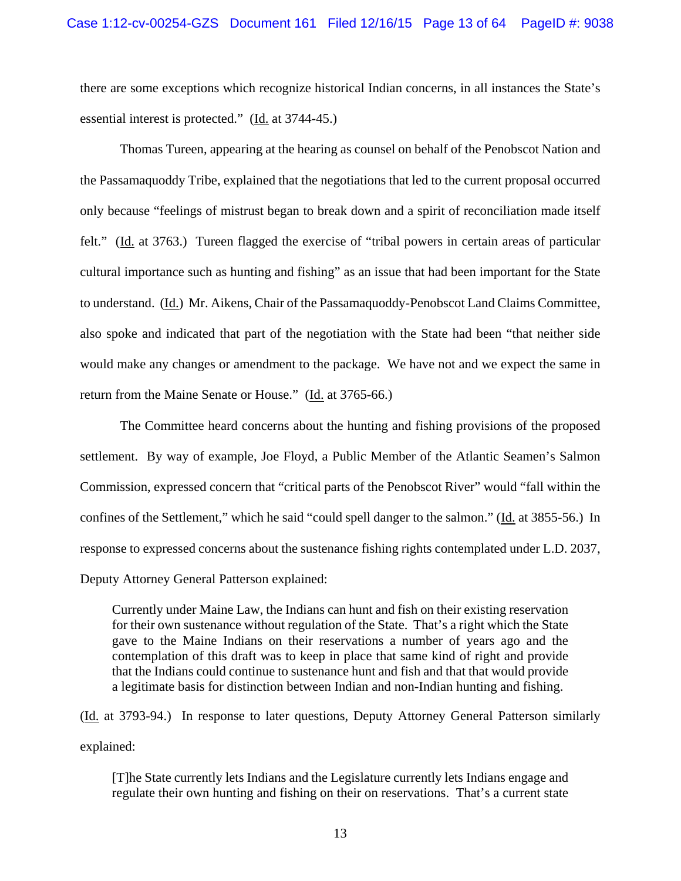there are some exceptions which recognize historical Indian concerns, in all instances the State's essential interest is protected." (Id. at 3744-45.)

Thomas Tureen, appearing at the hearing as counsel on behalf of the Penobscot Nation and the Passamaquoddy Tribe, explained that the negotiations that led to the current proposal occurred only because "feelings of mistrust began to break down and a spirit of reconciliation made itself felt." (Id. at 3763.) Tureen flagged the exercise of "tribal powers in certain areas of particular cultural importance such as hunting and fishing" as an issue that had been important for the State to understand. (Id.) Mr. Aikens, Chair of the Passamaquoddy-Penobscot Land Claims Committee, also spoke and indicated that part of the negotiation with the State had been "that neither side would make any changes or amendment to the package. We have not and we expect the same in return from the Maine Senate or House." (Id. at 3765-66.)

The Committee heard concerns about the hunting and fishing provisions of the proposed settlement. By way of example, Joe Floyd, a Public Member of the Atlantic Seamen's Salmon Commission, expressed concern that "critical parts of the Penobscot River" would "fall within the confines of the Settlement," which he said "could spell danger to the salmon." (Id. at 3855-56.) In response to expressed concerns about the sustenance fishing rights contemplated under L.D. 2037, Deputy Attorney General Patterson explained:

Currently under Maine Law, the Indians can hunt and fish on their existing reservation for their own sustenance without regulation of the State. That's a right which the State gave to the Maine Indians on their reservations a number of years ago and the contemplation of this draft was to keep in place that same kind of right and provide that the Indians could continue to sustenance hunt and fish and that that would provide a legitimate basis for distinction between Indian and non-Indian hunting and fishing.

(Id. at 3793-94.) In response to later questions, Deputy Attorney General Patterson similarly explained:

[T]he State currently lets Indians and the Legislature currently lets Indians engage and regulate their own hunting and fishing on their on reservations. That's a current state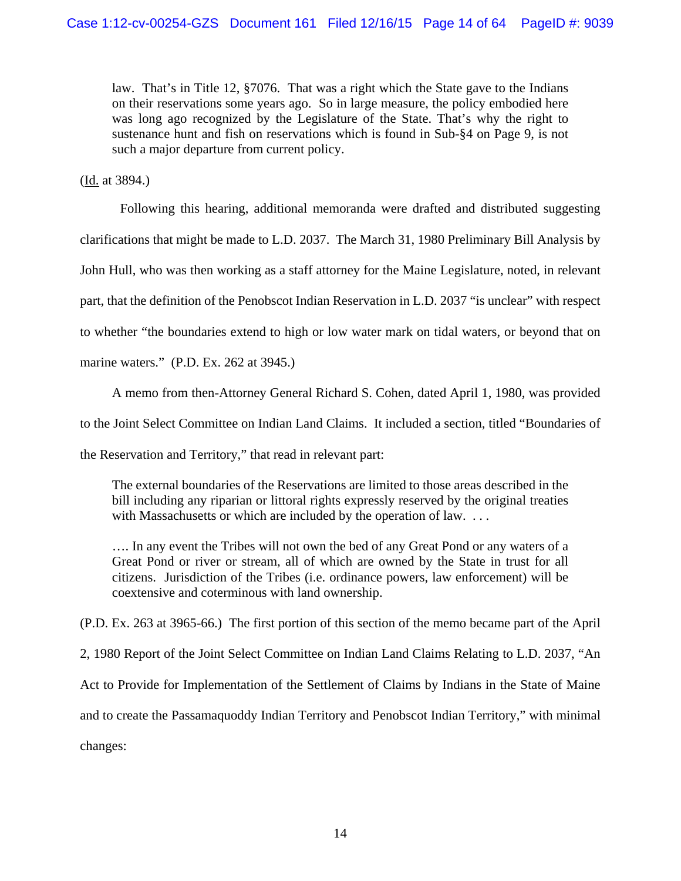law. That's in Title 12, §7076. That was a right which the State gave to the Indians on their reservations some years ago. So in large measure, the policy embodied here was long ago recognized by the Legislature of the State. That's why the right to sustenance hunt and fish on reservations which is found in Sub-§4 on Page 9, is not such a major departure from current policy.

(Id. at 3894.)

 Following this hearing, additional memoranda were drafted and distributed suggesting clarifications that might be made to L.D. 2037. The March 31, 1980 Preliminary Bill Analysis by John Hull, who was then working as a staff attorney for the Maine Legislature, noted, in relevant part, that the definition of the Penobscot Indian Reservation in L.D. 2037 "is unclear" with respect to whether "the boundaries extend to high or low water mark on tidal waters, or beyond that on marine waters." (P.D. Ex. 262 at 3945.)

A memo from then-Attorney General Richard S. Cohen, dated April 1, 1980, was provided to the Joint Select Committee on Indian Land Claims. It included a section, titled "Boundaries of the Reservation and Territory," that read in relevant part:

The external boundaries of the Reservations are limited to those areas described in the bill including any riparian or littoral rights expressly reserved by the original treaties with Massachusetts or which are included by the operation of law. ...

…. In any event the Tribes will not own the bed of any Great Pond or any waters of a Great Pond or river or stream, all of which are owned by the State in trust for all citizens. Jurisdiction of the Tribes (i.e. ordinance powers, law enforcement) will be coextensive and coterminous with land ownership.

(P.D. Ex. 263 at 3965-66.) The first portion of this section of the memo became part of the April

2, 1980 Report of the Joint Select Committee on Indian Land Claims Relating to L.D. 2037, "An

Act to Provide for Implementation of the Settlement of Claims by Indians in the State of Maine

and to create the Passamaquoddy Indian Territory and Penobscot Indian Territory," with minimal

changes: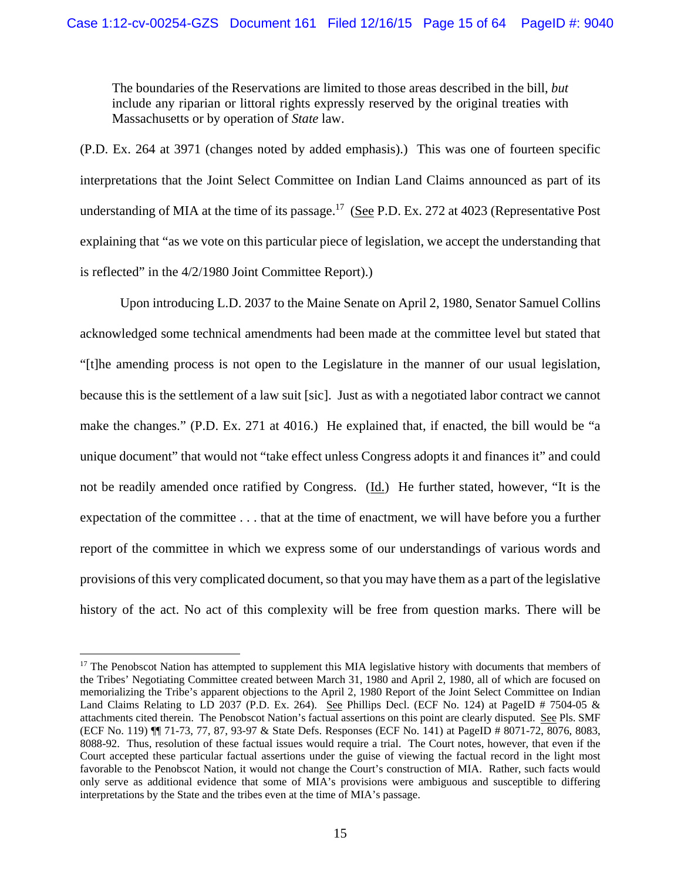The boundaries of the Reservations are limited to those areas described in the bill, *but* include any riparian or littoral rights expressly reserved by the original treaties with Massachusetts or by operation of *State* law.

(P.D. Ex. 264 at 3971 (changes noted by added emphasis).) This was one of fourteen specific interpretations that the Joint Select Committee on Indian Land Claims announced as part of its understanding of MIA at the time of its passage.<sup>17</sup> (See P.D. Ex. 272 at 4023 (Representative Post) explaining that "as we vote on this particular piece of legislation, we accept the understanding that is reflected" in the 4/2/1980 Joint Committee Report).)

Upon introducing L.D. 2037 to the Maine Senate on April 2, 1980, Senator Samuel Collins acknowledged some technical amendments had been made at the committee level but stated that "[t]he amending process is not open to the Legislature in the manner of our usual legislation, because this is the settlement of a law suit [sic]. Just as with a negotiated labor contract we cannot make the changes." (P.D. Ex. 271 at 4016.) He explained that, if enacted, the bill would be "a unique document" that would not "take effect unless Congress adopts it and finances it" and could not be readily amended once ratified by Congress. (Id.) He further stated, however, "It is the expectation of the committee . . . that at the time of enactment, we will have before you a further report of the committee in which we express some of our understandings of various words and provisions of this very complicated document, so that you may have them as a part of the legislative history of the act. No act of this complexity will be free from question marks. There will be

<sup>&</sup>lt;sup>17</sup> The Penobscot Nation has attempted to supplement this MIA legislative history with documents that members of the Tribes' Negotiating Committee created between March 31, 1980 and April 2, 1980, all of which are focused on memorializing the Tribe's apparent objections to the April 2, 1980 Report of the Joint Select Committee on Indian Land Claims Relating to LD 2037 (P.D. Ex. 264). See Phillips Decl. (ECF No. 124) at PageID # 7504-05 & attachments cited therein. The Penobscot Nation's factual assertions on this point are clearly disputed. See Pls. SMF (ECF No. 119) ¶¶ 71-73, 77, 87, 93-97 & State Defs. Responses (ECF No. 141) at PageID # 8071-72, 8076, 8083, 8088-92. Thus, resolution of these factual issues would require a trial. The Court notes, however, that even if the Court accepted these particular factual assertions under the guise of viewing the factual record in the light most favorable to the Penobscot Nation, it would not change the Court's construction of MIA. Rather, such facts would only serve as additional evidence that some of MIA's provisions were ambiguous and susceptible to differing interpretations by the State and the tribes even at the time of MIA's passage.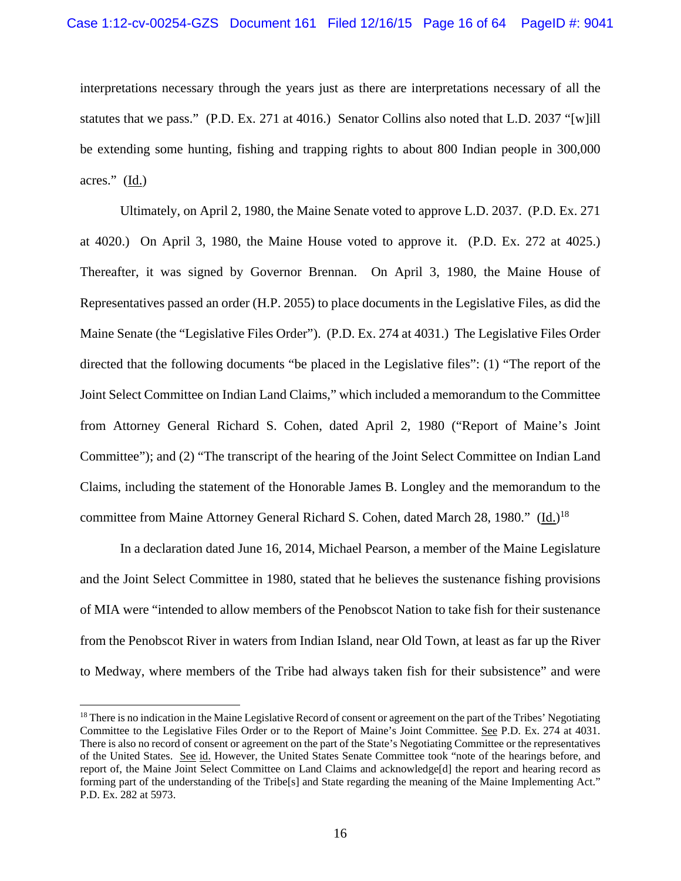interpretations necessary through the years just as there are interpretations necessary of all the statutes that we pass." (P.D. Ex. 271 at 4016.) Senator Collins also noted that L.D. 2037 "[w]ill be extending some hunting, fishing and trapping rights to about 800 Indian people in 300,000 acres." (Id.)

Ultimately, on April 2, 1980, the Maine Senate voted to approve L.D. 2037. (P.D. Ex. 271 at 4020.) On April 3, 1980, the Maine House voted to approve it. (P.D. Ex. 272 at 4025.) Thereafter, it was signed by Governor Brennan. On April 3, 1980, the Maine House of Representatives passed an order (H.P. 2055) to place documents in the Legislative Files, as did the Maine Senate (the "Legislative Files Order"). (P.D. Ex. 274 at 4031.) The Legislative Files Order directed that the following documents "be placed in the Legislative files": (1) "The report of the Joint Select Committee on Indian Land Claims," which included a memorandum to the Committee from Attorney General Richard S. Cohen, dated April 2, 1980 ("Report of Maine's Joint Committee"); and (2) "The transcript of the hearing of the Joint Select Committee on Indian Land Claims, including the statement of the Honorable James B. Longley and the memorandum to the committee from Maine Attorney General Richard S. Cohen, dated March 28, 1980." (Id.)<sup>18</sup>

In a declaration dated June 16, 2014, Michael Pearson, a member of the Maine Legislature and the Joint Select Committee in 1980, stated that he believes the sustenance fishing provisions of MIA were "intended to allow members of the Penobscot Nation to take fish for their sustenance from the Penobscot River in waters from Indian Island, near Old Town, at least as far up the River to Medway, where members of the Tribe had always taken fish for their subsistence" and were

<sup>&</sup>lt;sup>18</sup> There is no indication in the Maine Legislative Record of consent or agreement on the part of the Tribes' Negotiating Committee to the Legislative Files Order or to the Report of Maine's Joint Committee. See P.D. Ex. 274 at 4031. There is also no record of consent or agreement on the part of the State's Negotiating Committee or the representatives of the United States. See id. However, the United States Senate Committee took "note of the hearings before, and report of, the Maine Joint Select Committee on Land Claims and acknowledge[d] the report and hearing record as forming part of the understanding of the Tribe[s] and State regarding the meaning of the Maine Implementing Act." P.D. Ex. 282 at 5973.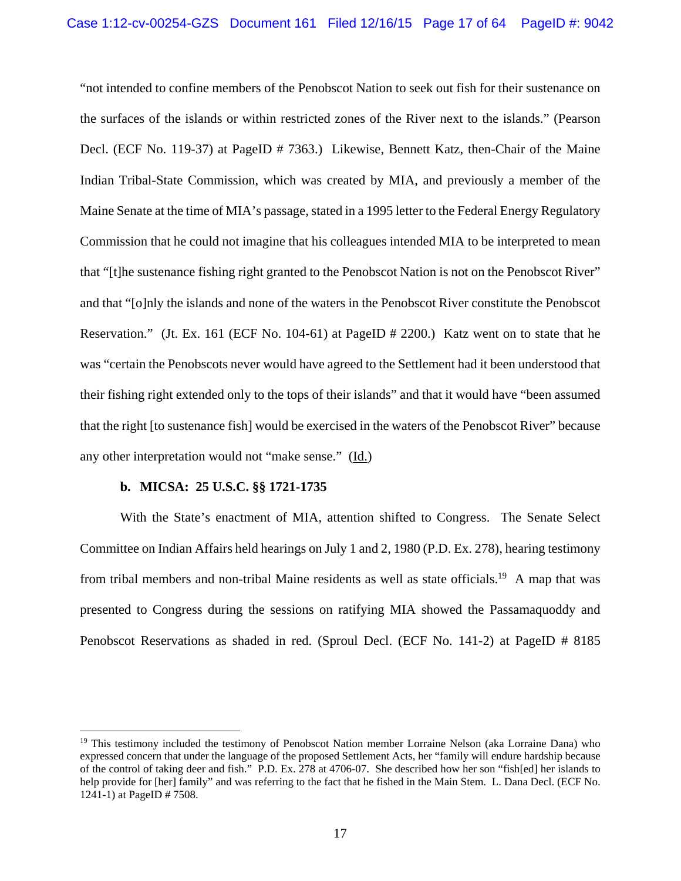"not intended to confine members of the Penobscot Nation to seek out fish for their sustenance on the surfaces of the islands or within restricted zones of the River next to the islands." (Pearson Decl. (ECF No. 119-37) at PageID # 7363.) Likewise, Bennett Katz, then-Chair of the Maine Indian Tribal-State Commission, which was created by MIA, and previously a member of the Maine Senate at the time of MIA's passage, stated in a 1995 letter to the Federal Energy Regulatory Commission that he could not imagine that his colleagues intended MIA to be interpreted to mean that "[t]he sustenance fishing right granted to the Penobscot Nation is not on the Penobscot River" and that "[o]nly the islands and none of the waters in the Penobscot River constitute the Penobscot Reservation." (Jt. Ex. 161 (ECF No. 104-61) at PageID # 2200.) Katz went on to state that he was "certain the Penobscots never would have agreed to the Settlement had it been understood that their fishing right extended only to the tops of their islands" and that it would have "been assumed that the right [to sustenance fish] would be exercised in the waters of the Penobscot River" because any other interpretation would not "make sense." (Id.)

## **b. MICSA: 25 U.S.C. §§ 1721-1735**

 $\overline{a}$ 

With the State's enactment of MIA, attention shifted to Congress. The Senate Select Committee on Indian Affairs held hearings on July 1 and 2, 1980 (P.D. Ex. 278), hearing testimony from tribal members and non-tribal Maine residents as well as state officials.<sup>19</sup> A map that was presented to Congress during the sessions on ratifying MIA showed the Passamaquoddy and Penobscot Reservations as shaded in red. (Sproul Decl. (ECF No. 141-2) at PageID # 8185

<sup>&</sup>lt;sup>19</sup> This testimony included the testimony of Penobscot Nation member Lorraine Nelson (aka Lorraine Dana) who expressed concern that under the language of the proposed Settlement Acts, her "family will endure hardship because of the control of taking deer and fish." P.D. Ex. 278 at 4706-07. She described how her son "fish[ed] her islands to help provide for [her] family" and was referring to the fact that he fished in the Main Stem. L. Dana Decl. (ECF No. 1241-1) at PageID # 7508.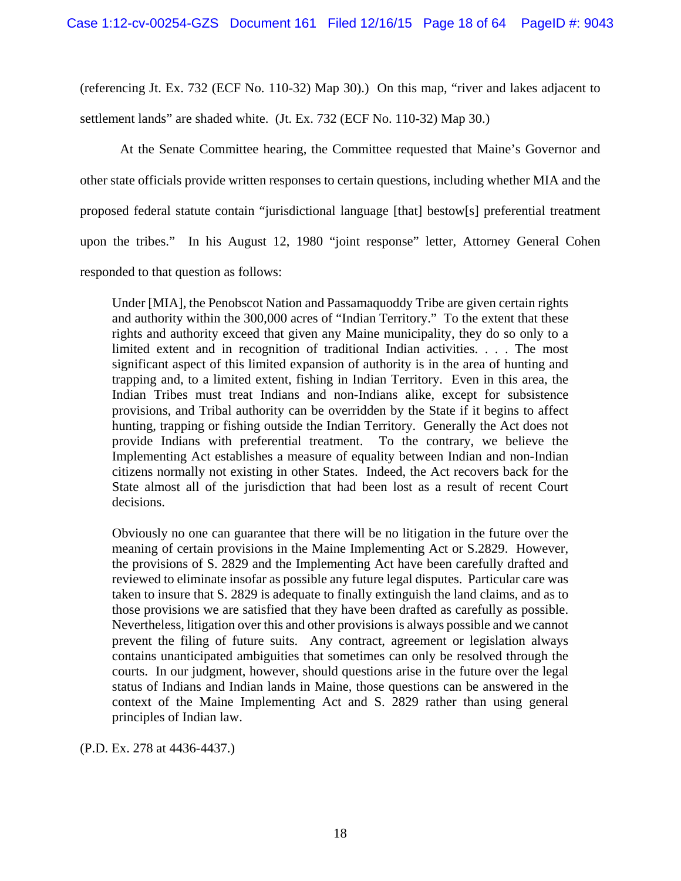(referencing Jt. Ex. 732 (ECF No. 110-32) Map 30).) On this map, "river and lakes adjacent to settlement lands" are shaded white. (Jt. Ex. 732 (ECF No. 110-32) Map 30.)

At the Senate Committee hearing, the Committee requested that Maine's Governor and other state officials provide written responses to certain questions, including whether MIA and the proposed federal statute contain "jurisdictional language [that] bestow[s] preferential treatment upon the tribes." In his August 12, 1980 "joint response" letter, Attorney General Cohen responded to that question as follows:

Under [MIA], the Penobscot Nation and Passamaquoddy Tribe are given certain rights and authority within the 300,000 acres of "Indian Territory." To the extent that these rights and authority exceed that given any Maine municipality, they do so only to a limited extent and in recognition of traditional Indian activities. . . . The most significant aspect of this limited expansion of authority is in the area of hunting and trapping and, to a limited extent, fishing in Indian Territory. Even in this area, the Indian Tribes must treat Indians and non-Indians alike, except for subsistence provisions, and Tribal authority can be overridden by the State if it begins to affect hunting, trapping or fishing outside the Indian Territory. Generally the Act does not provide Indians with preferential treatment. To the contrary, we believe the Implementing Act establishes a measure of equality between Indian and non-Indian citizens normally not existing in other States. Indeed, the Act recovers back for the State almost all of the jurisdiction that had been lost as a result of recent Court decisions.

Obviously no one can guarantee that there will be no litigation in the future over the meaning of certain provisions in the Maine Implementing Act or S.2829. However, the provisions of S. 2829 and the Implementing Act have been carefully drafted and reviewed to eliminate insofar as possible any future legal disputes. Particular care was taken to insure that S. 2829 is adequate to finally extinguish the land claims, and as to those provisions we are satisfied that they have been drafted as carefully as possible. Nevertheless, litigation over this and other provisions is always possible and we cannot prevent the filing of future suits. Any contract, agreement or legislation always contains unanticipated ambiguities that sometimes can only be resolved through the courts. In our judgment, however, should questions arise in the future over the legal status of Indians and Indian lands in Maine, those questions can be answered in the context of the Maine Implementing Act and S. 2829 rather than using general principles of Indian law.

(P.D. Ex. 278 at 4436-4437.)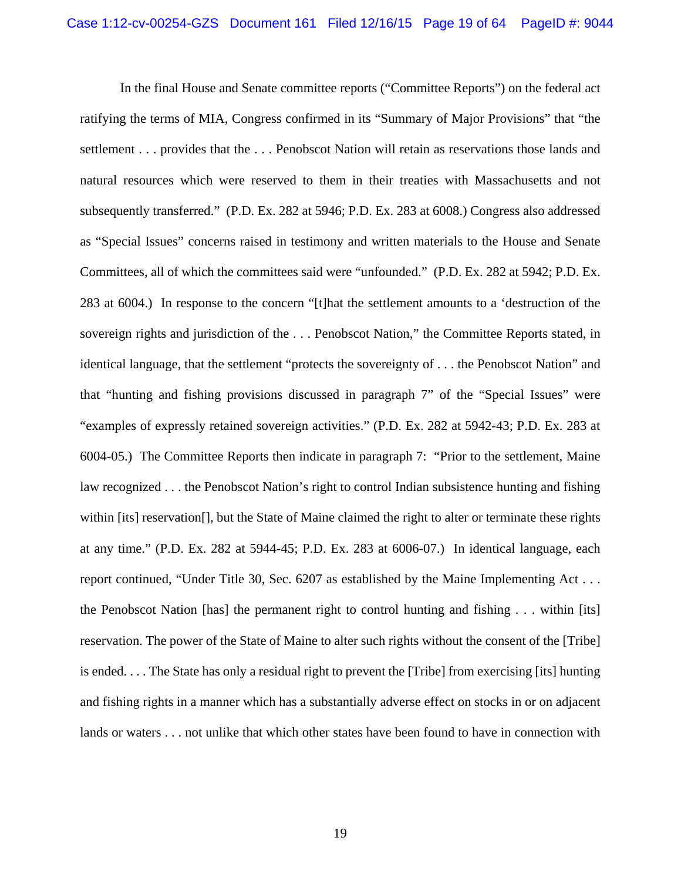In the final House and Senate committee reports ("Committee Reports") on the federal act ratifying the terms of MIA, Congress confirmed in its "Summary of Major Provisions" that "the settlement . . . provides that the . . . Penobscot Nation will retain as reservations those lands and natural resources which were reserved to them in their treaties with Massachusetts and not subsequently transferred." (P.D. Ex. 282 at 5946; P.D. Ex. 283 at 6008.) Congress also addressed as "Special Issues" concerns raised in testimony and written materials to the House and Senate Committees, all of which the committees said were "unfounded." (P.D. Ex. 282 at 5942; P.D. Ex. 283 at 6004.) In response to the concern "[t]hat the settlement amounts to a 'destruction of the sovereign rights and jurisdiction of the . . . Penobscot Nation," the Committee Reports stated, in identical language, that the settlement "protects the sovereignty of . . . the Penobscot Nation" and that "hunting and fishing provisions discussed in paragraph 7" of the "Special Issues" were "examples of expressly retained sovereign activities." (P.D. Ex. 282 at 5942-43; P.D. Ex. 283 at 6004-05.) The Committee Reports then indicate in paragraph 7: "Prior to the settlement, Maine law recognized . . . the Penobscot Nation's right to control Indian subsistence hunting and fishing within [its] reservation<sup>[]</sup>, but the State of Maine claimed the right to alter or terminate these rights at any time." (P.D. Ex. 282 at 5944-45; P.D. Ex. 283 at 6006-07.) In identical language, each report continued, "Under Title 30, Sec. 6207 as established by the Maine Implementing Act . . . the Penobscot Nation [has] the permanent right to control hunting and fishing . . . within [its] reservation. The power of the State of Maine to alter such rights without the consent of the [Tribe] is ended. . . . The State has only a residual right to prevent the [Tribe] from exercising [its] hunting and fishing rights in a manner which has a substantially adverse effect on stocks in or on adjacent lands or waters . . . not unlike that which other states have been found to have in connection with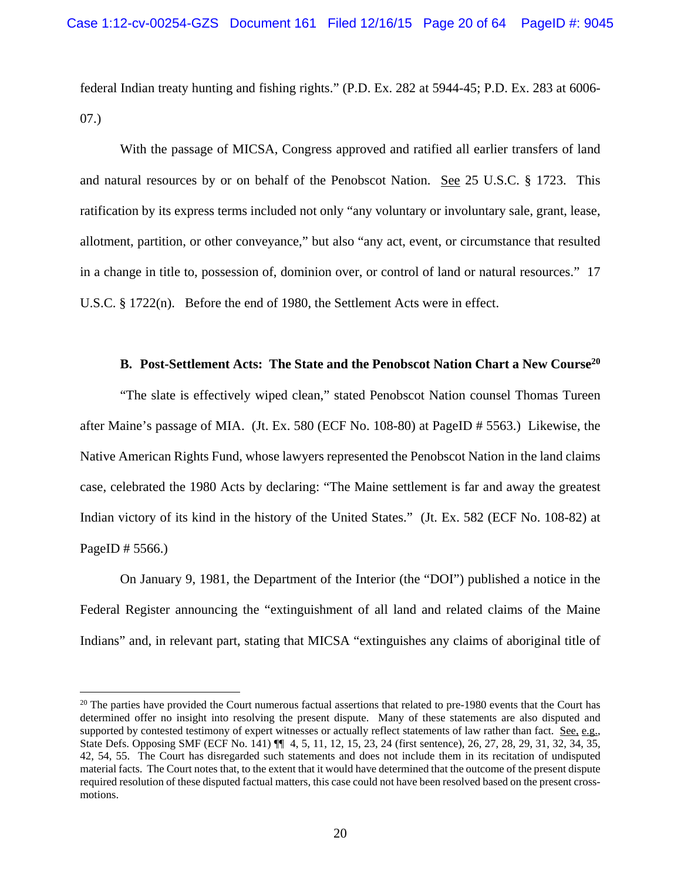federal Indian treaty hunting and fishing rights." (P.D. Ex. 282 at 5944-45; P.D. Ex. 283 at 6006- 07.)

 With the passage of MICSA, Congress approved and ratified all earlier transfers of land and natural resources by or on behalf of the Penobscot Nation. See 25 U.S.C. § 1723. This ratification by its express terms included not only "any voluntary or involuntary sale, grant, lease, allotment, partition, or other conveyance," but also "any act, event, or circumstance that resulted in a change in title to, possession of, dominion over, or control of land or natural resources." 17 U.S.C. § 1722(n). Before the end of 1980, the Settlement Acts were in effect.

### **B.** Post-Settlement Acts: The State and the Penobscot Nation Chart a New Course<sup>20</sup>

"The slate is effectively wiped clean," stated Penobscot Nation counsel Thomas Tureen after Maine's passage of MIA. (Jt. Ex. 580 (ECF No. 108-80) at PageID # 5563.) Likewise, the Native American Rights Fund, whose lawyers represented the Penobscot Nation in the land claims case, celebrated the 1980 Acts by declaring: "The Maine settlement is far and away the greatest Indian victory of its kind in the history of the United States." (Jt. Ex. 582 (ECF No. 108-82) at PageID # 5566.)

On January 9, 1981, the Department of the Interior (the "DOI") published a notice in the Federal Register announcing the "extinguishment of all land and related claims of the Maine Indians" and, in relevant part, stating that MICSA "extinguishes any claims of aboriginal title of

1

<sup>&</sup>lt;sup>20</sup> The parties have provided the Court numerous factual assertions that related to pre-1980 events that the Court has determined offer no insight into resolving the present dispute. Many of these statements are also disputed and supported by contested testimony of expert witnesses or actually reflect statements of law rather than fact. See, e.g., State Defs. Opposing SMF (ECF No. 141) ¶¶ 4, 5, 11, 12, 15, 23, 24 (first sentence), 26, 27, 28, 29, 31, 32, 34, 35, 42, 54, 55. The Court has disregarded such statements and does not include them in its recitation of undisputed material facts. The Court notes that, to the extent that it would have determined that the outcome of the present dispute required resolution of these disputed factual matters, this case could not have been resolved based on the present crossmotions.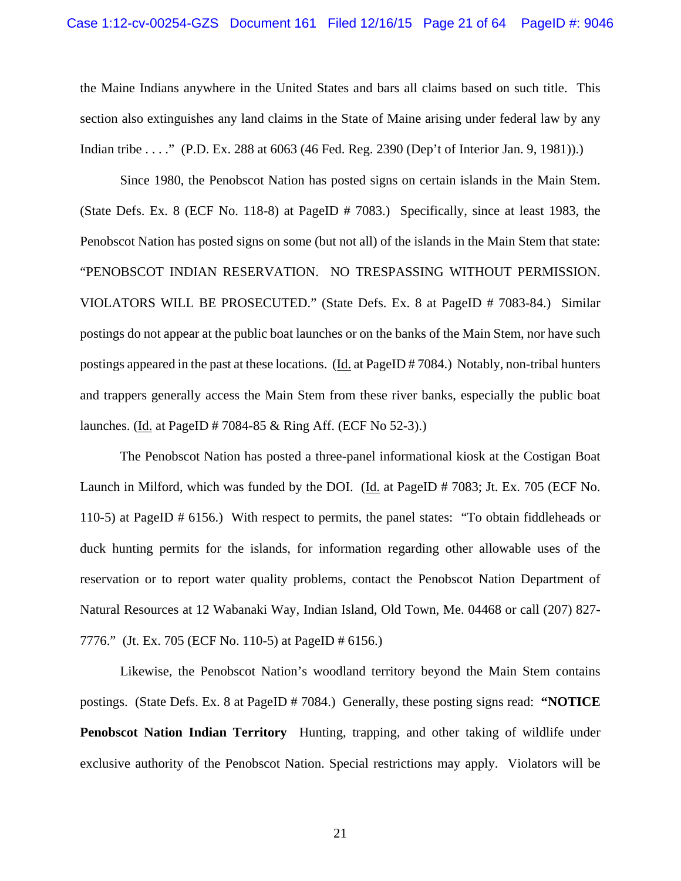the Maine Indians anywhere in the United States and bars all claims based on such title. This section also extinguishes any land claims in the State of Maine arising under federal law by any Indian tribe . . . ." (P.D. Ex. 288 at 6063 (46 Fed. Reg. 2390 (Dep't of Interior Jan. 9, 1981)).)

Since 1980, the Penobscot Nation has posted signs on certain islands in the Main Stem. (State Defs. Ex. 8 (ECF No. 118-8) at PageID # 7083.) Specifically, since at least 1983, the Penobscot Nation has posted signs on some (but not all) of the islands in the Main Stem that state: "PENOBSCOT INDIAN RESERVATION. NO TRESPASSING WITHOUT PERMISSION. VIOLATORS WILL BE PROSECUTED." (State Defs. Ex. 8 at PageID # 7083-84.) Similar postings do not appear at the public boat launches or on the banks of the Main Stem, nor have such postings appeared in the past at these locations. (Id. at PageID # 7084.) Notably, non-tribal hunters and trappers generally access the Main Stem from these river banks, especially the public boat launches. (Id. at PageID # 7084-85 & Ring Aff. (ECF No 52-3).)

The Penobscot Nation has posted a three-panel informational kiosk at the Costigan Boat Launch in Milford, which was funded by the DOI. (Id. at PageID # 7083; Jt. Ex. 705 (ECF No. 110-5) at PageID # 6156.) With respect to permits, the panel states: "To obtain fiddleheads or duck hunting permits for the islands, for information regarding other allowable uses of the reservation or to report water quality problems, contact the Penobscot Nation Department of Natural Resources at 12 Wabanaki Way, Indian Island, Old Town, Me. 04468 or call (207) 827- 7776." (Jt. Ex. 705 (ECF No. 110-5) at PageID # 6156.)

Likewise, the Penobscot Nation's woodland territory beyond the Main Stem contains postings. (State Defs. Ex. 8 at PageID # 7084.) Generally, these posting signs read: **"NOTICE Penobscot Nation Indian Territory** Hunting, trapping, and other taking of wildlife under exclusive authority of the Penobscot Nation. Special restrictions may apply. Violators will be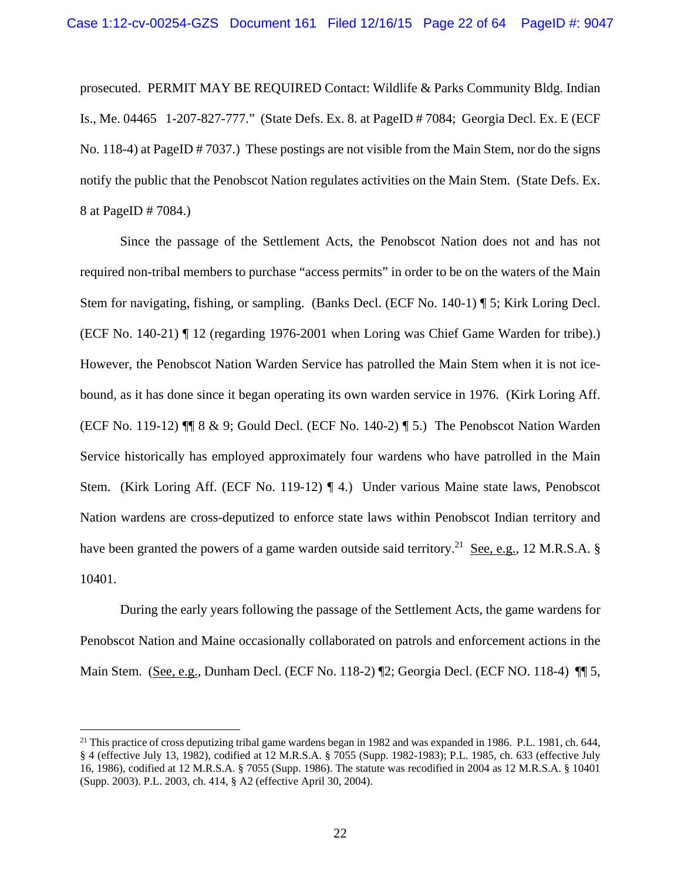prosecuted. PERMIT MAY BE REQUIRED Contact: Wildlife & Parks Community Bldg. Indian Is., Me. 04465 1-207-827-777." (State Defs. Ex. 8. at PageID # 7084; Georgia Decl. Ex. E (ECF No. 118-4) at PageID # 7037.) These postings are not visible from the Main Stem, nor do the signs notify the public that the Penobscot Nation regulates activities on the Main Stem. (State Defs. Ex. 8 at PageID # 7084.)

Since the passage of the Settlement Acts, the Penobscot Nation does not and has not required non-tribal members to purchase "access permits" in order to be on the waters of the Main Stem for navigating, fishing, or sampling. (Banks Decl. (ECF No. 140-1) ¶ 5; Kirk Loring Decl. (ECF No. 140-21) ¶ 12 (regarding 1976-2001 when Loring was Chief Game Warden for tribe).) However, the Penobscot Nation Warden Service has patrolled the Main Stem when it is not icebound, as it has done since it began operating its own warden service in 1976. (Kirk Loring Aff. (ECF No. 119-12) ¶¶ 8 & 9; Gould Decl. (ECF No. 140-2) ¶ 5.) The Penobscot Nation Warden Service historically has employed approximately four wardens who have patrolled in the Main Stem. (Kirk Loring Aff. (ECF No. 119-12) ¶ 4.) Under various Maine state laws, Penobscot Nation wardens are cross-deputized to enforce state laws within Penobscot Indian territory and have been granted the powers of a game warden outside said territory.<sup>21</sup> See, e.g., 12 M.R.S.A. § 10401.

 During the early years following the passage of the Settlement Acts, the game wardens for Penobscot Nation and Maine occasionally collaborated on patrols and enforcement actions in the Main Stem. (See, e.g., Dunham Decl. (ECF No. 118-2) ¶2; Georgia Decl. (ECF NO. 118-4) ¶¶ 5,

<sup>&</sup>lt;sup>21</sup> This practice of cross deputizing tribal game wardens began in 1982 and was expanded in 1986. P.L. 1981, ch. 644, § 4 (effective July 13, 1982), codified at 12 M.R.S.A. § 7055 (Supp. 1982-1983); P.L. 1985, ch. 633 (effective July 16, 1986), codified at 12 M.R.S.A. § 7055 (Supp. 1986). The statute was recodified in 2004 as 12 M.R.S.A. § 10401 (Supp. 2003). P.L. 2003, ch. 414, § A2 (effective April 30, 2004).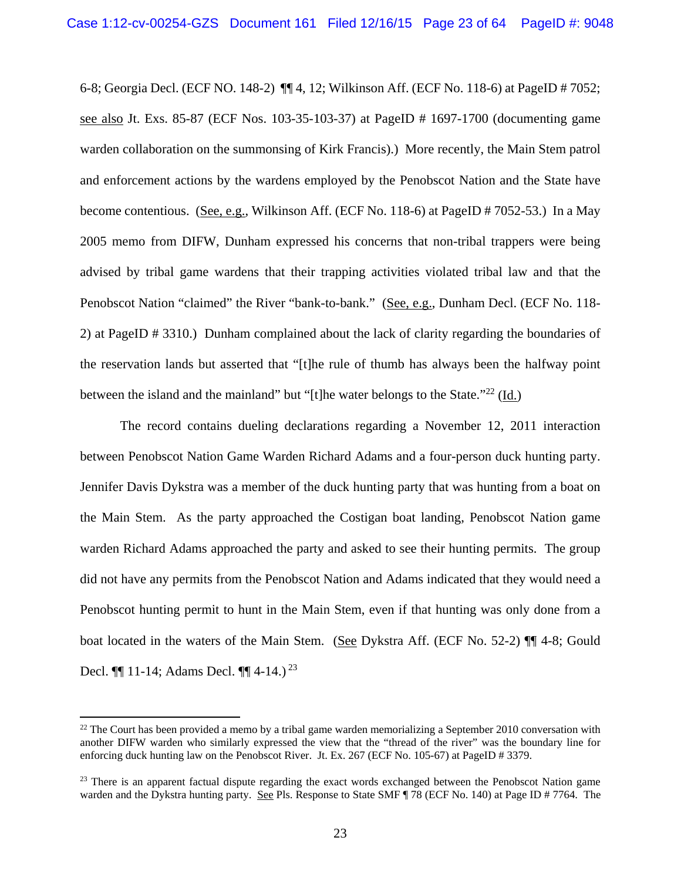6-8; Georgia Decl. (ECF NO. 148-2) ¶¶ 4, 12; Wilkinson Aff. (ECF No. 118-6) at PageID # 7052; see also Jt. Exs. 85-87 (ECF Nos. 103-35-103-37) at PageID # 1697-1700 (documenting game warden collaboration on the summonsing of Kirk Francis).) More recently, the Main Stem patrol and enforcement actions by the wardens employed by the Penobscot Nation and the State have become contentious. (See, e.g., Wilkinson Aff. (ECF No. 118-6) at PageID # 7052-53.) In a May 2005 memo from DIFW, Dunham expressed his concerns that non-tribal trappers were being advised by tribal game wardens that their trapping activities violated tribal law and that the Penobscot Nation "claimed" the River "bank-to-bank." (See, e.g., Dunham Decl. (ECF No. 118- 2) at PageID # 3310.) Dunham complained about the lack of clarity regarding the boundaries of the reservation lands but asserted that "[t]he rule of thumb has always been the halfway point between the island and the mainland" but "[t]he water belongs to the State."22 (Id.)

The record contains dueling declarations regarding a November 12, 2011 interaction between Penobscot Nation Game Warden Richard Adams and a four-person duck hunting party. Jennifer Davis Dykstra was a member of the duck hunting party that was hunting from a boat on the Main Stem. As the party approached the Costigan boat landing, Penobscot Nation game warden Richard Adams approached the party and asked to see their hunting permits. The group did not have any permits from the Penobscot Nation and Adams indicated that they would need a Penobscot hunting permit to hunt in the Main Stem, even if that hunting was only done from a boat located in the waters of the Main Stem. (See Dykstra Aff. (ECF No. 52-2) ¶¶ 4-8; Gould Decl.  $\P\P$  11-14; Adams Decl.  $\P\P$  4-14.)<sup>23</sup>

1

 $^{22}$  The Court has been provided a memo by a tribal game warden memorializing a September 2010 conversation with another DIFW warden who similarly expressed the view that the "thread of the river" was the boundary line for enforcing duck hunting law on the Penobscot River. Jt. Ex. 267 (ECF No. 105-67) at PageID # 3379.

<sup>&</sup>lt;sup>23</sup> There is an apparent factual dispute regarding the exact words exchanged between the Penobscot Nation game warden and the Dykstra hunting party. See Pls. Response to State SMF ¶ 78 (ECF No. 140) at Page ID # 7764. The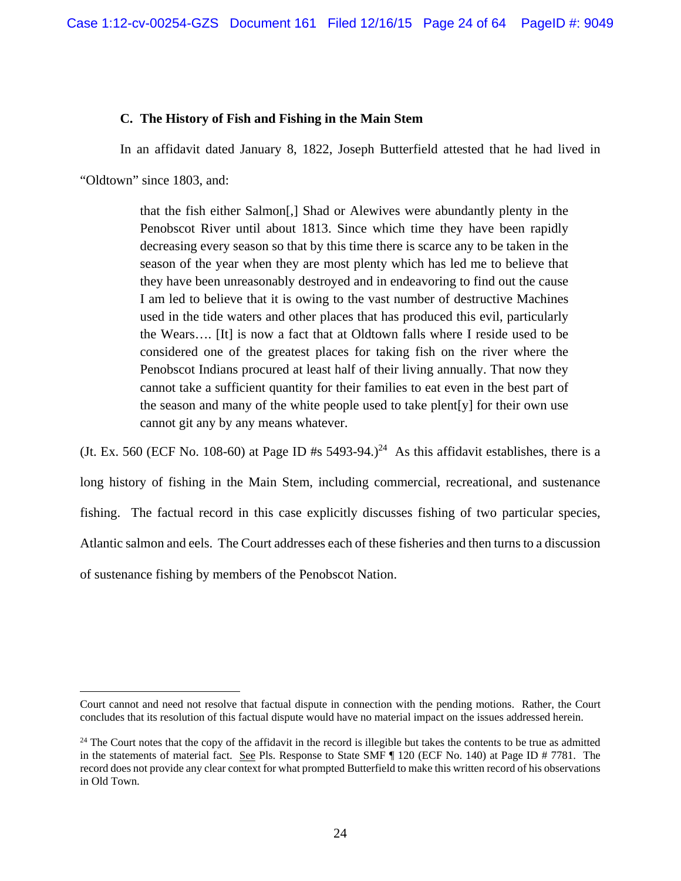## **C. The History of Fish and Fishing in the Main Stem**

In an affidavit dated January 8, 1822, Joseph Butterfield attested that he had lived in

"Oldtown" since 1803, and:

 $\overline{a}$ 

that the fish either Salmon[,] Shad or Alewives were abundantly plenty in the Penobscot River until about 1813. Since which time they have been rapidly decreasing every season so that by this time there is scarce any to be taken in the season of the year when they are most plenty which has led me to believe that they have been unreasonably destroyed and in endeavoring to find out the cause I am led to believe that it is owing to the vast number of destructive Machines used in the tide waters and other places that has produced this evil, particularly the Wears…. [It] is now a fact that at Oldtown falls where I reside used to be considered one of the greatest places for taking fish on the river where the Penobscot Indians procured at least half of their living annually. That now they cannot take a sufficient quantity for their families to eat even in the best part of the season and many of the white people used to take plent[y] for their own use cannot git any by any means whatever.

(Jt. Ex. 560 (ECF No. 108-60) at Page ID #s 5493-94.)<sup>24</sup> As this affidavit establishes, there is a long history of fishing in the Main Stem, including commercial, recreational, and sustenance fishing. The factual record in this case explicitly discusses fishing of two particular species, Atlantic salmon and eels. The Court addresses each of these fisheries and then turns to a discussion of sustenance fishing by members of the Penobscot Nation.

Court cannot and need not resolve that factual dispute in connection with the pending motions. Rather, the Court concludes that its resolution of this factual dispute would have no material impact on the issues addressed herein.

<sup>&</sup>lt;sup>24</sup> The Court notes that the copy of the affidavit in the record is illegible but takes the contents to be true as admitted in the statements of material fact. See Pls. Response to State SMF ¶ 120 (ECF No. 140) at Page ID # 7781. The record does not provide any clear context for what prompted Butterfield to make this written record of his observations in Old Town.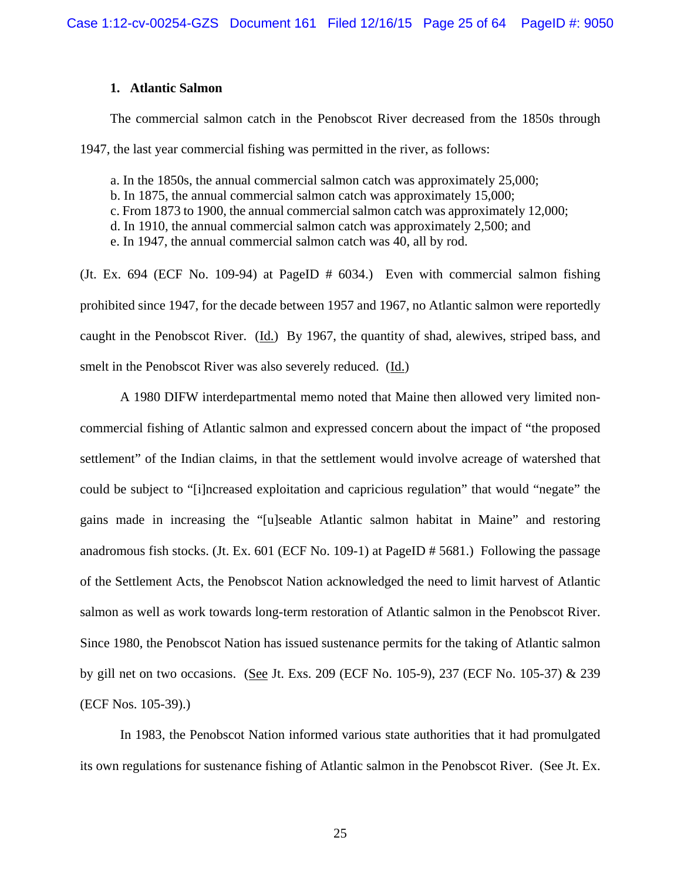## **1. Atlantic Salmon**

The commercial salmon catch in the Penobscot River decreased from the 1850s through 1947, the last year commercial fishing was permitted in the river, as follows:

a. In the 1850s, the annual commercial salmon catch was approximately 25,000; b. In 1875, the annual commercial salmon catch was approximately 15,000; c. From 1873 to 1900, the annual commercial salmon catch was approximately 12,000; d. In 1910, the annual commercial salmon catch was approximately 2,500; and e. In 1947, the annual commercial salmon catch was 40, all by rod.

(Jt. Ex. 694 (ECF No. 109-94) at PageID # 6034.) Even with commercial salmon fishing prohibited since 1947, for the decade between 1957 and 1967, no Atlantic salmon were reportedly caught in the Penobscot River. (Id.) By 1967, the quantity of shad, alewives, striped bass, and smelt in the Penobscot River was also severely reduced. (Id.)

A 1980 DIFW interdepartmental memo noted that Maine then allowed very limited noncommercial fishing of Atlantic salmon and expressed concern about the impact of "the proposed settlement" of the Indian claims, in that the settlement would involve acreage of watershed that could be subject to "[i]ncreased exploitation and capricious regulation" that would "negate" the gains made in increasing the "[u]seable Atlantic salmon habitat in Maine" and restoring anadromous fish stocks. (Jt. Ex. 601 (ECF No. 109-1) at PageID # 5681.) Following the passage of the Settlement Acts, the Penobscot Nation acknowledged the need to limit harvest of Atlantic salmon as well as work towards long-term restoration of Atlantic salmon in the Penobscot River. Since 1980, the Penobscot Nation has issued sustenance permits for the taking of Atlantic salmon by gill net on two occasions. (See Jt. Exs. 209 (ECF No. 105-9), 237 (ECF No. 105-37) & 239 (ECF Nos. 105-39).)

In 1983, the Penobscot Nation informed various state authorities that it had promulgated its own regulations for sustenance fishing of Atlantic salmon in the Penobscot River. (See Jt. Ex.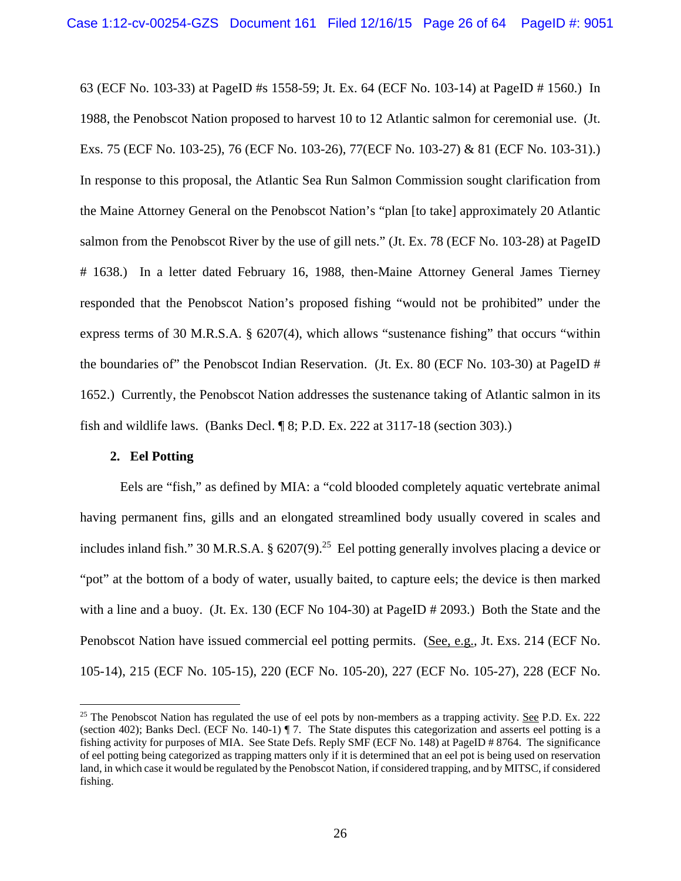63 (ECF No. 103-33) at PageID #s 1558-59; Jt. Ex. 64 (ECF No. 103-14) at PageID # 1560.) In 1988, the Penobscot Nation proposed to harvest 10 to 12 Atlantic salmon for ceremonial use. (Jt. Exs. 75 (ECF No. 103-25), 76 (ECF No. 103-26), 77(ECF No. 103-27) & 81 (ECF No. 103-31).) In response to this proposal, the Atlantic Sea Run Salmon Commission sought clarification from the Maine Attorney General on the Penobscot Nation's "plan [to take] approximately 20 Atlantic salmon from the Penobscot River by the use of gill nets." (Jt. Ex. 78 (ECF No. 103-28) at PageID # 1638.) In a letter dated February 16, 1988, then-Maine Attorney General James Tierney responded that the Penobscot Nation's proposed fishing "would not be prohibited" under the express terms of 30 M.R.S.A. § 6207(4), which allows "sustenance fishing" that occurs "within the boundaries of" the Penobscot Indian Reservation. (Jt. Ex. 80 (ECF No. 103-30) at PageID # 1652.) Currently, the Penobscot Nation addresses the sustenance taking of Atlantic salmon in its fish and wildlife laws. (Banks Decl. ¶ 8; P.D. Ex. 222 at 3117-18 (section 303).)

## **2. Eel Potting**

 $\overline{a}$ 

Eels are "fish," as defined by MIA: a "cold blooded completely aquatic vertebrate animal having permanent fins, gills and an elongated streamlined body usually covered in scales and includes inland fish." 30 M.R.S.A. §  $6207(9)$ .<sup>25</sup> Eel potting generally involves placing a device or "pot" at the bottom of a body of water, usually baited, to capture eels; the device is then marked with a line and a buoy. (Jt. Ex. 130 (ECF No 104-30) at PageID # 2093.) Both the State and the Penobscot Nation have issued commercial eel potting permits. (See, e.g., Jt. Exs. 214 (ECF No. 105-14), 215 (ECF No. 105-15), 220 (ECF No. 105-20), 227 (ECF No. 105-27), 228 (ECF No.

 $25$  The Penobscot Nation has regulated the use of eel pots by non-members as a trapping activity. See P.D. Ex. 222 (section 402); Banks Decl. (ECF No. 140-1) ¶ 7. The State disputes this categorization and asserts eel potting is a fishing activity for purposes of MIA. See State Defs. Reply SMF (ECF No. 148) at PageID # 8764. The significance of eel potting being categorized as trapping matters only if it is determined that an eel pot is being used on reservation land, in which case it would be regulated by the Penobscot Nation, if considered trapping, and by MITSC, if considered fishing.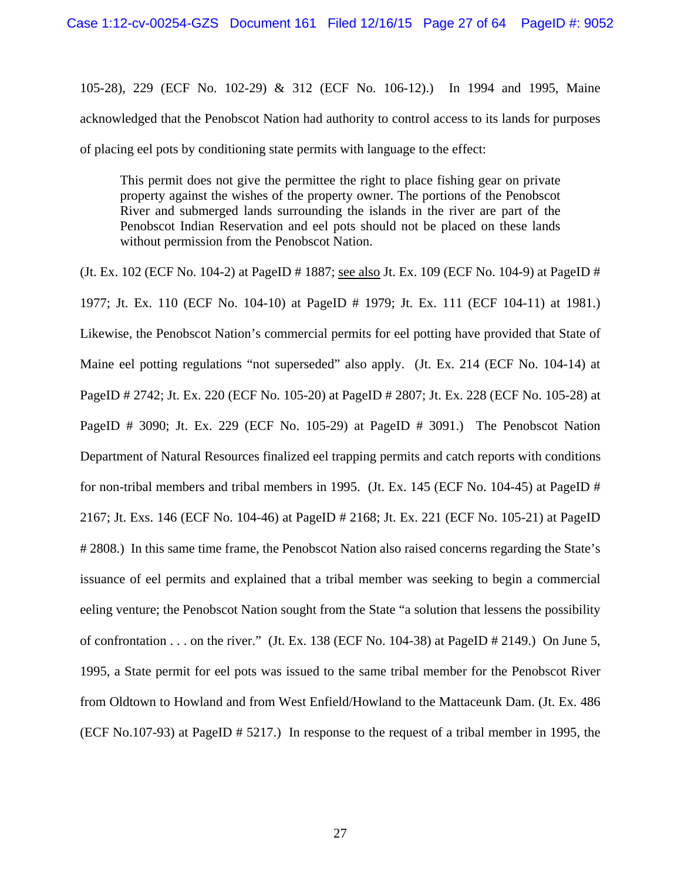105-28), 229 (ECF No. 102-29) & 312 (ECF No. 106-12).) In 1994 and 1995, Maine acknowledged that the Penobscot Nation had authority to control access to its lands for purposes of placing eel pots by conditioning state permits with language to the effect:

This permit does not give the permittee the right to place fishing gear on private property against the wishes of the property owner. The portions of the Penobscot River and submerged lands surrounding the islands in the river are part of the Penobscot Indian Reservation and eel pots should not be placed on these lands without permission from the Penobscot Nation.

(Jt. Ex. 102 (ECF No. 104-2) at PageID # 1887; see also Jt. Ex. 109 (ECF No. 104-9) at PageID # 1977; Jt. Ex. 110 (ECF No. 104-10) at PageID # 1979; Jt. Ex. 111 (ECF 104-11) at 1981.) Likewise, the Penobscot Nation's commercial permits for eel potting have provided that State of Maine eel potting regulations "not superseded" also apply. (Jt. Ex. 214 (ECF No. 104-14) at PageID # 2742; Jt. Ex. 220 (ECF No. 105-20) at PageID # 2807; Jt. Ex. 228 (ECF No. 105-28) at PageID # 3090; Jt. Ex. 229 (ECF No. 105-29) at PageID # 3091.) The Penobscot Nation Department of Natural Resources finalized eel trapping permits and catch reports with conditions for non-tribal members and tribal members in 1995. (Jt. Ex. 145 (ECF No. 104-45) at PageID # 2167; Jt. Exs. 146 (ECF No. 104-46) at PageID # 2168; Jt. Ex. 221 (ECF No. 105-21) at PageID # 2808.) In this same time frame, the Penobscot Nation also raised concerns regarding the State's issuance of eel permits and explained that a tribal member was seeking to begin a commercial eeling venture; the Penobscot Nation sought from the State "a solution that lessens the possibility of confrontation  $\dots$  on the river." (Jt. Ex. 138 (ECF No. 104-38) at PageID # 2149.) On June 5, 1995, a State permit for eel pots was issued to the same tribal member for the Penobscot River from Oldtown to Howland and from West Enfield/Howland to the Mattaceunk Dam. (Jt. Ex. 486 (ECF No.107-93) at PageID # 5217.) In response to the request of a tribal member in 1995, the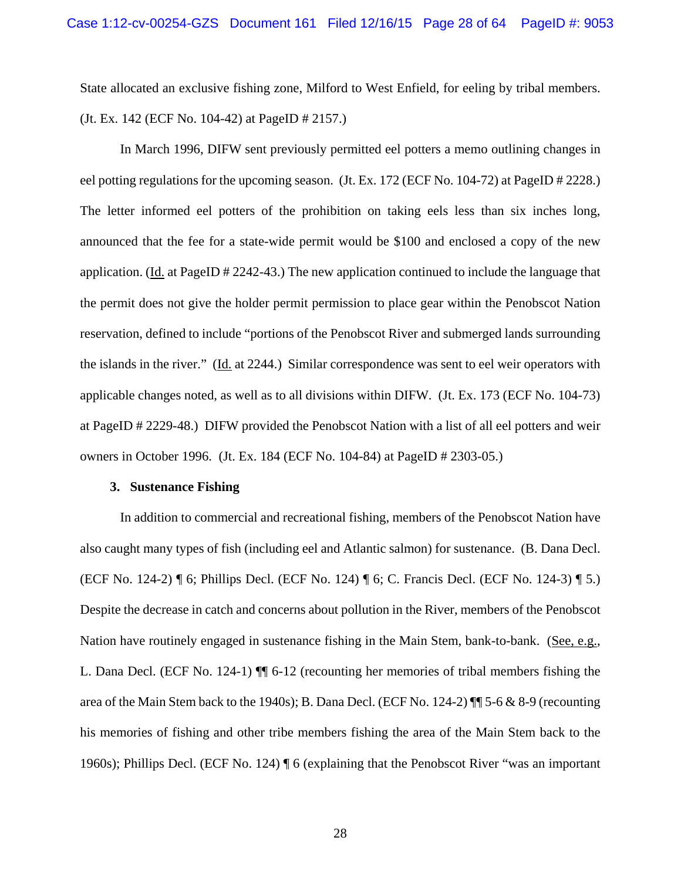State allocated an exclusive fishing zone, Milford to West Enfield, for eeling by tribal members. (Jt. Ex. 142 (ECF No. 104-42) at PageID # 2157.)

 In March 1996, DIFW sent previously permitted eel potters a memo outlining changes in eel potting regulations for the upcoming season. (Jt. Ex. 172 (ECF No. 104-72) at PageID # 2228.) The letter informed eel potters of the prohibition on taking eels less than six inches long, announced that the fee for a state-wide permit would be \$100 and enclosed a copy of the new application. (Id. at PageID # 2242-43.) The new application continued to include the language that the permit does not give the holder permit permission to place gear within the Penobscot Nation reservation, defined to include "portions of the Penobscot River and submerged lands surrounding the islands in the river." (Id. at 2244.) Similar correspondence was sent to eel weir operators with applicable changes noted, as well as to all divisions within DIFW. (Jt. Ex. 173 (ECF No. 104-73) at PageID # 2229-48.) DIFW provided the Penobscot Nation with a list of all eel potters and weir owners in October 1996. (Jt. Ex. 184 (ECF No. 104-84) at PageID # 2303-05.)

## **3. Sustenance Fishing**

In addition to commercial and recreational fishing, members of the Penobscot Nation have also caught many types of fish (including eel and Atlantic salmon) for sustenance. (B. Dana Decl. (ECF No. 124-2) ¶ 6; Phillips Decl. (ECF No. 124) ¶ 6; C. Francis Decl. (ECF No. 124-3) ¶ 5.) Despite the decrease in catch and concerns about pollution in the River, members of the Penobscot Nation have routinely engaged in sustenance fishing in the Main Stem, bank-to-bank. (See, e.g., L. Dana Decl. (ECF No. 124-1) ¶¶ 6-12 (recounting her memories of tribal members fishing the area of the Main Stem back to the 1940s); B. Dana Decl. (ECF No. 124-2) ¶¶ 5-6 & 8-9 (recounting his memories of fishing and other tribe members fishing the area of the Main Stem back to the 1960s); Phillips Decl. (ECF No. 124) ¶ 6 (explaining that the Penobscot River "was an important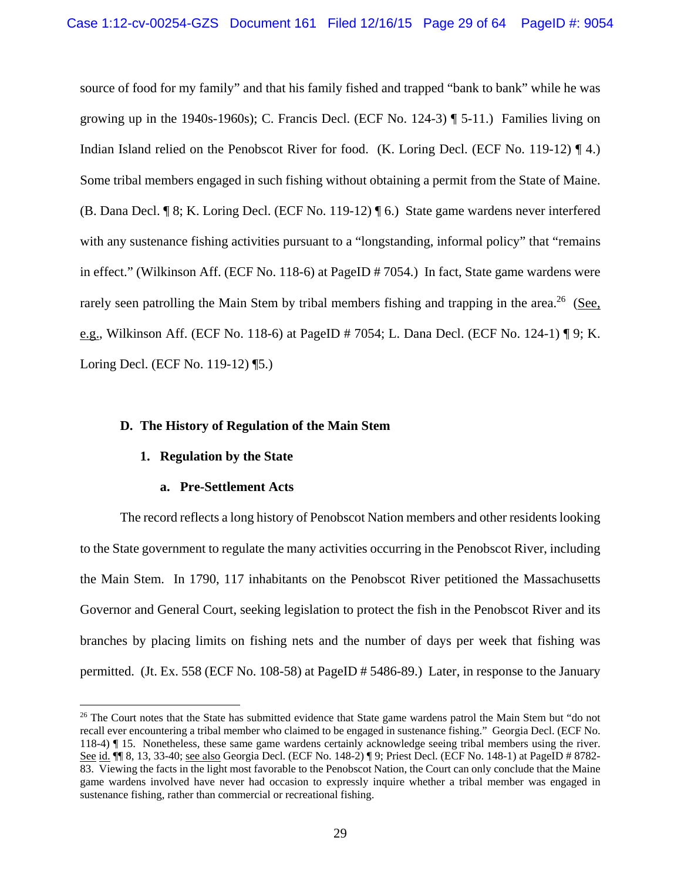source of food for my family" and that his family fished and trapped "bank to bank" while he was growing up in the 1940s-1960s); C. Francis Decl. (ECF No. 124-3) ¶ 5-11.) Families living on Indian Island relied on the Penobscot River for food. (K. Loring Decl. (ECF No. 119-12) ¶ 4.) Some tribal members engaged in such fishing without obtaining a permit from the State of Maine. (B. Dana Decl. ¶ 8; K. Loring Decl. (ECF No. 119-12) ¶ 6.) State game wardens never interfered with any sustenance fishing activities pursuant to a "longstanding, informal policy" that "remains" in effect." (Wilkinson Aff. (ECF No. 118-6) at PageID # 7054.) In fact, State game wardens were rarely seen patrolling the Main Stem by tribal members fishing and trapping in the area.<sup>26</sup> (See, e.g., Wilkinson Aff. (ECF No. 118-6) at PageID # 7054; L. Dana Decl. (ECF No. 124-1) ¶ 9; K. Loring Decl. (ECF No. 119-12) ¶5.)

## **D. The History of Regulation of the Main Stem**

# **1. Regulation by the State**

 $\overline{a}$ 

# **a. Pre-Settlement Acts**

The record reflects a long history of Penobscot Nation members and other residents looking to the State government to regulate the many activities occurring in the Penobscot River, including the Main Stem. In 1790, 117 inhabitants on the Penobscot River petitioned the Massachusetts Governor and General Court, seeking legislation to protect the fish in the Penobscot River and its branches by placing limits on fishing nets and the number of days per week that fishing was permitted. (Jt. Ex. 558 (ECF No. 108-58) at PageID # 5486-89.) Later, in response to the January

<sup>&</sup>lt;sup>26</sup> The Court notes that the State has submitted evidence that State game wardens patrol the Main Stem but "do not recall ever encountering a tribal member who claimed to be engaged in sustenance fishing." Georgia Decl. (ECF No. 118-4) ¶ 15. Nonetheless, these same game wardens certainly acknowledge seeing tribal members using the river. See id. ¶ 8, 13, 33-40; <u>see also</u> Georgia Decl. (ECF No. 148-2) ¶ 9; Priest Decl. (ECF No. 148-1) at PageID # 8782-83. Viewing the facts in the light most favorable to the Penobscot Nation, the Court can only conclude that the Maine game wardens involved have never had occasion to expressly inquire whether a tribal member was engaged in sustenance fishing, rather than commercial or recreational fishing.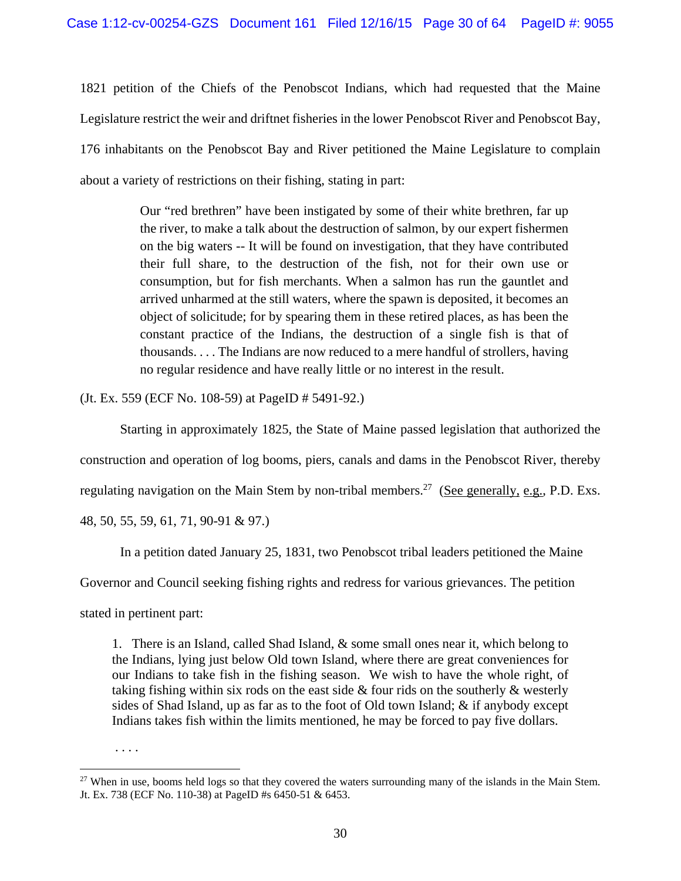1821 petition of the Chiefs of the Penobscot Indians, which had requested that the Maine Legislature restrict the weir and driftnet fisheries in the lower Penobscot River and Penobscot Bay, 176 inhabitants on the Penobscot Bay and River petitioned the Maine Legislature to complain about a variety of restrictions on their fishing, stating in part:

> Our "red brethren" have been instigated by some of their white brethren, far up the river, to make a talk about the destruction of salmon, by our expert fishermen on the big waters -- It will be found on investigation, that they have contributed their full share, to the destruction of the fish, not for their own use or consumption, but for fish merchants. When a salmon has run the gauntlet and arrived unharmed at the still waters, where the spawn is deposited, it becomes an object of solicitude; for by spearing them in these retired places, as has been the constant practice of the Indians, the destruction of a single fish is that of thousands. . . . The Indians are now reduced to a mere handful of strollers, having no regular residence and have really little or no interest in the result.

(Jt. Ex. 559 (ECF No. 108-59) at PageID # 5491-92.)

Starting in approximately 1825, the State of Maine passed legislation that authorized the construction and operation of log booms, piers, canals and dams in the Penobscot River, thereby regulating navigation on the Main Stem by non-tribal members.<sup>27</sup> (See generally, e.g., P.D. Exs. 48, 50, 55, 59, 61, 71, 90-91 & 97.)

In a petition dated January 25, 1831, two Penobscot tribal leaders petitioned the Maine

Governor and Council seeking fishing rights and redress for various grievances. The petition

stated in pertinent part:

. . . .

1

1. There is an Island, called Shad Island, & some small ones near it, which belong to the Indians, lying just below Old town Island, where there are great conveniences for our Indians to take fish in the fishing season. We wish to have the whole right, of taking fishing within six rods on the east side & four rids on the southerly & westerly sides of Shad Island, up as far as to the foot of Old town Island; & if anybody except Indians takes fish within the limits mentioned, he may be forced to pay five dollars.

<sup>&</sup>lt;sup>27</sup> When in use, booms held logs so that they covered the waters surrounding many of the islands in the Main Stem. Jt. Ex. 738 (ECF No. 110-38) at PageID #s 6450-51 & 6453.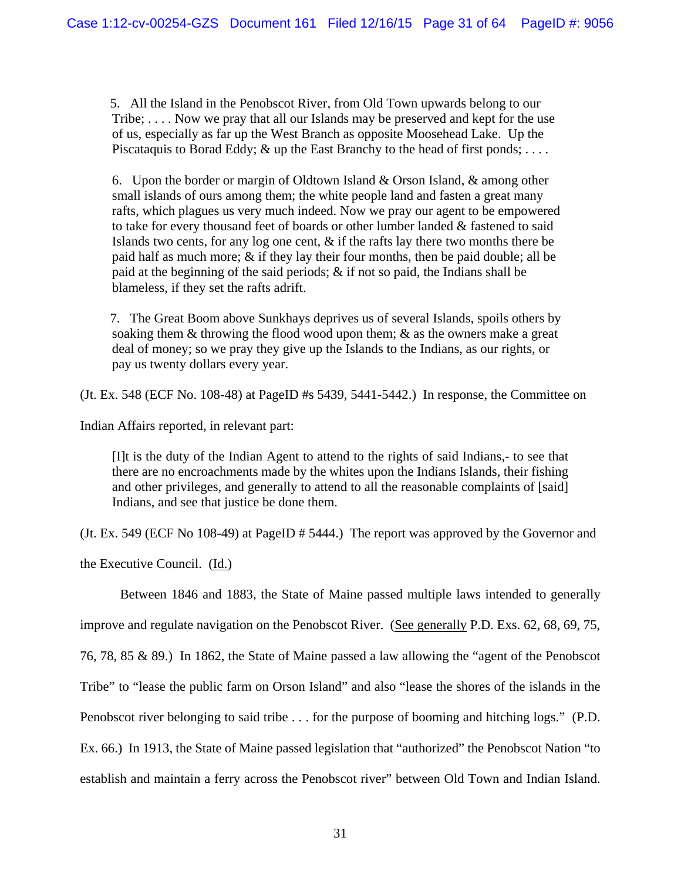5. All the Island in the Penobscot River, from Old Town upwards belong to our Tribe; . . . . Now we pray that all our Islands may be preserved and kept for the use of us, especially as far up the West Branch as opposite Moosehead Lake. Up the Piscataquis to Borad Eddy; & up the East Branchy to the head of first ponds; ....

6. Upon the border or margin of Oldtown Island & Orson Island, & among other small islands of ours among them; the white people land and fasten a great many rafts, which plagues us very much indeed. Now we pray our agent to be empowered to take for every thousand feet of boards or other lumber landed & fastened to said Islands two cents, for any log one cent, & if the rafts lay there two months there be paid half as much more; & if they lay their four months, then be paid double; all be paid at the beginning of the said periods;  $\&$  if not so paid, the Indians shall be blameless, if they set the rafts adrift.

7. The Great Boom above Sunkhays deprives us of several Islands, spoils others by soaking them & throwing the flood wood upon them; & as the owners make a great deal of money; so we pray they give up the Islands to the Indians, as our rights, or pay us twenty dollars every year.

(Jt. Ex. 548 (ECF No. 108-48) at PageID #s 5439, 5441-5442.) In response, the Committee on

Indian Affairs reported, in relevant part:

[I]t is the duty of the Indian Agent to attend to the rights of said Indians,- to see that there are no encroachments made by the whites upon the Indians Islands, their fishing and other privileges, and generally to attend to all the reasonable complaints of [said] Indians, and see that justice be done them.

(Jt. Ex. 549 (ECF No 108-49) at PageID # 5444.) The report was approved by the Governor and

the Executive Council. (Id.)

Between 1846 and 1883, the State of Maine passed multiple laws intended to generally improve and regulate navigation on the Penobscot River. (See generally P.D. Exs. 62, 68, 69, 75, 76, 78, 85 & 89.) In 1862, the State of Maine passed a law allowing the "agent of the Penobscot Tribe" to "lease the public farm on Orson Island" and also "lease the shores of the islands in the Penobscot river belonging to said tribe . . . for the purpose of booming and hitching logs." (P.D. Ex. 66.) In 1913, the State of Maine passed legislation that "authorized" the Penobscot Nation "to establish and maintain a ferry across the Penobscot river" between Old Town and Indian Island.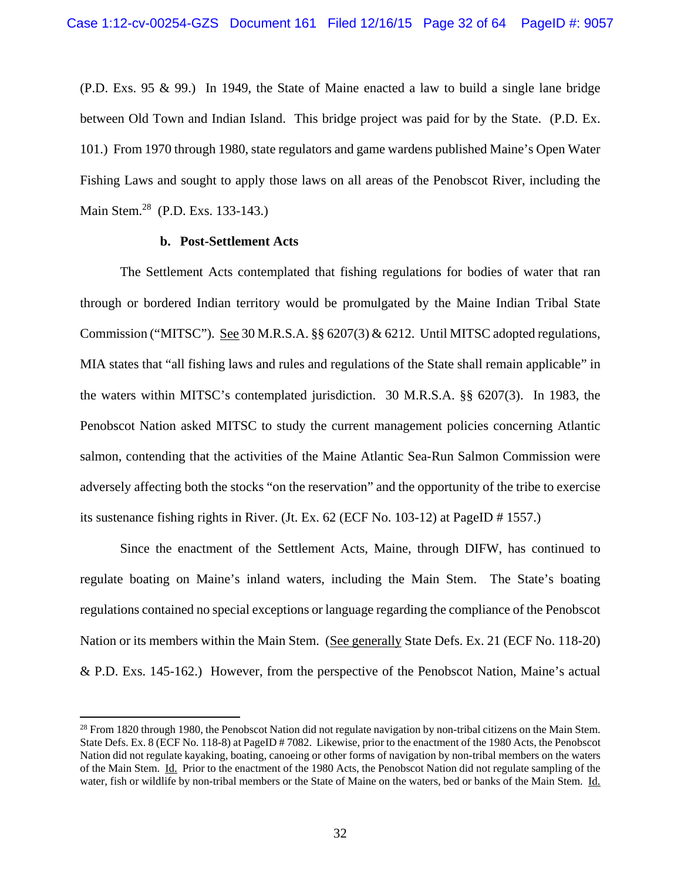(P.D. Exs. 95 & 99.) In 1949, the State of Maine enacted a law to build a single lane bridge between Old Town and Indian Island. This bridge project was paid for by the State. (P.D. Ex. 101.) From 1970 through 1980, state regulators and game wardens published Maine's Open Water Fishing Laws and sought to apply those laws on all areas of the Penobscot River, including the Main Stem.28 (P.D. Exs. 133-143.)

## **b. Post-Settlement Acts**

1

The Settlement Acts contemplated that fishing regulations for bodies of water that ran through or bordered Indian territory would be promulgated by the Maine Indian Tribal State Commission ("MITSC"). See 30 M.R.S.A. §§ 6207(3) & 6212. Until MITSC adopted regulations, MIA states that "all fishing laws and rules and regulations of the State shall remain applicable" in the waters within MITSC's contemplated jurisdiction. 30 M.R.S.A. §§ 6207(3). In 1983, the Penobscot Nation asked MITSC to study the current management policies concerning Atlantic salmon, contending that the activities of the Maine Atlantic Sea-Run Salmon Commission were adversely affecting both the stocks "on the reservation" and the opportunity of the tribe to exercise its sustenance fishing rights in River. (Jt. Ex. 62 (ECF No. 103-12) at PageID # 1557.)

Since the enactment of the Settlement Acts, Maine, through DIFW, has continued to regulate boating on Maine's inland waters, including the Main Stem. The State's boating regulations contained no special exceptions or language regarding the compliance of the Penobscot Nation or its members within the Main Stem. (See generally State Defs. Ex. 21 (ECF No. 118-20) & P.D. Exs. 145-162.) However, from the perspective of the Penobscot Nation, Maine's actual

 $^{28}$  From 1820 through 1980, the Penobscot Nation did not regulate navigation by non-tribal citizens on the Main Stem. State Defs. Ex. 8 (ECF No. 118-8) at PageID # 7082. Likewise, prior to the enactment of the 1980 Acts, the Penobscot Nation did not regulate kayaking, boating, canoeing or other forms of navigation by non-tribal members on the waters of the Main Stem. Id. Prior to the enactment of the 1980 Acts, the Penobscot Nation did not regulate sampling of the water, fish or wildlife by non-tribal members or the State of Maine on the waters, bed or banks of the Main Stem. Id.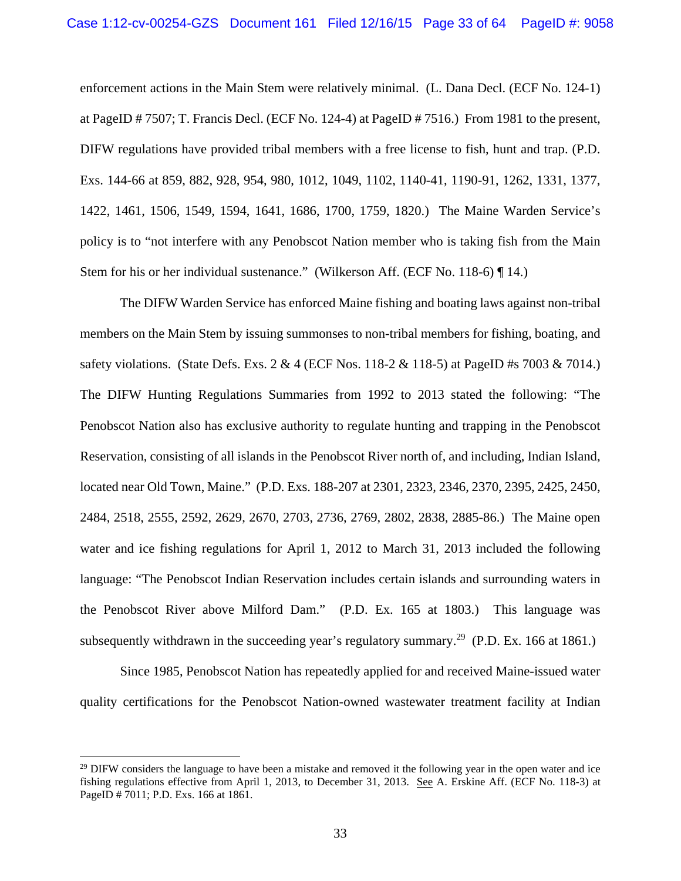enforcement actions in the Main Stem were relatively minimal. (L. Dana Decl. (ECF No. 124-1) at PageID # 7507; T. Francis Decl. (ECF No. 124-4) at PageID # 7516.) From 1981 to the present, DIFW regulations have provided tribal members with a free license to fish, hunt and trap. (P.D. Exs. 144-66 at 859, 882, 928, 954, 980, 1012, 1049, 1102, 1140-41, 1190-91, 1262, 1331, 1377, 1422, 1461, 1506, 1549, 1594, 1641, 1686, 1700, 1759, 1820.) The Maine Warden Service's policy is to "not interfere with any Penobscot Nation member who is taking fish from the Main Stem for his or her individual sustenance." (Wilkerson Aff. (ECF No. 118-6) ¶ 14.)

The DIFW Warden Service has enforced Maine fishing and boating laws against non-tribal members on the Main Stem by issuing summonses to non-tribal members for fishing, boating, and safety violations. (State Defs. Exs. 2 & 4 (ECF Nos. 118-2 & 118-5) at PageID #s 7003 & 7014.) The DIFW Hunting Regulations Summaries from 1992 to 2013 stated the following: "The Penobscot Nation also has exclusive authority to regulate hunting and trapping in the Penobscot Reservation, consisting of all islands in the Penobscot River north of, and including, Indian Island, located near Old Town, Maine." (P.D. Exs. 188-207 at 2301, 2323, 2346, 2370, 2395, 2425, 2450, 2484, 2518, 2555, 2592, 2629, 2670, 2703, 2736, 2769, 2802, 2838, 2885-86.) The Maine open water and ice fishing regulations for April 1, 2012 to March 31, 2013 included the following language: "The Penobscot Indian Reservation includes certain islands and surrounding waters in the Penobscot River above Milford Dam." (P.D. Ex. 165 at 1803.) This language was subsequently withdrawn in the succeeding year's regulatory summary.<sup>29</sup> (P.D. Ex. 166 at 1861.)

Since 1985, Penobscot Nation has repeatedly applied for and received Maine-issued water quality certifications for the Penobscot Nation-owned wastewater treatment facility at Indian

 $29$  DIFW considers the language to have been a mistake and removed it the following year in the open water and ice fishing regulations effective from April 1, 2013, to December 31, 2013. See A. Erskine Aff. (ECF No. 118-3) at PageID # 7011; P.D. Exs. 166 at 1861.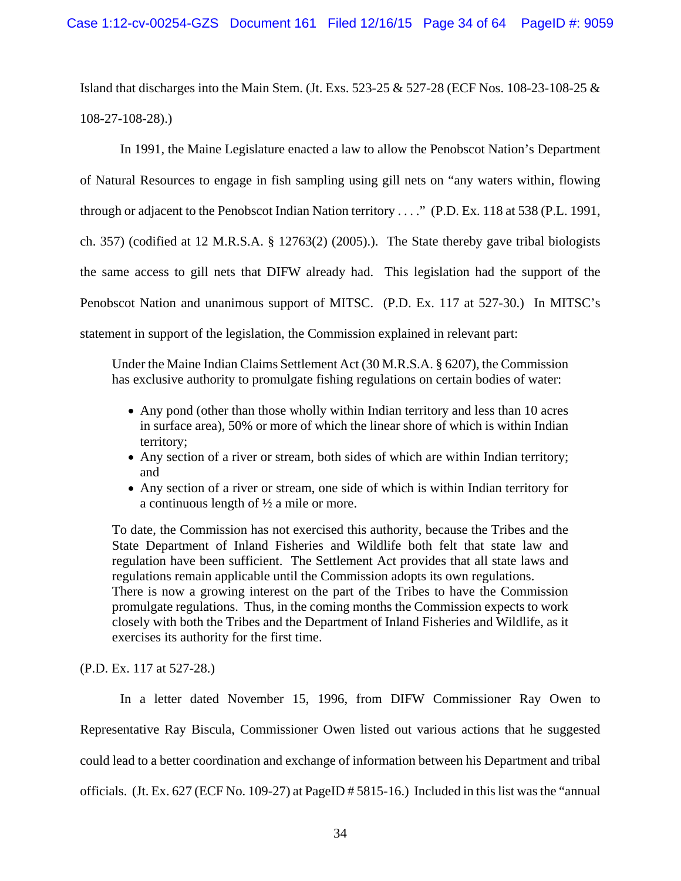Island that discharges into the Main Stem. (Jt. Exs. 523-25 & 527-28 (ECF Nos. 108-23-108-25 & 108-27-108-28).)

In 1991, the Maine Legislature enacted a law to allow the Penobscot Nation's Department of Natural Resources to engage in fish sampling using gill nets on "any waters within, flowing through or adjacent to the Penobscot Indian Nation territory . . . ." (P.D. Ex. 118 at 538 (P.L. 1991, ch. 357) (codified at 12 M.R.S.A. § 12763(2) (2005).). The State thereby gave tribal biologists the same access to gill nets that DIFW already had. This legislation had the support of the Penobscot Nation and unanimous support of MITSC. (P.D. Ex. 117 at 527-30.) In MITSC's statement in support of the legislation, the Commission explained in relevant part:

Under the Maine Indian Claims Settlement Act (30 M.R.S.A. § 6207), the Commission has exclusive authority to promulgate fishing regulations on certain bodies of water:

- Any pond (other than those wholly within Indian territory and less than 10 acres in surface area), 50% or more of which the linear shore of which is within Indian territory;
- Any section of a river or stream, both sides of which are within Indian territory; and
- Any section of a river or stream, one side of which is within Indian territory for a continuous length of ½ a mile or more.

To date, the Commission has not exercised this authority, because the Tribes and the State Department of Inland Fisheries and Wildlife both felt that state law and regulation have been sufficient. The Settlement Act provides that all state laws and regulations remain applicable until the Commission adopts its own regulations. There is now a growing interest on the part of the Tribes to have the Commission promulgate regulations. Thus, in the coming months the Commission expects to work closely with both the Tribes and the Department of Inland Fisheries and Wildlife, as it exercises its authority for the first time.

(P.D. Ex. 117 at 527-28.)

In a letter dated November 15, 1996, from DIFW Commissioner Ray Owen to Representative Ray Biscula, Commissioner Owen listed out various actions that he suggested could lead to a better coordination and exchange of information between his Department and tribal officials. (Jt. Ex. 627 (ECF No. 109-27) at PageID # 5815-16.) Included in this list was the "annual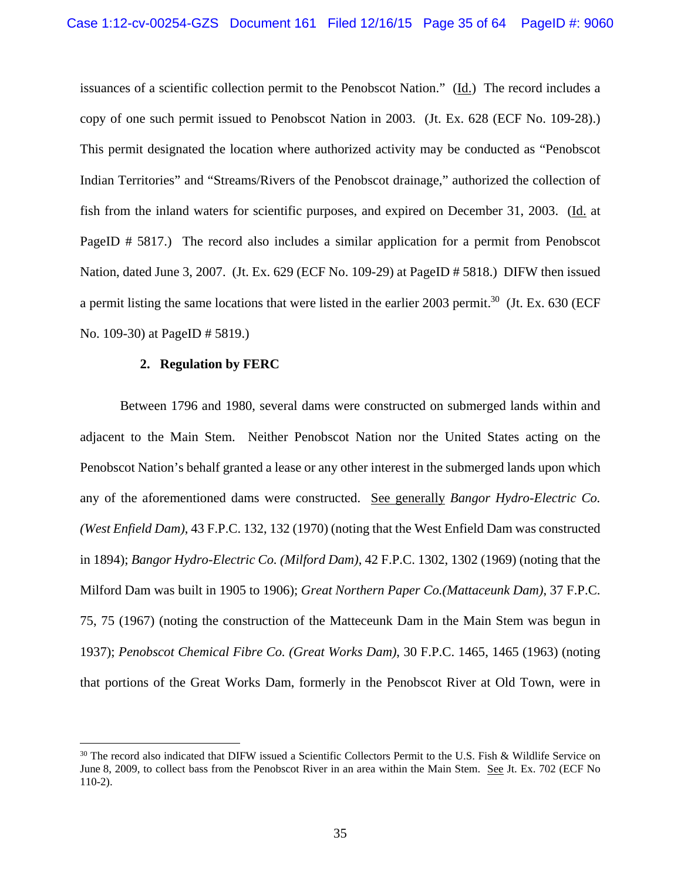issuances of a scientific collection permit to the Penobscot Nation." (Id.) The record includes a copy of one such permit issued to Penobscot Nation in 2003. (Jt. Ex. 628 (ECF No. 109-28).) This permit designated the location where authorized activity may be conducted as "Penobscot Indian Territories" and "Streams/Rivers of the Penobscot drainage," authorized the collection of fish from the inland waters for scientific purposes, and expired on December 31, 2003. (Id. at PageID # 5817.) The record also includes a similar application for a permit from Penobscot Nation, dated June 3, 2007. (Jt. Ex. 629 (ECF No. 109-29) at PageID # 5818.) DIFW then issued a permit listing the same locations that were listed in the earlier 2003 permit.<sup>30</sup> (Jt. Ex. 630 (ECF) No. 109-30) at PageID # 5819.)

#### **2. Regulation by FERC**

<u>.</u>

Between 1796 and 1980, several dams were constructed on submerged lands within and adjacent to the Main Stem. Neither Penobscot Nation nor the United States acting on the Penobscot Nation's behalf granted a lease or any other interest in the submerged lands upon which any of the aforementioned dams were constructed. See generally *Bangor Hydro-Electric Co. (West Enfield Dam)*, 43 F.P.C. 132, 132 (1970) (noting that the West Enfield Dam was constructed in 1894); *Bangor Hydro-Electric Co. (Milford Dam)*, 42 F.P.C. 1302, 1302 (1969) (noting that the Milford Dam was built in 1905 to 1906); *Great Northern Paper Co.(Mattaceunk Dam)*, 37 F.P.C. 75, 75 (1967) (noting the construction of the Matteceunk Dam in the Main Stem was begun in 1937); *Penobscot Chemical Fibre Co. (Great Works Dam)*, 30 F.P.C. 1465, 1465 (1963) (noting that portions of the Great Works Dam, formerly in the Penobscot River at Old Town, were in

<sup>&</sup>lt;sup>30</sup> The record also indicated that DIFW issued a Scientific Collectors Permit to the U.S. Fish & Wildlife Service on June 8, 2009, to collect bass from the Penobscot River in an area within the Main Stem. See Jt. Ex. 702 (ECF No 110-2).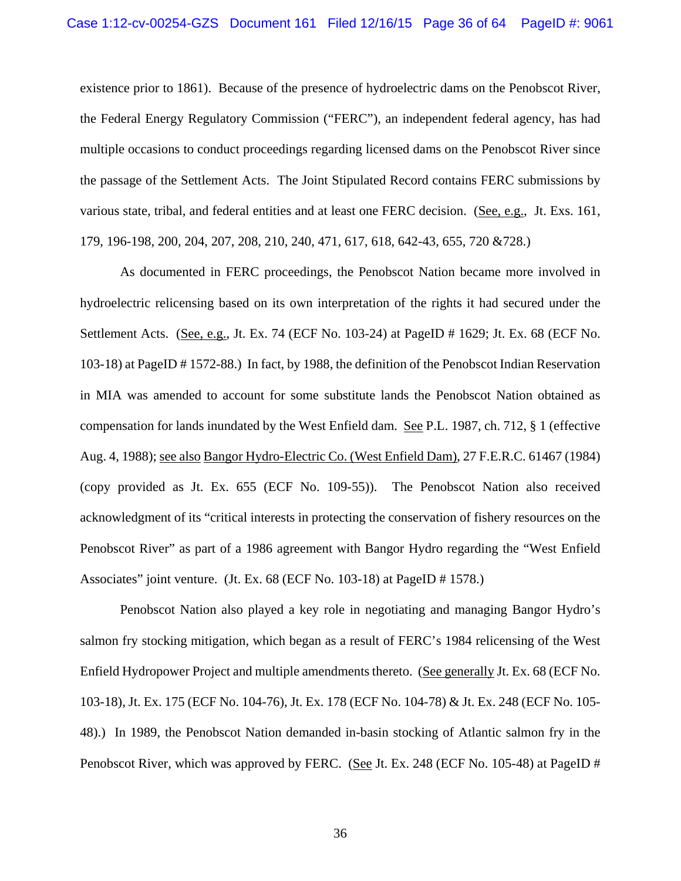existence prior to 1861). Because of the presence of hydroelectric dams on the Penobscot River, the Federal Energy Regulatory Commission ("FERC"), an independent federal agency, has had multiple occasions to conduct proceedings regarding licensed dams on the Penobscot River since the passage of the Settlement Acts. The Joint Stipulated Record contains FERC submissions by various state, tribal, and federal entities and at least one FERC decision. (See, e.g., Jt. Exs. 161, 179, 196-198, 200, 204, 207, 208, 210, 240, 471, 617, 618, 642-43, 655, 720 &728.)

As documented in FERC proceedings, the Penobscot Nation became more involved in hydroelectric relicensing based on its own interpretation of the rights it had secured under the Settlement Acts. (See, e.g., Jt. Ex. 74 (ECF No. 103-24) at PageID # 1629; Jt. Ex. 68 (ECF No. 103-18) at PageID # 1572-88.) In fact, by 1988, the definition of the Penobscot Indian Reservation in MIA was amended to account for some substitute lands the Penobscot Nation obtained as compensation for lands inundated by the West Enfield dam. See P.L. 1987, ch. 712, § 1 (effective Aug. 4, 1988); see also Bangor Hydro-Electric Co. (West Enfield Dam), 27 F.E.R.C. 61467 (1984) (copy provided as Jt. Ex. 655 (ECF No. 109-55)). The Penobscot Nation also received acknowledgment of its "critical interests in protecting the conservation of fishery resources on the Penobscot River" as part of a 1986 agreement with Bangor Hydro regarding the "West Enfield Associates" joint venture. (Jt. Ex. 68 (ECF No. 103-18) at PageID # 1578.)

Penobscot Nation also played a key role in negotiating and managing Bangor Hydro's salmon fry stocking mitigation, which began as a result of FERC's 1984 relicensing of the West Enfield Hydropower Project and multiple amendments thereto. (See generally Jt. Ex. 68 (ECF No. 103-18), Jt. Ex. 175 (ECF No. 104-76), Jt. Ex. 178 (ECF No. 104-78) & Jt. Ex. 248 (ECF No. 105- 48).) In 1989, the Penobscot Nation demanded in-basin stocking of Atlantic salmon fry in the Penobscot River, which was approved by FERC. (See Jt. Ex. 248 (ECF No. 105-48) at PageID #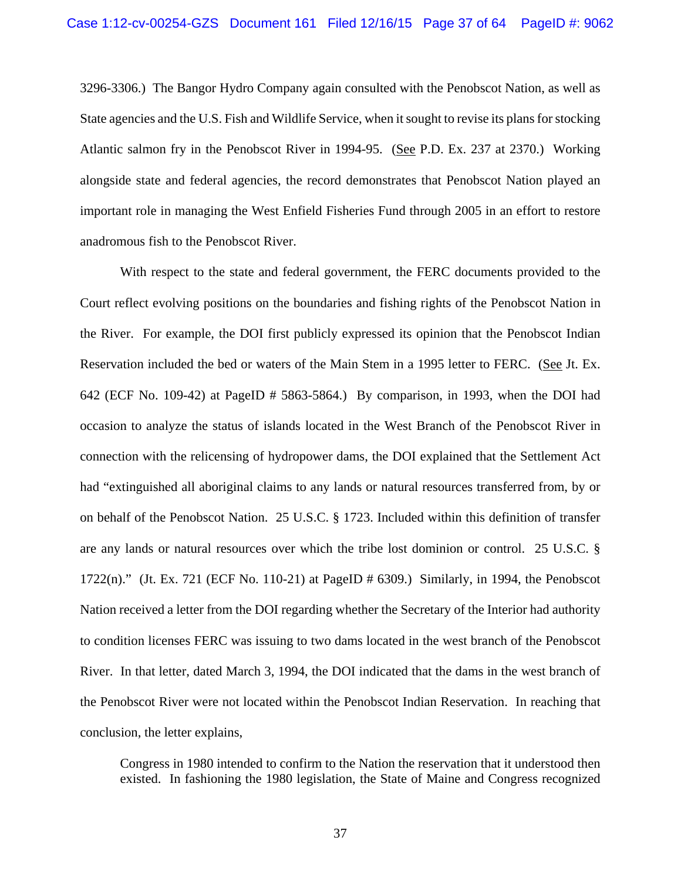3296-3306.) The Bangor Hydro Company again consulted with the Penobscot Nation, as well as State agencies and the U.S. Fish and Wildlife Service, when it sought to revise its plans for stocking Atlantic salmon fry in the Penobscot River in 1994-95. (See P.D. Ex. 237 at 2370.) Working alongside state and federal agencies, the record demonstrates that Penobscot Nation played an important role in managing the West Enfield Fisheries Fund through 2005 in an effort to restore anadromous fish to the Penobscot River.

With respect to the state and federal government, the FERC documents provided to the Court reflect evolving positions on the boundaries and fishing rights of the Penobscot Nation in the River. For example, the DOI first publicly expressed its opinion that the Penobscot Indian Reservation included the bed or waters of the Main Stem in a 1995 letter to FERC. (See Jt. Ex. 642 (ECF No. 109-42) at PageID # 5863-5864.) By comparison, in 1993, when the DOI had occasion to analyze the status of islands located in the West Branch of the Penobscot River in connection with the relicensing of hydropower dams, the DOI explained that the Settlement Act had "extinguished all aboriginal claims to any lands or natural resources transferred from, by or on behalf of the Penobscot Nation. 25 U.S.C. § 1723. Included within this definition of transfer are any lands or natural resources over which the tribe lost dominion or control. 25 U.S.C. §  $1722(n)$ ." (Jt. Ex. 721 (ECF No. 110-21) at PageID # 6309.) Similarly, in 1994, the Penobscot Nation received a letter from the DOI regarding whether the Secretary of the Interior had authority to condition licenses FERC was issuing to two dams located in the west branch of the Penobscot River. In that letter, dated March 3, 1994, the DOI indicated that the dams in the west branch of the Penobscot River were not located within the Penobscot Indian Reservation. In reaching that conclusion, the letter explains,

Congress in 1980 intended to confirm to the Nation the reservation that it understood then existed. In fashioning the 1980 legislation, the State of Maine and Congress recognized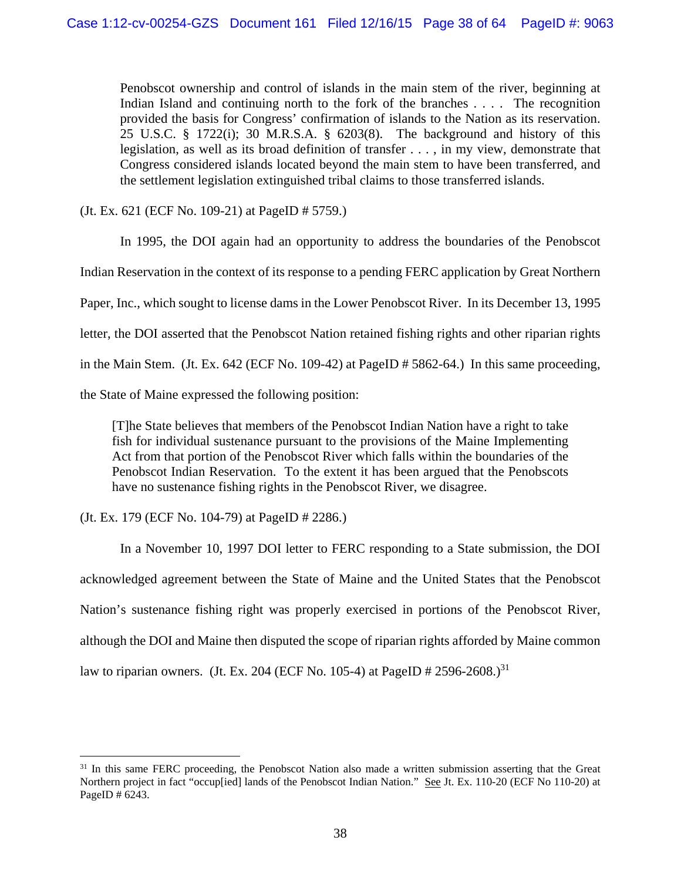Penobscot ownership and control of islands in the main stem of the river, beginning at Indian Island and continuing north to the fork of the branches . . . . The recognition provided the basis for Congress' confirmation of islands to the Nation as its reservation. 25 U.S.C. § 1722(i); 30 M.R.S.A. § 6203(8). The background and history of this legislation, as well as its broad definition of transfer . . . , in my view, demonstrate that Congress considered islands located beyond the main stem to have been transferred, and the settlement legislation extinguished tribal claims to those transferred islands.

(Jt. Ex. 621 (ECF No. 109-21) at PageID # 5759.)

 In 1995, the DOI again had an opportunity to address the boundaries of the Penobscot Indian Reservation in the context of its response to a pending FERC application by Great Northern Paper, Inc., which sought to license dams in the Lower Penobscot River. In its December 13, 1995 letter, the DOI asserted that the Penobscot Nation retained fishing rights and other riparian rights in the Main Stem. (Jt. Ex. 642 (ECF No. 109-42) at PageID # 5862-64.) In this same proceeding, the State of Maine expressed the following position:

[T]he State believes that members of the Penobscot Indian Nation have a right to take fish for individual sustenance pursuant to the provisions of the Maine Implementing Act from that portion of the Penobscot River which falls within the boundaries of the Penobscot Indian Reservation. To the extent it has been argued that the Penobscots have no sustenance fishing rights in the Penobscot River, we disagree.

(Jt. Ex. 179 (ECF No. 104-79) at PageID # 2286.)

 $\overline{a}$ 

In a November 10, 1997 DOI letter to FERC responding to a State submission, the DOI acknowledged agreement between the State of Maine and the United States that the Penobscot Nation's sustenance fishing right was properly exercised in portions of the Penobscot River, although the DOI and Maine then disputed the scope of riparian rights afforded by Maine common law to riparian owners. (Jt. Ex. 204 (ECF No. 105-4) at PageID # 2596-2608.)<sup>31</sup>

<sup>&</sup>lt;sup>31</sup> In this same FERC proceeding, the Penobscot Nation also made a written submission asserting that the Great Northern project in fact "occup[ied] lands of the Penobscot Indian Nation." See Jt. Ex. 110-20 (ECF No 110-20) at PageID # 6243.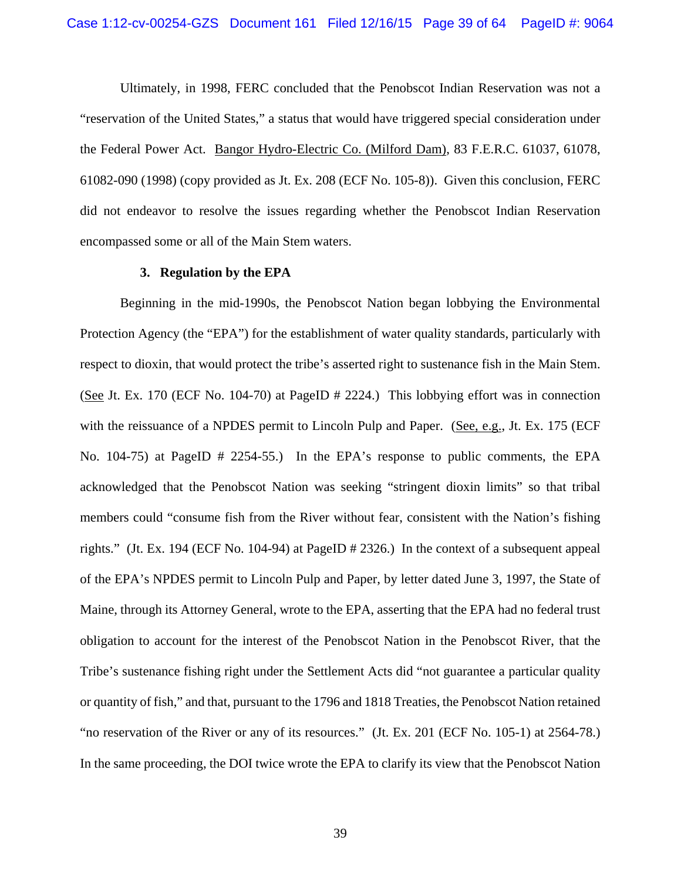Ultimately, in 1998, FERC concluded that the Penobscot Indian Reservation was not a "reservation of the United States," a status that would have triggered special consideration under the Federal Power Act. Bangor Hydro-Electric Co. (Milford Dam), 83 F.E.R.C. 61037, 61078, 61082-090 (1998) (copy provided as Jt. Ex. 208 (ECF No. 105-8)). Given this conclusion, FERC did not endeavor to resolve the issues regarding whether the Penobscot Indian Reservation encompassed some or all of the Main Stem waters.

#### **3. Regulation by the EPA**

Beginning in the mid-1990s, the Penobscot Nation began lobbying the Environmental Protection Agency (the "EPA") for the establishment of water quality standards, particularly with respect to dioxin, that would protect the tribe's asserted right to sustenance fish in the Main Stem. (See Jt. Ex. 170 (ECF No. 104-70) at PageID # 2224.) This lobbying effort was in connection with the reissuance of a NPDES permit to Lincoln Pulp and Paper. (See, e.g., Jt. Ex. 175 (ECF) No. 104-75) at PageID # 2254-55.) In the EPA's response to public comments, the EPA acknowledged that the Penobscot Nation was seeking "stringent dioxin limits" so that tribal members could "consume fish from the River without fear, consistent with the Nation's fishing rights." (Jt. Ex. 194 (ECF No. 104-94) at PageID # 2326.) In the context of a subsequent appeal of the EPA's NPDES permit to Lincoln Pulp and Paper, by letter dated June 3, 1997, the State of Maine, through its Attorney General, wrote to the EPA, asserting that the EPA had no federal trust obligation to account for the interest of the Penobscot Nation in the Penobscot River, that the Tribe's sustenance fishing right under the Settlement Acts did "not guarantee a particular quality or quantity of fish," and that, pursuant to the 1796 and 1818 Treaties, the Penobscot Nation retained "no reservation of the River or any of its resources." (Jt. Ex. 201 (ECF No. 105-1) at 2564-78.) In the same proceeding, the DOI twice wrote the EPA to clarify its view that the Penobscot Nation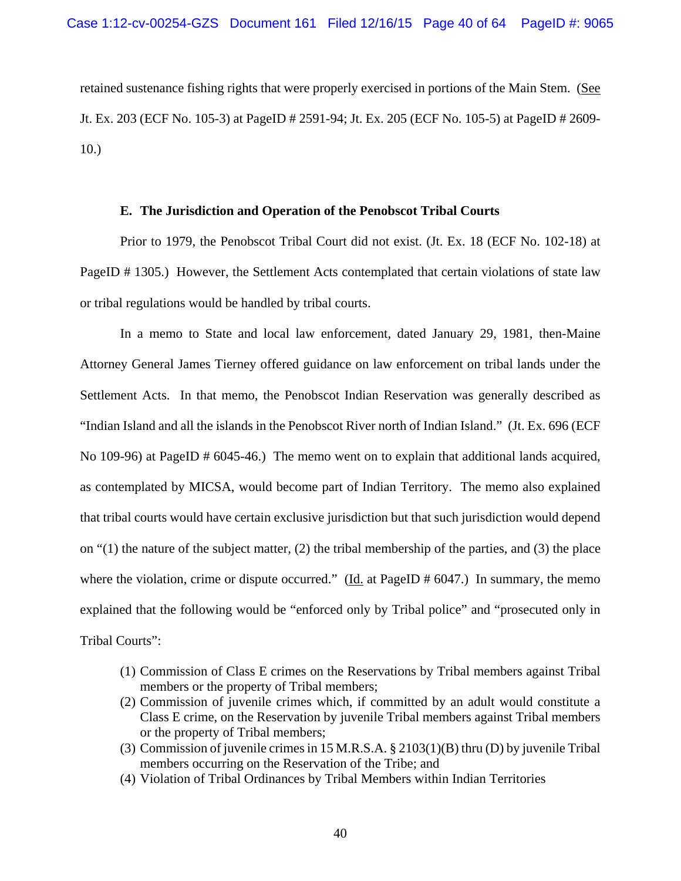retained sustenance fishing rights that were properly exercised in portions of the Main Stem. (See Jt. Ex. 203 (ECF No. 105-3) at PageID # 2591-94; Jt. Ex. 205 (ECF No. 105-5) at PageID # 2609- 10.)

## **E. The Jurisdiction and Operation of the Penobscot Tribal Courts**

Prior to 1979, the Penobscot Tribal Court did not exist. (Jt. Ex. 18 (ECF No. 102-18) at PageID # 1305.) However, the Settlement Acts contemplated that certain violations of state law or tribal regulations would be handled by tribal courts.

In a memo to State and local law enforcement, dated January 29, 1981, then-Maine Attorney General James Tierney offered guidance on law enforcement on tribal lands under the Settlement Acts. In that memo, the Penobscot Indian Reservation was generally described as "Indian Island and all the islands in the Penobscot River north of Indian Island." (Jt. Ex. 696 (ECF No 109-96) at PageID # 6045-46.) The memo went on to explain that additional lands acquired, as contemplated by MICSA, would become part of Indian Territory. The memo also explained that tribal courts would have certain exclusive jurisdiction but that such jurisdiction would depend on "(1) the nature of the subject matter, (2) the tribal membership of the parties, and (3) the place where the violation, crime or dispute occurred." ( $\underline{Id}$  at PageID # 6047.) In summary, the memo explained that the following would be "enforced only by Tribal police" and "prosecuted only in Tribal Courts":

- (1) Commission of Class E crimes on the Reservations by Tribal members against Tribal members or the property of Tribal members;
- (2) Commission of juvenile crimes which, if committed by an adult would constitute a Class E crime, on the Reservation by juvenile Tribal members against Tribal members or the property of Tribal members;
- (3) Commission of juvenile crimes in 15 M.R.S.A. § 2103(1)(B) thru (D) by juvenile Tribal members occurring on the Reservation of the Tribe; and
- (4) Violation of Tribal Ordinances by Tribal Members within Indian Territories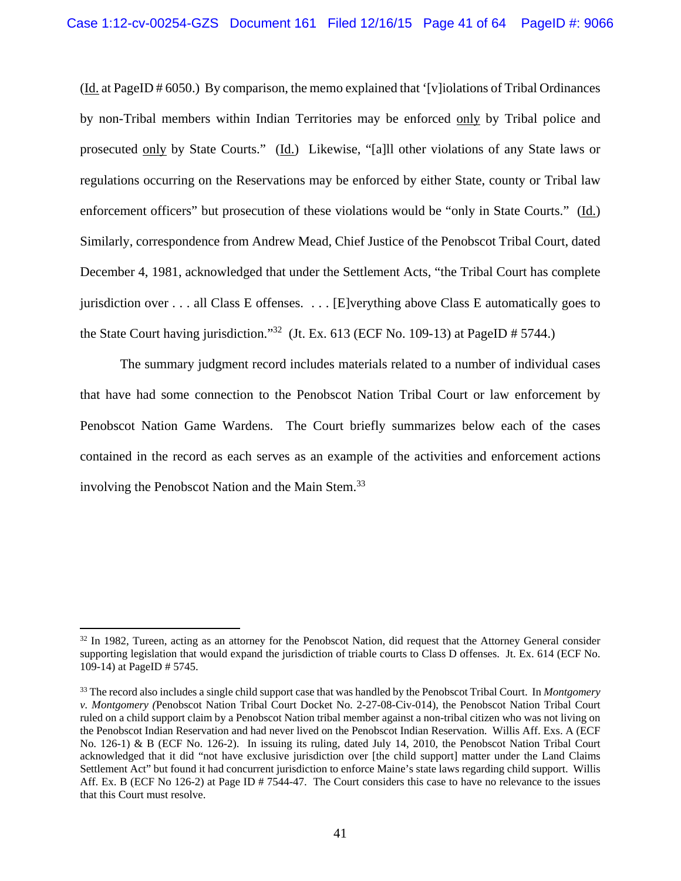(Id. at PageID # 6050.) By comparison, the memo explained that '[v]iolations of Tribal Ordinances by non-Tribal members within Indian Territories may be enforced only by Tribal police and prosecuted only by State Courts." (Id.) Likewise, "[a]ll other violations of any State laws or regulations occurring on the Reservations may be enforced by either State, county or Tribal law enforcement officers" but prosecution of these violations would be "only in State Courts." (Id.) Similarly, correspondence from Andrew Mead, Chief Justice of the Penobscot Tribal Court, dated December 4, 1981, acknowledged that under the Settlement Acts, "the Tribal Court has complete jurisdiction over . . . all Class E offenses. . . . [E]verything above Class E automatically goes to the State Court having jurisdiction."<sup>32</sup> (Jt. Ex. 613 (ECF No. 109-13) at PageID # 5744.)

 The summary judgment record includes materials related to a number of individual cases that have had some connection to the Penobscot Nation Tribal Court or law enforcement by Penobscot Nation Game Wardens. The Court briefly summarizes below each of the cases contained in the record as each serves as an example of the activities and enforcement actions involving the Penobscot Nation and the Main Stem.<sup>33</sup>

<sup>&</sup>lt;sup>32</sup> In 1982, Tureen, acting as an attorney for the Penobscot Nation, did request that the Attorney General consider supporting legislation that would expand the jurisdiction of triable courts to Class D offenses. Jt. Ex. 614 (ECF No. 109-14) at PageID # 5745.

<sup>33</sup> The record also includes a single child support case that was handled by the Penobscot Tribal Court. In *Montgomery v. Montgomery (*Penobscot Nation Tribal Court Docket No. 2-27-08-Civ-014), the Penobscot Nation Tribal Court ruled on a child support claim by a Penobscot Nation tribal member against a non-tribal citizen who was not living on the Penobscot Indian Reservation and had never lived on the Penobscot Indian Reservation. Willis Aff. Exs. A (ECF No. 126-1) & B (ECF No. 126-2). In issuing its ruling, dated July 14, 2010, the Penobscot Nation Tribal Court acknowledged that it did "not have exclusive jurisdiction over [the child support] matter under the Land Claims Settlement Act" but found it had concurrent jurisdiction to enforce Maine's state laws regarding child support. Willis Aff. Ex. B (ECF No 126-2) at Page ID # 7544-47. The Court considers this case to have no relevance to the issues that this Court must resolve.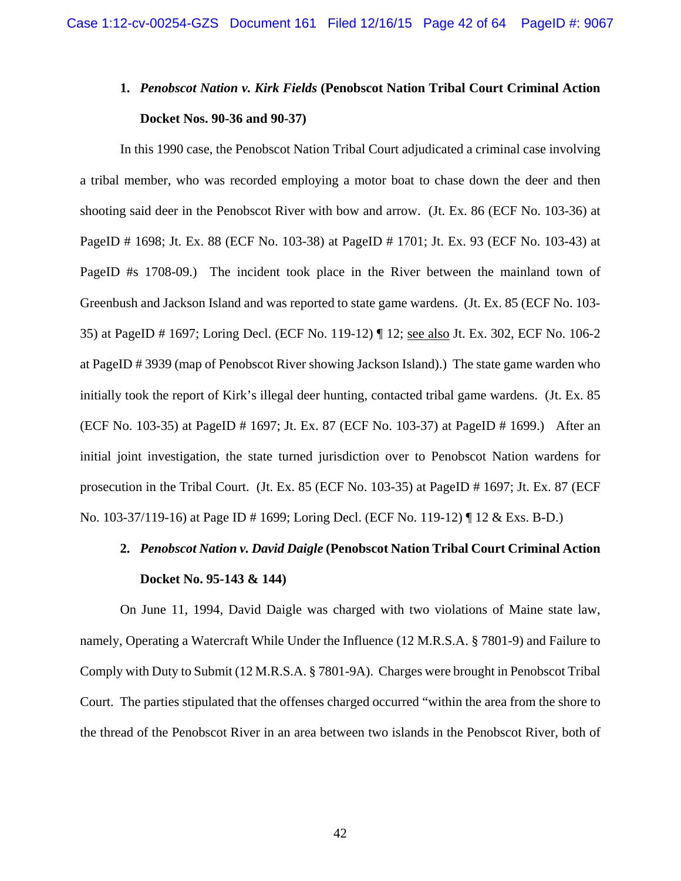# **1.** *Penobscot Nation v. Kirk Fields* **(Penobscot Nation Tribal Court Criminal Action Docket Nos. 90-36 and 90-37)**

In this 1990 case, the Penobscot Nation Tribal Court adjudicated a criminal case involving a tribal member, who was recorded employing a motor boat to chase down the deer and then shooting said deer in the Penobscot River with bow and arrow. (Jt. Ex. 86 (ECF No. 103-36) at PageID # 1698; Jt. Ex. 88 (ECF No. 103-38) at PageID # 1701; Jt. Ex. 93 (ECF No. 103-43) at PageID #s 1708-09.) The incident took place in the River between the mainland town of Greenbush and Jackson Island and was reported to state game wardens. (Jt. Ex. 85 (ECF No. 103- 35) at PageID # 1697; Loring Decl. (ECF No. 119-12) ¶ 12; see also Jt. Ex. 302, ECF No. 106-2 at PageID # 3939 (map of Penobscot River showing Jackson Island).) The state game warden who initially took the report of Kirk's illegal deer hunting, contacted tribal game wardens. (Jt. Ex. 85 (ECF No. 103-35) at PageID # 1697; Jt. Ex. 87 (ECF No. 103-37) at PageID # 1699.) After an initial joint investigation, the state turned jurisdiction over to Penobscot Nation wardens for prosecution in the Tribal Court. (Jt. Ex. 85 (ECF No. 103-35) at PageID # 1697; Jt. Ex. 87 (ECF No. 103-37/119-16) at Page ID # 1699; Loring Decl. (ECF No. 119-12) ¶ 12 & Exs. B-D.)

# **2.** *Penobscot Nation v. David Daigle* **(Penobscot Nation Tribal Court Criminal Action Docket No. 95-143 & 144)**

 On June 11, 1994, David Daigle was charged with two violations of Maine state law, namely, Operating a Watercraft While Under the Influence (12 M.R.S.A. § 7801-9) and Failure to Comply with Duty to Submit (12 M.R.S.A. § 7801-9A). Charges were brought in Penobscot Tribal Court. The parties stipulated that the offenses charged occurred "within the area from the shore to the thread of the Penobscot River in an area between two islands in the Penobscot River, both of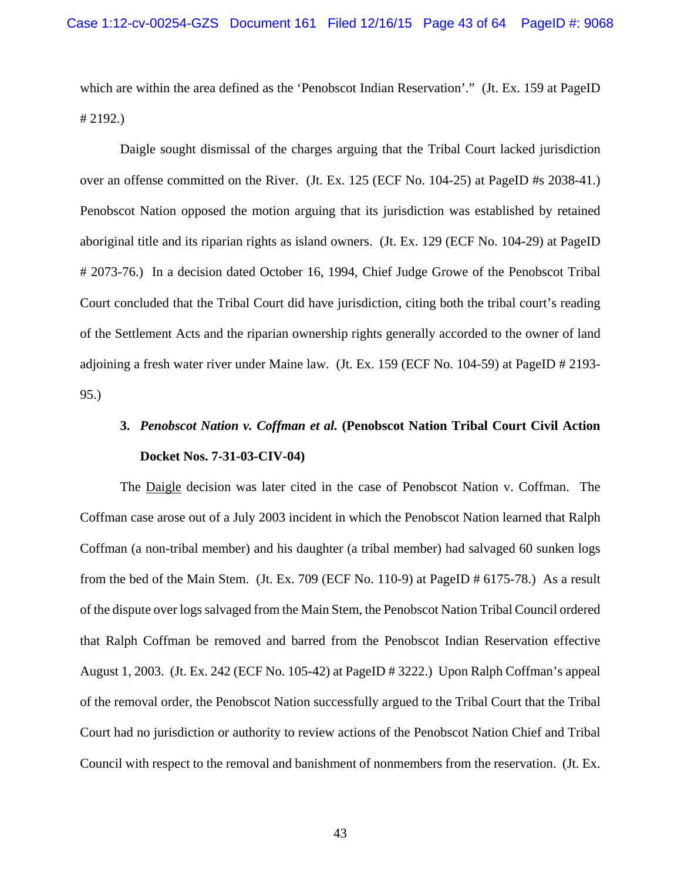which are within the area defined as the 'Penobscot Indian Reservation'." (Jt. Ex. 159 at PageID # 2192.)

Daigle sought dismissal of the charges arguing that the Tribal Court lacked jurisdiction over an offense committed on the River. (Jt. Ex. 125 (ECF No. 104-25) at PageID #s 2038-41.) Penobscot Nation opposed the motion arguing that its jurisdiction was established by retained aboriginal title and its riparian rights as island owners. (Jt. Ex. 129 (ECF No. 104-29) at PageID # 2073-76.) In a decision dated October 16, 1994, Chief Judge Growe of the Penobscot Tribal Court concluded that the Tribal Court did have jurisdiction, citing both the tribal court's reading of the Settlement Acts and the riparian ownership rights generally accorded to the owner of land adjoining a fresh water river under Maine law. (Jt. Ex. 159 (ECF No. 104-59) at PageID # 2193- 95.)

# **3.** *Penobscot Nation v. Coffman et al.* **(Penobscot Nation Tribal Court Civil Action Docket Nos. 7-31-03-CIV-04)**

The Daigle decision was later cited in the case of Penobscot Nation v. Coffman. The Coffman case arose out of a July 2003 incident in which the Penobscot Nation learned that Ralph Coffman (a non-tribal member) and his daughter (a tribal member) had salvaged 60 sunken logs from the bed of the Main Stem. (Jt. Ex. 709 (ECF No. 110-9) at PageID # 6175-78.) As a result of the dispute over logs salvaged from the Main Stem, the Penobscot Nation Tribal Council ordered that Ralph Coffman be removed and barred from the Penobscot Indian Reservation effective August 1, 2003. (Jt. Ex. 242 (ECF No. 105-42) at PageID # 3222.) Upon Ralph Coffman's appeal of the removal order, the Penobscot Nation successfully argued to the Tribal Court that the Tribal Court had no jurisdiction or authority to review actions of the Penobscot Nation Chief and Tribal Council with respect to the removal and banishment of nonmembers from the reservation. (Jt. Ex.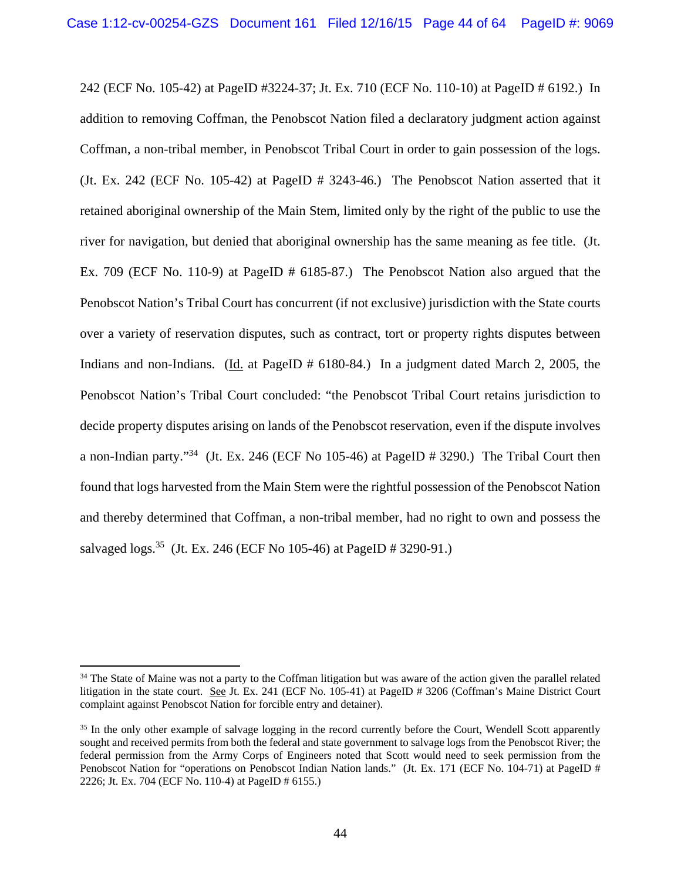242 (ECF No. 105-42) at PageID #3224-37; Jt. Ex. 710 (ECF No. 110-10) at PageID # 6192.) In addition to removing Coffman, the Penobscot Nation filed a declaratory judgment action against Coffman, a non-tribal member, in Penobscot Tribal Court in order to gain possession of the logs. (Jt. Ex. 242 (ECF No. 105-42) at PageID # 3243-46.) The Penobscot Nation asserted that it retained aboriginal ownership of the Main Stem, limited only by the right of the public to use the river for navigation, but denied that aboriginal ownership has the same meaning as fee title. (Jt. Ex. 709 (ECF No. 110-9) at PageID # 6185-87.) The Penobscot Nation also argued that the Penobscot Nation's Tribal Court has concurrent (if not exclusive) jurisdiction with the State courts over a variety of reservation disputes, such as contract, tort or property rights disputes between Indians and non-Indians. (Id. at PageID # 6180-84.) In a judgment dated March 2, 2005, the Penobscot Nation's Tribal Court concluded: "the Penobscot Tribal Court retains jurisdiction to decide property disputes arising on lands of the Penobscot reservation, even if the dispute involves a non-Indian party."34 (Jt. Ex. 246 (ECF No 105-46) at PageID # 3290.) The Tribal Court then found that logs harvested from the Main Stem were the rightful possession of the Penobscot Nation and thereby determined that Coffman, a non-tribal member, had no right to own and possess the salvaged logs.35 (Jt. Ex. 246 (ECF No 105-46) at PageID # 3290-91.)

<sup>&</sup>lt;sup>34</sup> The State of Maine was not a party to the Coffman litigation but was aware of the action given the parallel related litigation in the state court. See Jt. Ex. 241 (ECF No. 105-41) at PageID # 3206 (Coffman's Maine District Court complaint against Penobscot Nation for forcible entry and detainer).

<sup>&</sup>lt;sup>35</sup> In the only other example of salvage logging in the record currently before the Court, Wendell Scott apparently sought and received permits from both the federal and state government to salvage logs from the Penobscot River; the federal permission from the Army Corps of Engineers noted that Scott would need to seek permission from the Penobscot Nation for "operations on Penobscot Indian Nation lands." (Jt. Ex. 171 (ECF No. 104-71) at PageID # 2226; Jt. Ex. 704 (ECF No. 110-4) at PageID # 6155.)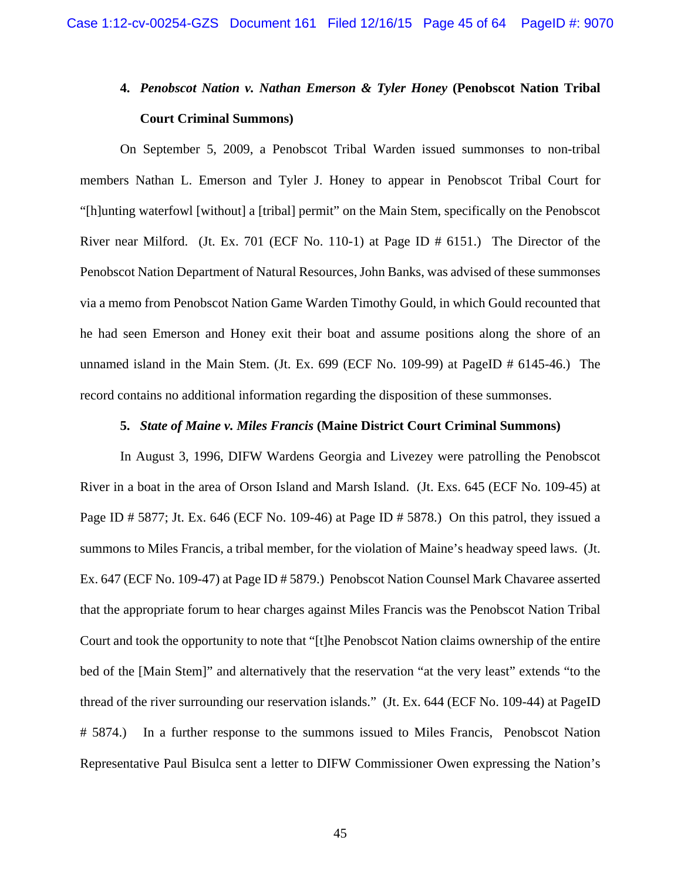# **4.** *Penobscot Nation v. Nathan Emerson & Tyler Honey* **(Penobscot Nation Tribal Court Criminal Summons)**

 On September 5, 2009, a Penobscot Tribal Warden issued summonses to non-tribal members Nathan L. Emerson and Tyler J. Honey to appear in Penobscot Tribal Court for "[h]unting waterfowl [without] a [tribal] permit" on the Main Stem, specifically on the Penobscot River near Milford. (Jt. Ex. 701 (ECF No. 110-1) at Page ID # 6151.) The Director of the Penobscot Nation Department of Natural Resources, John Banks, was advised of these summonses via a memo from Penobscot Nation Game Warden Timothy Gould, in which Gould recounted that he had seen Emerson and Honey exit their boat and assume positions along the shore of an unnamed island in the Main Stem. (Jt. Ex. 699 (ECF No. 109-99) at PageID # 6145-46.) The record contains no additional information regarding the disposition of these summonses.

#### **5.** *State of Maine v. Miles Francis* **(Maine District Court Criminal Summons)**

In August 3, 1996, DIFW Wardens Georgia and Livezey were patrolling the Penobscot River in a boat in the area of Orson Island and Marsh Island. (Jt. Exs. 645 (ECF No. 109-45) at Page ID # 5877; Jt. Ex. 646 (ECF No. 109-46) at Page ID # 5878.) On this patrol, they issued a summons to Miles Francis, a tribal member, for the violation of Maine's headway speed laws. (Jt. Ex. 647 (ECF No. 109-47) at Page ID # 5879.) Penobscot Nation Counsel Mark Chavaree asserted that the appropriate forum to hear charges against Miles Francis was the Penobscot Nation Tribal Court and took the opportunity to note that "[t]he Penobscot Nation claims ownership of the entire bed of the [Main Stem]" and alternatively that the reservation "at the very least" extends "to the thread of the river surrounding our reservation islands." (Jt. Ex. 644 (ECF No. 109-44) at PageID # 5874.) In a further response to the summons issued to Miles Francis, Penobscot Nation Representative Paul Bisulca sent a letter to DIFW Commissioner Owen expressing the Nation's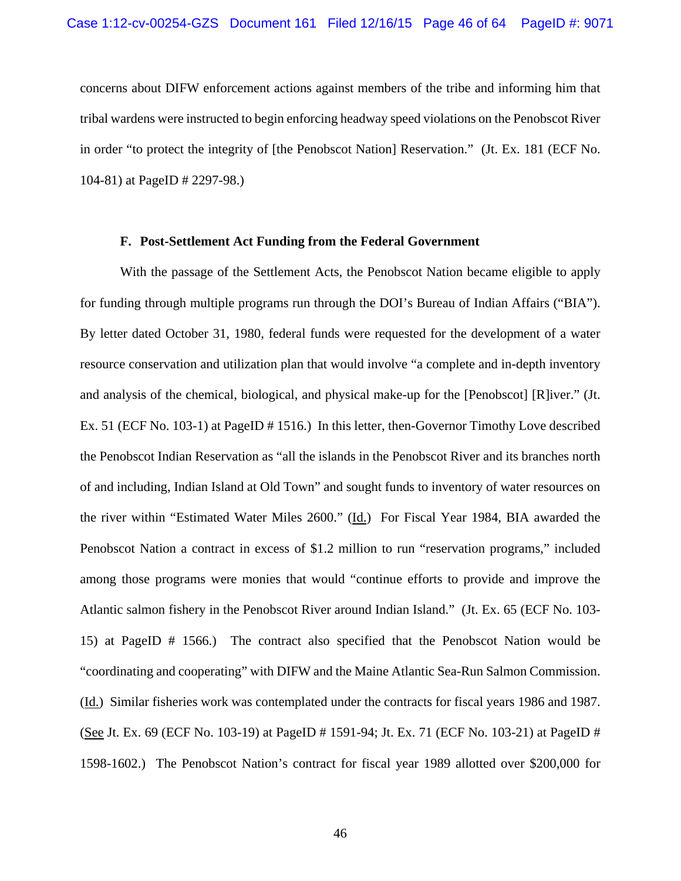concerns about DIFW enforcement actions against members of the tribe and informing him that tribal wardens were instructed to begin enforcing headway speed violations on the Penobscot River in order "to protect the integrity of [the Penobscot Nation] Reservation." (Jt. Ex. 181 (ECF No. 104-81) at PageID # 2297-98.)

#### **F. Post-Settlement Act Funding from the Federal Government**

With the passage of the Settlement Acts, the Penobscot Nation became eligible to apply for funding through multiple programs run through the DOI's Bureau of Indian Affairs ("BIA"). By letter dated October 31, 1980, federal funds were requested for the development of a water resource conservation and utilization plan that would involve "a complete and in-depth inventory and analysis of the chemical, biological, and physical make-up for the [Penobscot] [R]iver." (Jt. Ex. 51 (ECF No. 103-1) at PageID # 1516.) In this letter, then-Governor Timothy Love described the Penobscot Indian Reservation as "all the islands in the Penobscot River and its branches north of and including, Indian Island at Old Town" and sought funds to inventory of water resources on the river within "Estimated Water Miles 2600." (Id.)For Fiscal Year 1984, BIA awarded the Penobscot Nation a contract in excess of \$1.2 million to run "reservation programs," included among those programs were monies that would "continue efforts to provide and improve the Atlantic salmon fishery in the Penobscot River around Indian Island." (Jt. Ex. 65 (ECF No. 103- 15) at PageID # 1566.) The contract also specified that the Penobscot Nation would be "coordinating and cooperating" with DIFW and the Maine Atlantic Sea-Run Salmon Commission. (Id.) Similar fisheries work was contemplated under the contracts for fiscal years 1986 and 1987. (See Jt. Ex. 69 (ECF No. 103-19) at PageID # 1591-94; Jt. Ex. 71 (ECF No. 103-21) at PageID # 1598-1602.) The Penobscot Nation's contract for fiscal year 1989 allotted over \$200,000 for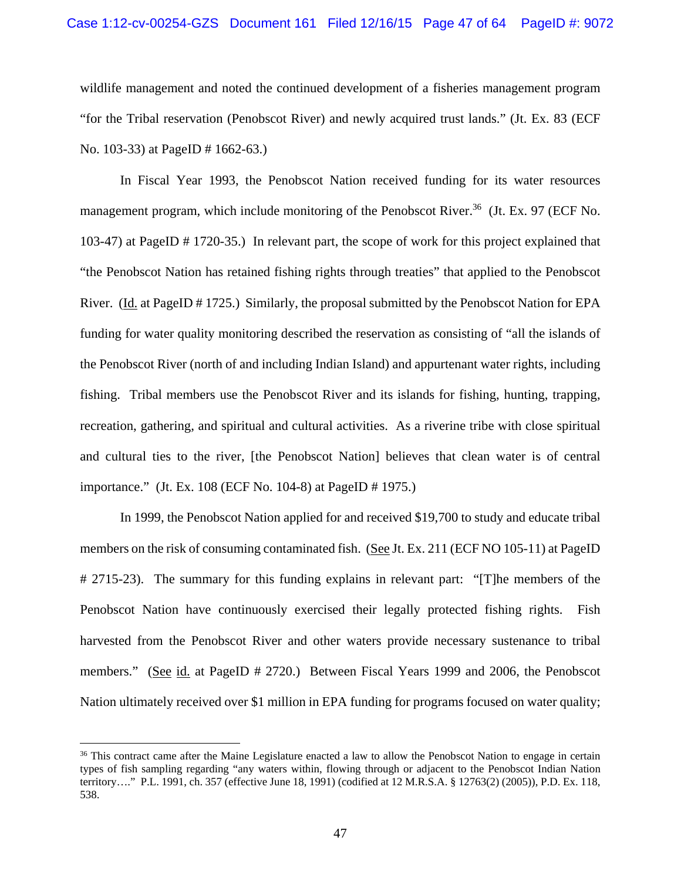wildlife management and noted the continued development of a fisheries management program "for the Tribal reservation (Penobscot River) and newly acquired trust lands." (Jt. Ex. 83 (ECF No. 103-33) at PageID # 1662-63.)

In Fiscal Year 1993, the Penobscot Nation received funding for its water resources management program, which include monitoring of the Penobscot River.<sup>36</sup> (Jt. Ex. 97 (ECF No.) 103-47) at PageID # 1720-35.) In relevant part, the scope of work for this project explained that "the Penobscot Nation has retained fishing rights through treaties" that applied to the Penobscot River. (Id. at PageID # 1725.) Similarly, the proposal submitted by the Penobscot Nation for EPA funding for water quality monitoring described the reservation as consisting of "all the islands of the Penobscot River (north of and including Indian Island) and appurtenant water rights, including fishing. Tribal members use the Penobscot River and its islands for fishing, hunting, trapping, recreation, gathering, and spiritual and cultural activities. As a riverine tribe with close spiritual and cultural ties to the river, [the Penobscot Nation] believes that clean water is of central importance." (Jt. Ex. 108 (ECF No. 104-8) at PageID # 1975.)

In 1999, the Penobscot Nation applied for and received \$19,700 to study and educate tribal members on the risk of consuming contaminated fish. (See Jt. Ex. 211 (ECF NO 105-11) at PageID # 2715-23). The summary for this funding explains in relevant part: "[T]he members of the Penobscot Nation have continuously exercised their legally protected fishing rights. Fish harvested from the Penobscot River and other waters provide necessary sustenance to tribal members." (See id. at PageID # 2720.) Between Fiscal Years 1999 and 2006, the Penobscot Nation ultimately received over \$1 million in EPA funding for programs focused on water quality;

<sup>&</sup>lt;sup>36</sup> This contract came after the Maine Legislature enacted a law to allow the Penobscot Nation to engage in certain types of fish sampling regarding "any waters within, flowing through or adjacent to the Penobscot Indian Nation territory…." P.L. 1991, ch. 357 (effective June 18, 1991) (codified at 12 M.R.S.A. § 12763(2) (2005)), P.D. Ex. 118, 538.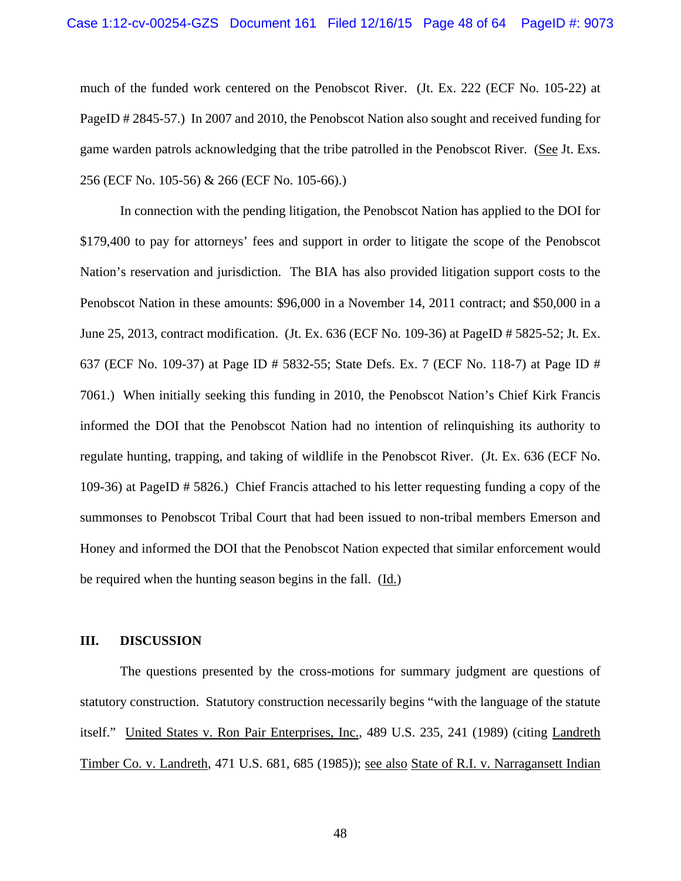much of the funded work centered on the Penobscot River. (Jt. Ex. 222 (ECF No. 105-22) at PageID # 2845-57.) In 2007 and 2010, the Penobscot Nation also sought and received funding for game warden patrols acknowledging that the tribe patrolled in the Penobscot River. (See Jt. Exs. 256 (ECF No. 105-56) & 266 (ECF No. 105-66).)

In connection with the pending litigation, the Penobscot Nation has applied to the DOI for \$179,400 to pay for attorneys' fees and support in order to litigate the scope of the Penobscot Nation's reservation and jurisdiction. The BIA has also provided litigation support costs to the Penobscot Nation in these amounts: \$96,000 in a November 14, 2011 contract; and \$50,000 in a June 25, 2013, contract modification. (Jt. Ex. 636 (ECF No. 109-36) at PageID # 5825-52; Jt. Ex. 637 (ECF No. 109-37) at Page ID # 5832-55; State Defs. Ex. 7 (ECF No. 118-7) at Page ID # 7061.) When initially seeking this funding in 2010, the Penobscot Nation's Chief Kirk Francis informed the DOI that the Penobscot Nation had no intention of relinquishing its authority to regulate hunting, trapping, and taking of wildlife in the Penobscot River. (Jt. Ex. 636 (ECF No. 109-36) at PageID # 5826.) Chief Francis attached to his letter requesting funding a copy of the summonses to Penobscot Tribal Court that had been issued to non-tribal members Emerson and Honey and informed the DOI that the Penobscot Nation expected that similar enforcement would be required when the hunting season begins in the fall. (Id.)

#### **III. DISCUSSION**

The questions presented by the cross-motions for summary judgment are questions of statutory construction. Statutory construction necessarily begins "with the language of the statute itself." United States v. Ron Pair Enterprises, Inc., 489 U.S. 235, 241 (1989) (citing Landreth Timber Co. v. Landreth, 471 U.S. 681, 685 (1985)); see also State of R.I. v. Narragansett Indian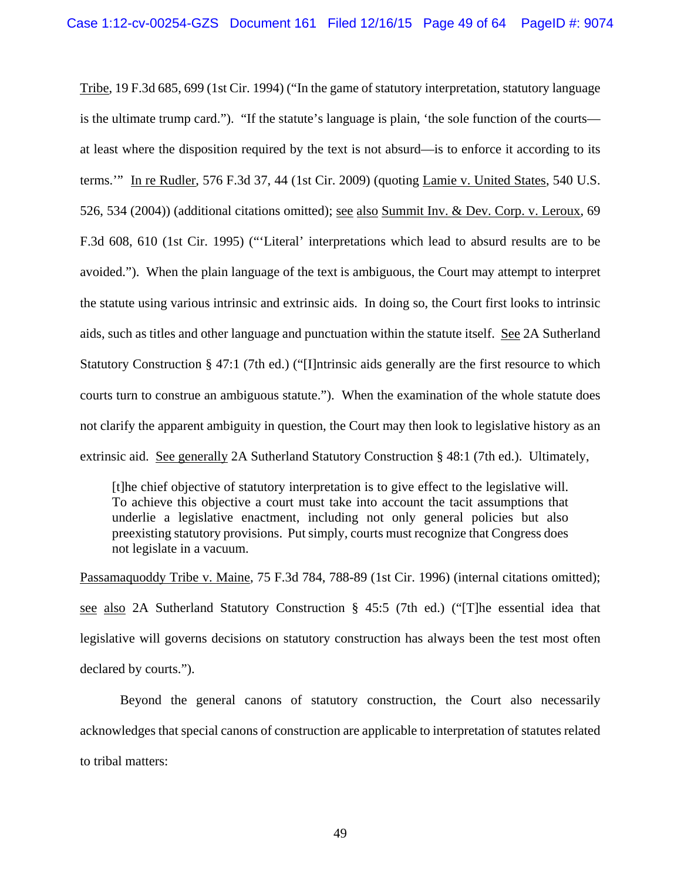Tribe, 19 F.3d 685, 699 (1st Cir. 1994) ("In the game of statutory interpretation, statutory language is the ultimate trump card."). "If the statute's language is plain, 'the sole function of the courts at least where the disposition required by the text is not absurd—is to enforce it according to its terms.'" In re Rudler, 576 F.3d 37, 44 (1st Cir. 2009) (quoting Lamie v. United States, 540 U.S. 526, 534 (2004)) (additional citations omitted); see also Summit Inv. & Dev. Corp. v. Leroux, 69 F.3d 608, 610 (1st Cir. 1995) ("'Literal' interpretations which lead to absurd results are to be avoided."). When the plain language of the text is ambiguous, the Court may attempt to interpret the statute using various intrinsic and extrinsic aids. In doing so, the Court first looks to intrinsic aids, such as titles and other language and punctuation within the statute itself. See 2A Sutherland Statutory Construction § 47:1 (7th ed.) ("[I]ntrinsic aids generally are the first resource to which courts turn to construe an ambiguous statute."). When the examination of the whole statute does not clarify the apparent ambiguity in question, the Court may then look to legislative history as an extrinsic aid. See generally 2A Sutherland Statutory Construction § 48:1 (7th ed.). Ultimately,

[t]he chief objective of statutory interpretation is to give effect to the legislative will. To achieve this objective a court must take into account the tacit assumptions that underlie a legislative enactment, including not only general policies but also preexisting statutory provisions. Put simply, courts must recognize that Congress does not legislate in a vacuum.

Passamaquoddy Tribe v. Maine, 75 F.3d 784, 788-89 (1st Cir. 1996) (internal citations omitted); see also 2A Sutherland Statutory Construction § 45:5 (7th ed.) ("[T]he essential idea that legislative will governs decisions on statutory construction has always been the test most often declared by courts.").

 Beyond the general canons of statutory construction, the Court also necessarily acknowledges that special canons of construction are applicable to interpretation of statutes related to tribal matters: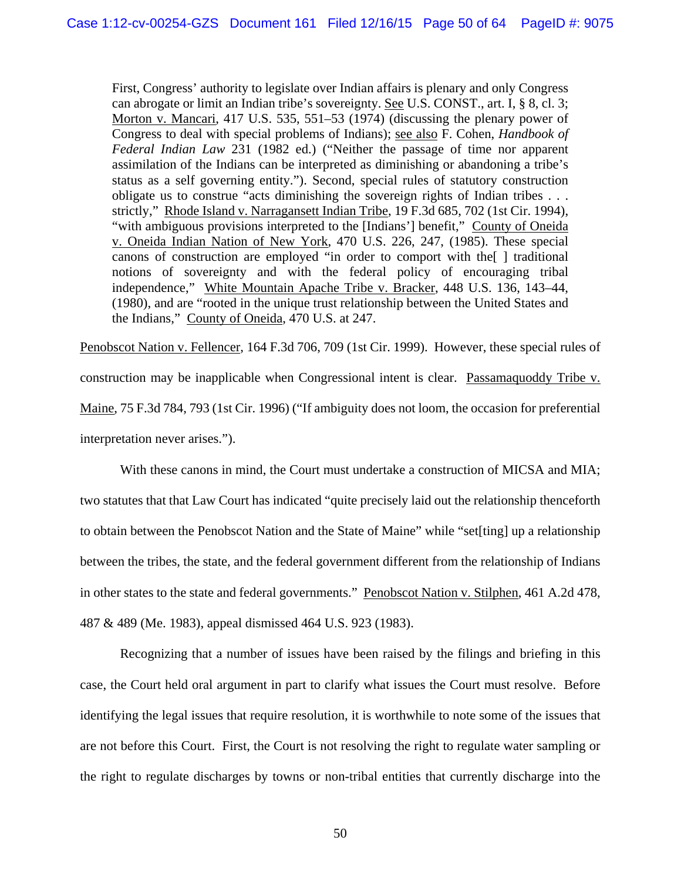First, Congress' authority to legislate over Indian affairs is plenary and only Congress can abrogate or limit an Indian tribe's sovereignty. See U.S. CONST., art. I, § 8, cl. 3; Morton v. Mancari, 417 U.S. 535, 551–53 (1974) (discussing the plenary power of Congress to deal with special problems of Indians); see also F. Cohen, *Handbook of Federal Indian Law* 231 (1982 ed.) ("Neither the passage of time nor apparent assimilation of the Indians can be interpreted as diminishing or abandoning a tribe's status as a self governing entity."). Second, special rules of statutory construction obligate us to construe "acts diminishing the sovereign rights of Indian tribes . . . strictly," Rhode Island v. Narragansett Indian Tribe, 19 F.3d 685, 702 (1st Cir. 1994), "with ambiguous provisions interpreted to the [Indians'] benefit," County of Oneida v. Oneida Indian Nation of New York, 470 U.S. 226, 247, (1985). These special canons of construction are employed "in order to comport with the[ ] traditional notions of sovereignty and with the federal policy of encouraging tribal independence," White Mountain Apache Tribe v. Bracker, 448 U.S. 136, 143–44, (1980), and are "rooted in the unique trust relationship between the United States and the Indians," County of Oneida, 470 U.S. at 247.

Penobscot Nation v. Fellencer, 164 F.3d 706, 709 (1st Cir. 1999). However, these special rules of construction may be inapplicable when Congressional intent is clear. Passamaquoddy Tribe v. Maine, 75 F.3d 784, 793 (1st Cir. 1996) ("If ambiguity does not loom, the occasion for preferential interpretation never arises.").

With these canons in mind, the Court must undertake a construction of MICSA and MIA; two statutes that that Law Court has indicated "quite precisely laid out the relationship thenceforth to obtain between the Penobscot Nation and the State of Maine" while "set[ting] up a relationship between the tribes, the state, and the federal government different from the relationship of Indians in other states to the state and federal governments." Penobscot Nation v. Stilphen, 461 A.2d 478, 487 & 489 (Me. 1983), appeal dismissed 464 U.S. 923 (1983).

Recognizing that a number of issues have been raised by the filings and briefing in this case, the Court held oral argument in part to clarify what issues the Court must resolve. Before identifying the legal issues that require resolution, it is worthwhile to note some of the issues that are not before this Court. First, the Court is not resolving the right to regulate water sampling or the right to regulate discharges by towns or non-tribal entities that currently discharge into the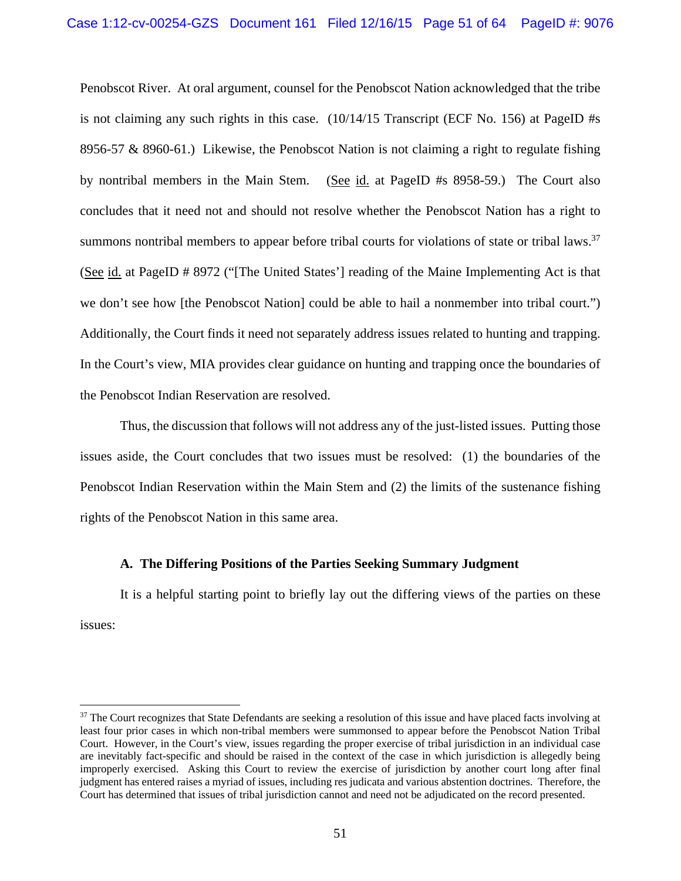Penobscot River. At oral argument, counsel for the Penobscot Nation acknowledged that the tribe is not claiming any such rights in this case. (10/14/15 Transcript (ECF No. 156) at PageID #s 8956-57 & 8960-61.) Likewise, the Penobscot Nation is not claiming a right to regulate fishing by nontribal members in the Main Stem. (See id. at PageID #s 8958-59.) The Court also concludes that it need not and should not resolve whether the Penobscot Nation has a right to summons nontribal members to appear before tribal courts for violations of state or tribal laws.<sup>37</sup> (See id. at PageID # 8972 ("[The United States'] reading of the Maine Implementing Act is that we don't see how [the Penobscot Nation] could be able to hail a nonmember into tribal court.") Additionally, the Court finds it need not separately address issues related to hunting and trapping. In the Court's view, MIA provides clear guidance on hunting and trapping once the boundaries of the Penobscot Indian Reservation are resolved.

Thus, the discussion that follows will not address any of the just-listed issues. Putting those issues aside, the Court concludes that two issues must be resolved: (1) the boundaries of the Penobscot Indian Reservation within the Main Stem and (2) the limits of the sustenance fishing rights of the Penobscot Nation in this same area.

## **A. The Differing Positions of the Parties Seeking Summary Judgment**

 $\overline{a}$ 

It is a helpful starting point to briefly lay out the differing views of the parties on these issues:

<sup>&</sup>lt;sup>37</sup> The Court recognizes that State Defendants are seeking a resolution of this issue and have placed facts involving at least four prior cases in which non-tribal members were summonsed to appear before the Penobscot Nation Tribal Court. However, in the Court's view, issues regarding the proper exercise of tribal jurisdiction in an individual case are inevitably fact-specific and should be raised in the context of the case in which jurisdiction is allegedly being improperly exercised. Asking this Court to review the exercise of jurisdiction by another court long after final judgment has entered raises a myriad of issues, including res judicata and various abstention doctrines. Therefore, the Court has determined that issues of tribal jurisdiction cannot and need not be adjudicated on the record presented.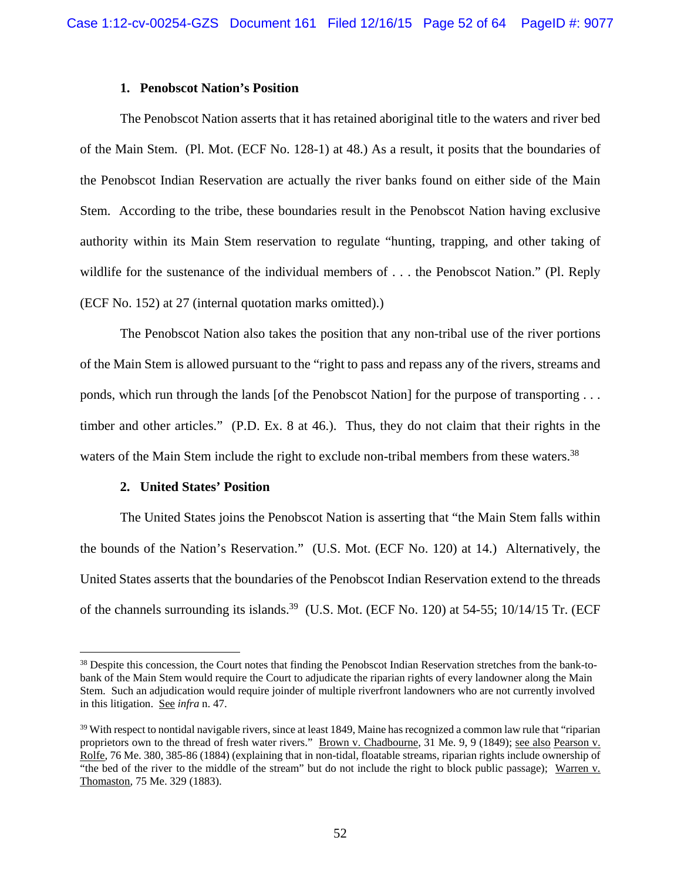## **1. Penobscot Nation's Position**

The Penobscot Nation asserts that it has retained aboriginal title to the waters and river bed of the Main Stem. (Pl. Mot. (ECF No. 128-1) at 48.) As a result, it posits that the boundaries of the Penobscot Indian Reservation are actually the river banks found on either side of the Main Stem. According to the tribe, these boundaries result in the Penobscot Nation having exclusive authority within its Main Stem reservation to regulate "hunting, trapping, and other taking of wildlife for the sustenance of the individual members of . . . the Penobscot Nation." (Pl. Reply (ECF No. 152) at 27 (internal quotation marks omitted).)

The Penobscot Nation also takes the position that any non-tribal use of the river portions of the Main Stem is allowed pursuant to the "right to pass and repass any of the rivers, streams and ponds, which run through the lands [of the Penobscot Nation] for the purpose of transporting . . . timber and other articles." (P.D. Ex. 8 at 46.). Thus, they do not claim that their rights in the waters of the Main Stem include the right to exclude non-tribal members from these waters.<sup>38</sup>

## **2. United States' Position**

 $\overline{a}$ 

The United States joins the Penobscot Nation is asserting that "the Main Stem falls within the bounds of the Nation's Reservation." (U.S. Mot. (ECF No. 120) at 14.) Alternatively, the United States asserts that the boundaries of the Penobscot Indian Reservation extend to the threads of the channels surrounding its islands.<sup>39</sup> (U.S. Mot. (ECF No. 120) at 54-55; 10/14/15 Tr. (ECF

<sup>&</sup>lt;sup>38</sup> Despite this concession, the Court notes that finding the Penobscot Indian Reservation stretches from the bank-tobank of the Main Stem would require the Court to adjudicate the riparian rights of every landowner along the Main Stem. Such an adjudication would require joinder of multiple riverfront landowners who are not currently involved in this litigation. See *infra* n. 47.

 $39$  With respect to nontidal navigable rivers, since at least 1849, Maine has recognized a common law rule that "riparian" proprietors own to the thread of fresh water rivers." Brown v. Chadbourne, 31 Me. 9, 9 (1849); see also Pearson v. Rolfe, 76 Me. 380, 385-86 (1884) (explaining that in non-tidal, floatable streams, riparian rights include ownership of "the bed of the river to the middle of the stream" but do not include the right to block public passage); Warren v. Thomaston, 75 Me. 329 (1883).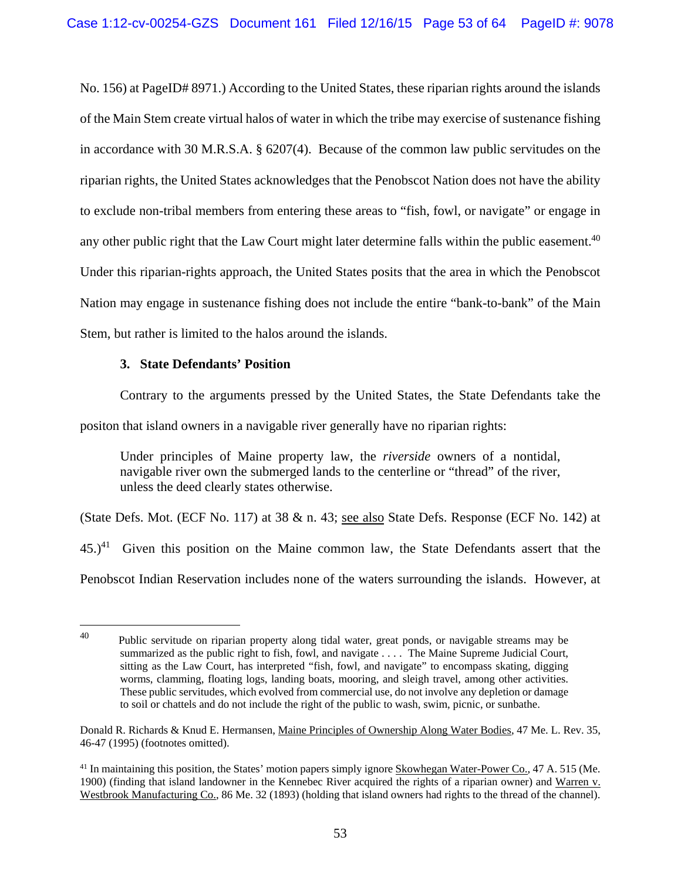No. 156) at PageID# 8971.) According to the United States, these riparian rights around the islands of the Main Stem create virtual halos of water in which the tribe may exercise of sustenance fishing in accordance with 30 M.R.S.A. § 6207(4). Because of the common law public servitudes on the riparian rights, the United States acknowledges that the Penobscot Nation does not have the ability to exclude non-tribal members from entering these areas to "fish, fowl, or navigate" or engage in any other public right that the Law Court might later determine falls within the public easement.<sup>40</sup> Under this riparian-rights approach, the United States posits that the area in which the Penobscot Nation may engage in sustenance fishing does not include the entire "bank-to-bank" of the Main Stem, but rather is limited to the halos around the islands.

# **3. State Defendants' Position**

 $\overline{a}$ 

Contrary to the arguments pressed by the United States, the State Defendants take the

positon that island owners in a navigable river generally have no riparian rights:

Under principles of Maine property law, the *riverside* owners of a nontidal, navigable river own the submerged lands to the centerline or "thread" of the river, unless the deed clearly states otherwise.

(State Defs. Mot. (ECF No. 117) at 38 & n. 43; see also State Defs. Response (ECF No. 142) at

 $45.$ <sup>41</sup> Given this position on the Maine common law, the State Defendants assert that the

Penobscot Indian Reservation includes none of the waters surrounding the islands. However, at

 $40$  Public servitude on riparian property along tidal water, great ponds, or navigable streams may be summarized as the public right to fish, fowl, and navigate . . . . The Maine Supreme Judicial Court, sitting as the Law Court, has interpreted "fish, fowl, and navigate" to encompass skating, digging worms, clamming, floating logs, landing boats, mooring, and sleigh travel, among other activities. These public servitudes, which evolved from commercial use, do not involve any depletion or damage to soil or chattels and do not include the right of the public to wash, swim, picnic, or sunbathe.

Donald R. Richards & Knud E. Hermansen, Maine Principles of Ownership Along Water Bodies, 47 Me. L. Rev. 35, 46-47 (1995) (footnotes omitted).

<sup>&</sup>lt;sup>41</sup> In maintaining this position, the States' motion papers simply ignore Skowhegan Water-Power Co., 47 A. 515 (Me. 1900) (finding that island landowner in the Kennebec River acquired the rights of a riparian owner) and Warren v. Westbrook Manufacturing Co., 86 Me. 32 (1893) (holding that island owners had rights to the thread of the channel).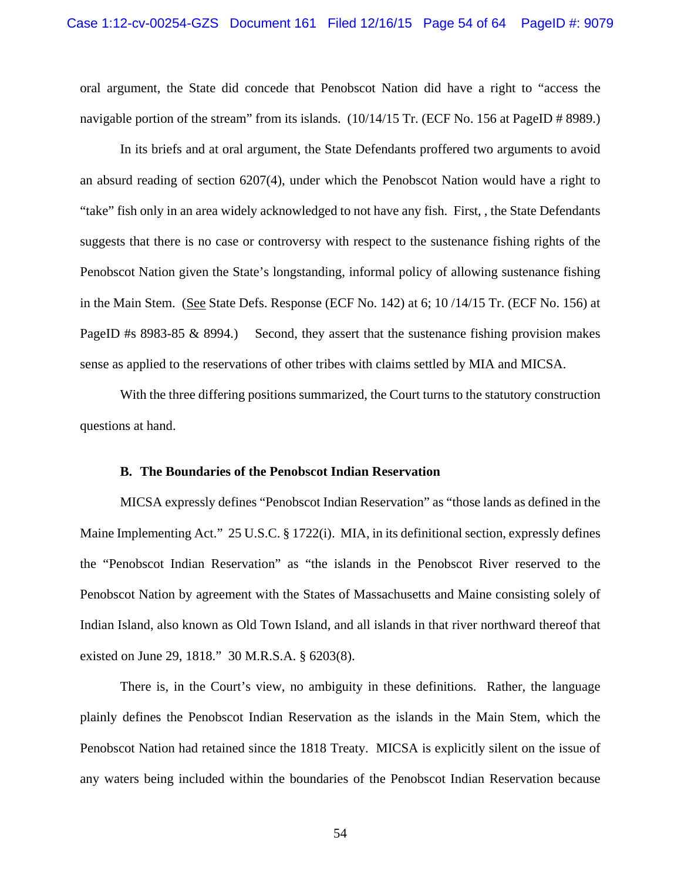oral argument, the State did concede that Penobscot Nation did have a right to "access the navigable portion of the stream" from its islands. (10/14/15 Tr. (ECF No. 156 at PageID # 8989.)

In its briefs and at oral argument, the State Defendants proffered two arguments to avoid an absurd reading of section 6207(4), under which the Penobscot Nation would have a right to "take" fish only in an area widely acknowledged to not have any fish. First, , the State Defendants suggests that there is no case or controversy with respect to the sustenance fishing rights of the Penobscot Nation given the State's longstanding, informal policy of allowing sustenance fishing in the Main Stem. (See State Defs. Response (ECF No. 142) at 6; 10 /14/15 Tr. (ECF No. 156) at PageID #s 8983-85 & 8994.) Second, they assert that the sustenance fishing provision makes sense as applied to the reservations of other tribes with claims settled by MIA and MICSA.

With the three differing positions summarized, the Court turns to the statutory construction questions at hand.

## **B. The Boundaries of the Penobscot Indian Reservation**

MICSA expressly defines "Penobscot Indian Reservation" as "those lands as defined in the Maine Implementing Act." 25 U.S.C. § 1722(i). MIA, in its definitional section, expressly defines the "Penobscot Indian Reservation" as "the islands in the Penobscot River reserved to the Penobscot Nation by agreement with the States of Massachusetts and Maine consisting solely of Indian Island, also known as Old Town Island, and all islands in that river northward thereof that existed on June 29, 1818." 30 M.R.S.A. § 6203(8).

There is, in the Court's view, no ambiguity in these definitions. Rather, the language plainly defines the Penobscot Indian Reservation as the islands in the Main Stem, which the Penobscot Nation had retained since the 1818 Treaty. MICSA is explicitly silent on the issue of any waters being included within the boundaries of the Penobscot Indian Reservation because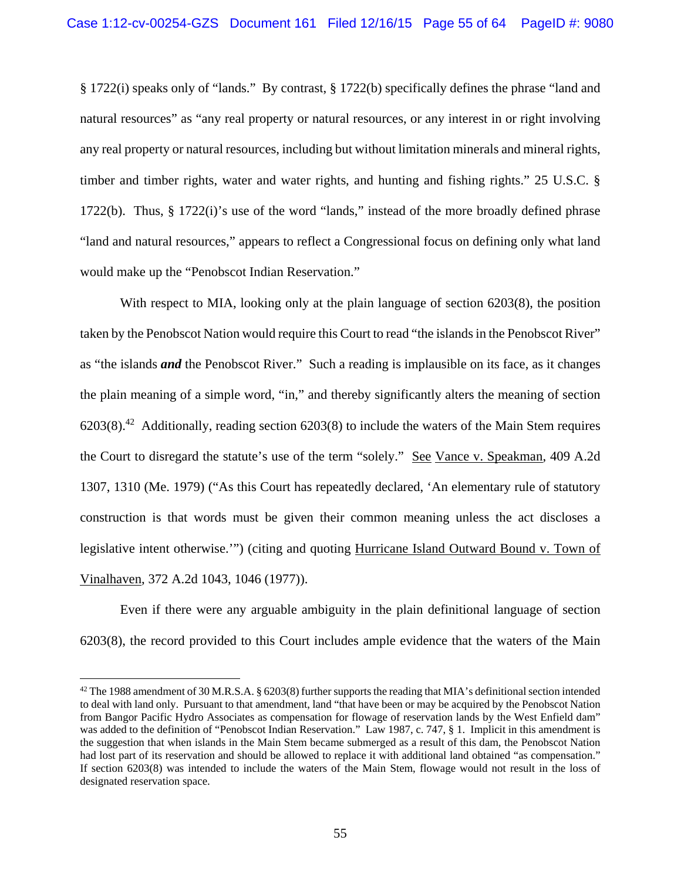§ 1722(i) speaks only of "lands." By contrast, § 1722(b) specifically defines the phrase "land and natural resources" as "any real property or natural resources, or any interest in or right involving any real property or natural resources, including but without limitation minerals and mineral rights, timber and timber rights, water and water rights, and hunting and fishing rights." 25 U.S.C. § 1722(b). Thus, § 1722(i)'s use of the word "lands," instead of the more broadly defined phrase "land and natural resources," appears to reflect a Congressional focus on defining only what land would make up the "Penobscot Indian Reservation."

With respect to MIA, looking only at the plain language of section 6203(8), the position taken by the Penobscot Nation would require this Court to read "the islands in the Penobscot River" as "the islands *and* the Penobscot River." Such a reading is implausible on its face, as it changes the plain meaning of a simple word, "in," and thereby significantly alters the meaning of section  $6203(8).$ <sup>42</sup> Additionally, reading section  $6203(8)$  to include the waters of the Main Stem requires the Court to disregard the statute's use of the term "solely." See Vance v. Speakman, 409 A.2d 1307, 1310 (Me. 1979) ("As this Court has repeatedly declared, 'An elementary rule of statutory construction is that words must be given their common meaning unless the act discloses a legislative intent otherwise.'") (citing and quoting Hurricane Island Outward Bound v. Town of Vinalhaven, 372 A.2d 1043, 1046 (1977)).

Even if there were any arguable ambiguity in the plain definitional language of section 6203(8), the record provided to this Court includes ample evidence that the waters of the Main

<sup>&</sup>lt;sup>42</sup> The 1988 amendment of 30 M.R.S.A. § 6203(8) further supports the reading that MIA's definitional section intended to deal with land only. Pursuant to that amendment, land "that have been or may be acquired by the Penobscot Nation from Bangor Pacific Hydro Associates as compensation for flowage of reservation lands by the West Enfield dam" was added to the definition of "Penobscot Indian Reservation." Law 1987, c. 747, § 1. Implicit in this amendment is the suggestion that when islands in the Main Stem became submerged as a result of this dam, the Penobscot Nation had lost part of its reservation and should be allowed to replace it with additional land obtained "as compensation." If section 6203(8) was intended to include the waters of the Main Stem, flowage would not result in the loss of designated reservation space.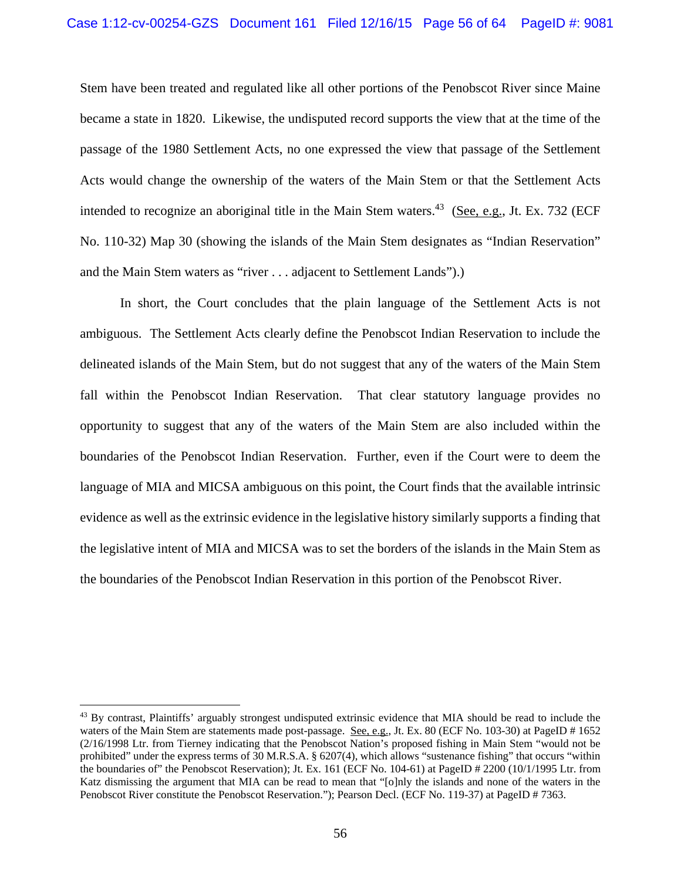Stem have been treated and regulated like all other portions of the Penobscot River since Maine became a state in 1820. Likewise, the undisputed record supports the view that at the time of the passage of the 1980 Settlement Acts, no one expressed the view that passage of the Settlement Acts would change the ownership of the waters of the Main Stem or that the Settlement Acts intended to recognize an aboriginal title in the Main Stem waters.<sup>43</sup> (See, e.g., Jt. Ex. 732 (ECF) No. 110-32) Map 30 (showing the islands of the Main Stem designates as "Indian Reservation" and the Main Stem waters as "river . . . adjacent to Settlement Lands").)

 In short, the Court concludes that the plain language of the Settlement Acts is not ambiguous. The Settlement Acts clearly define the Penobscot Indian Reservation to include the delineated islands of the Main Stem, but do not suggest that any of the waters of the Main Stem fall within the Penobscot Indian Reservation. That clear statutory language provides no opportunity to suggest that any of the waters of the Main Stem are also included within the boundaries of the Penobscot Indian Reservation. Further, even if the Court were to deem the language of MIA and MICSA ambiguous on this point, the Court finds that the available intrinsic evidence as well as the extrinsic evidence in the legislative history similarly supports a finding that the legislative intent of MIA and MICSA was to set the borders of the islands in the Main Stem as the boundaries of the Penobscot Indian Reservation in this portion of the Penobscot River.

<sup>&</sup>lt;sup>43</sup> By contrast, Plaintiffs' arguably strongest undisputed extrinsic evidence that MIA should be read to include the waters of the Main Stem are statements made post-passage. See, e.g., Jt. Ex. 80 (ECF No. 103-30) at PageID # 1652 (2/16/1998 Ltr. from Tierney indicating that the Penobscot Nation's proposed fishing in Main Stem "would not be prohibited" under the express terms of 30 M.R.S.A. § 6207(4), which allows "sustenance fishing" that occurs "within the boundaries of" the Penobscot Reservation); Jt. Ex. 161 (ECF No. 104-61) at PageID # 2200 (10/1/1995 Ltr. from Katz dismissing the argument that MIA can be read to mean that "[o]nly the islands and none of the waters in the Penobscot River constitute the Penobscot Reservation."); Pearson Decl. (ECF No. 119-37) at PageID # 7363.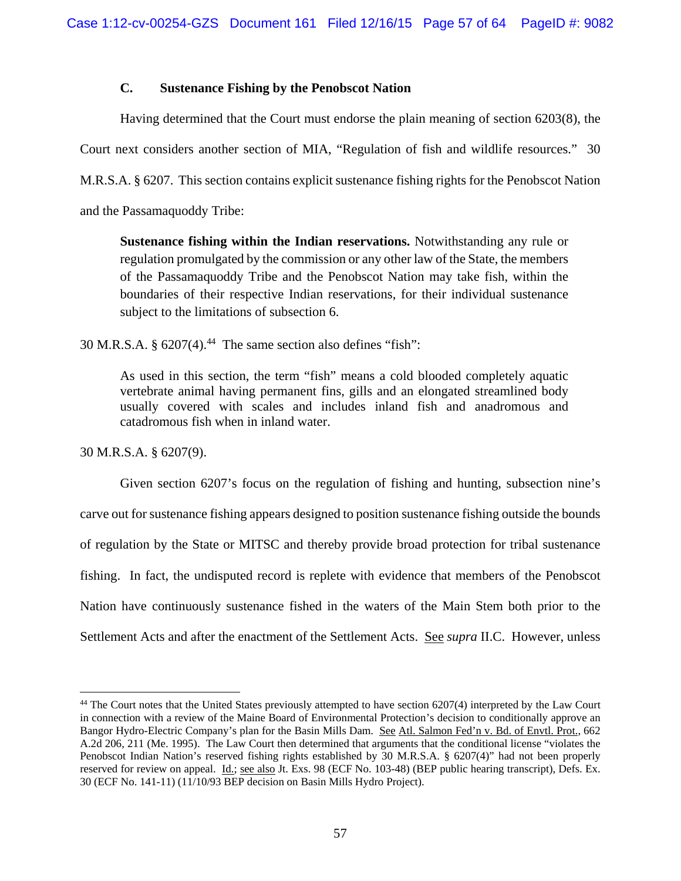# **C. Sustenance Fishing by the Penobscot Nation**

Having determined that the Court must endorse the plain meaning of section 6203(8), the Court next considers another section of MIA, "Regulation of fish and wildlife resources." 30 M.R.S.A. § 6207. This section contains explicit sustenance fishing rights for the Penobscot Nation and the Passamaquoddy Tribe:

**Sustenance fishing within the Indian reservations.** Notwithstanding any rule or regulation promulgated by the commission or any other law of the State, the members of the Passamaquoddy Tribe and the Penobscot Nation may take fish, within the boundaries of their respective Indian reservations, for their individual sustenance subject to the limitations of subsection 6.

30 M.R.S.A.  $\S 6207(4).^{44}$  The same section also defines "fish":

As used in this section, the term "fish" means a cold blooded completely aquatic vertebrate animal having permanent fins, gills and an elongated streamlined body usually covered with scales and includes inland fish and anadromous and catadromous fish when in inland water.

30 M.R.S.A. § 6207(9).

 $\overline{a}$ 

Given section 6207's focus on the regulation of fishing and hunting, subsection nine's carve out for sustenance fishing appears designed to position sustenance fishing outside the bounds of regulation by the State or MITSC and thereby provide broad protection for tribal sustenance fishing. In fact, the undisputed record is replete with evidence that members of the Penobscot Nation have continuously sustenance fished in the waters of the Main Stem both prior to the Settlement Acts and after the enactment of the Settlement Acts. See *supra* II.C. However, unless

<sup>&</sup>lt;sup>44</sup> The Court notes that the United States previously attempted to have section 6207(4) interpreted by the Law Court in connection with a review of the Maine Board of Environmental Protection's decision to conditionally approve an Bangor Hydro-Electric Company's plan for the Basin Mills Dam. See Atl. Salmon Fed'n v. Bd. of Envtl. Prot., 662 A.2d 206, 211 (Me. 1995). The Law Court then determined that arguments that the conditional license "violates the Penobscot Indian Nation's reserved fishing rights established by 30 M.R.S.A. § 6207(4)" had not been properly reserved for review on appeal. Id.; see also Jt. Exs. 98 (ECF No. 103-48) (BEP public hearing transcript), Defs. Ex. 30 (ECF No. 141-11) (11/10/93 BEP decision on Basin Mills Hydro Project).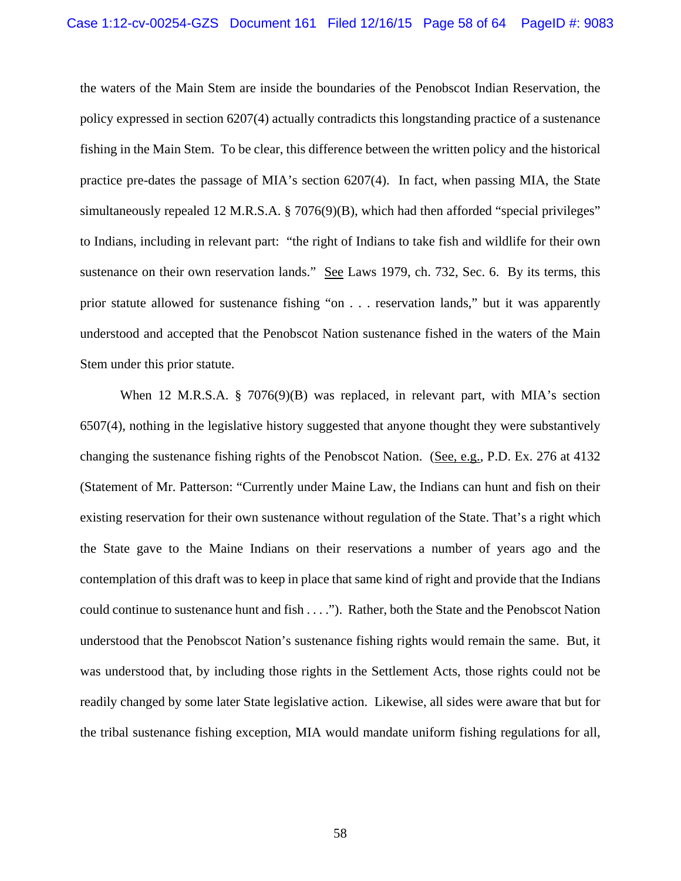the waters of the Main Stem are inside the boundaries of the Penobscot Indian Reservation, the policy expressed in section 6207(4) actually contradicts this longstanding practice of a sustenance fishing in the Main Stem. To be clear, this difference between the written policy and the historical practice pre-dates the passage of MIA's section 6207(4). In fact, when passing MIA, the State simultaneously repealed 12 M.R.S.A. § 7076(9)(B), which had then afforded "special privileges" to Indians, including in relevant part: "the right of Indians to take fish and wildlife for their own sustenance on their own reservation lands." See Laws 1979, ch. 732, Sec. 6. By its terms, this prior statute allowed for sustenance fishing "on . . . reservation lands," but it was apparently understood and accepted that the Penobscot Nation sustenance fished in the waters of the Main Stem under this prior statute.

When 12 M.R.S.A. § 7076(9)(B) was replaced, in relevant part, with MIA's section 6507(4), nothing in the legislative history suggested that anyone thought they were substantively changing the sustenance fishing rights of the Penobscot Nation. (See, e.g., P.D. Ex. 276 at 4132 (Statement of Mr. Patterson: "Currently under Maine Law, the Indians can hunt and fish on their existing reservation for their own sustenance without regulation of the State. That's a right which the State gave to the Maine Indians on their reservations a number of years ago and the contemplation of this draft was to keep in place that same kind of right and provide that the Indians could continue to sustenance hunt and fish . . . ."). Rather, both the State and the Penobscot Nation understood that the Penobscot Nation's sustenance fishing rights would remain the same. But, it was understood that, by including those rights in the Settlement Acts, those rights could not be readily changed by some later State legislative action. Likewise, all sides were aware that but for the tribal sustenance fishing exception, MIA would mandate uniform fishing regulations for all,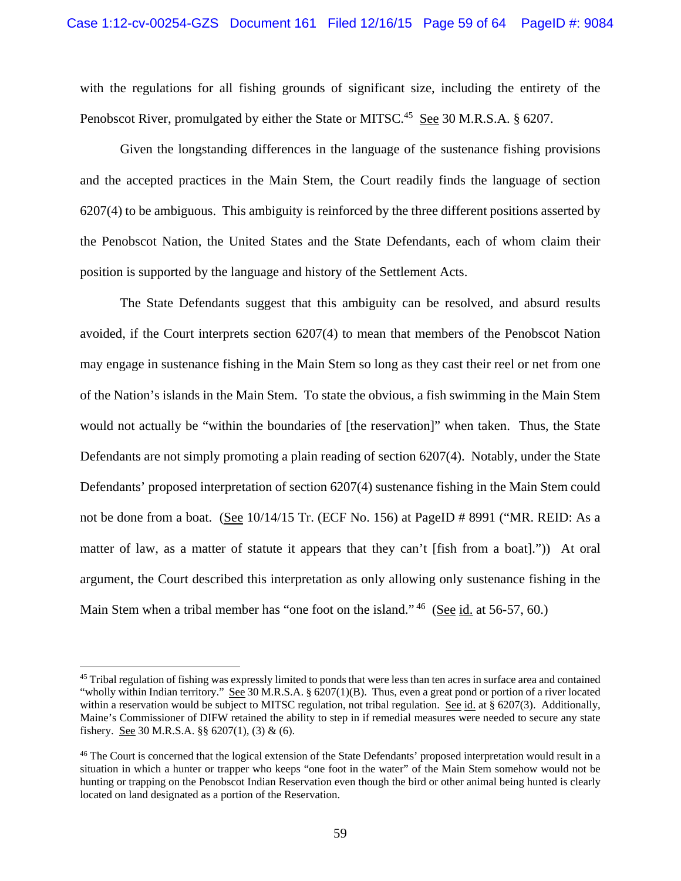with the regulations for all fishing grounds of significant size, including the entirety of the Penobscot River, promulgated by either the State or MITSC.<sup>45</sup> See 30 M.R.S.A. § 6207.

Given the longstanding differences in the language of the sustenance fishing provisions and the accepted practices in the Main Stem, the Court readily finds the language of section 6207(4) to be ambiguous. This ambiguity is reinforced by the three different positions asserted by the Penobscot Nation, the United States and the State Defendants, each of whom claim their position is supported by the language and history of the Settlement Acts.

The State Defendants suggest that this ambiguity can be resolved, and absurd results avoided, if the Court interprets section 6207(4) to mean that members of the Penobscot Nation may engage in sustenance fishing in the Main Stem so long as they cast their reel or net from one of the Nation's islands in the Main Stem. To state the obvious, a fish swimming in the Main Stem would not actually be "within the boundaries of [the reservation]" when taken. Thus, the State Defendants are not simply promoting a plain reading of section 6207(4). Notably, under the State Defendants' proposed interpretation of section 6207(4) sustenance fishing in the Main Stem could not be done from a boat. (See 10/14/15 Tr. (ECF No. 156) at PageID # 8991 ("MR. REID: As a matter of law, as a matter of statute it appears that they can't [fish from a boat].")) At oral argument, the Court described this interpretation as only allowing only sustenance fishing in the Main Stem when a tribal member has "one foot on the island." <sup>46</sup> (See id. at 56-57, 60.)

<sup>&</sup>lt;sup>45</sup> Tribal regulation of fishing was expressly limited to ponds that were less than ten acres in surface area and contained "wholly within Indian territory." See 30 M.R.S.A.  $\S$  6207(1)(B). Thus, even a great pond or portion of a river located within a reservation would be subject to MITSC regulation, not tribal regulation. See id. at  $\S$  6207(3). Additionally, Maine's Commissioner of DIFW retained the ability to step in if remedial measures were needed to secure any state fishery. See 30 M.R.S.A.  $\S$  6207(1), (3) & (6).

<sup>&</sup>lt;sup>46</sup> The Court is concerned that the logical extension of the State Defendants' proposed interpretation would result in a situation in which a hunter or trapper who keeps "one foot in the water" of the Main Stem somehow would not be hunting or trapping on the Penobscot Indian Reservation even though the bird or other animal being hunted is clearly located on land designated as a portion of the Reservation.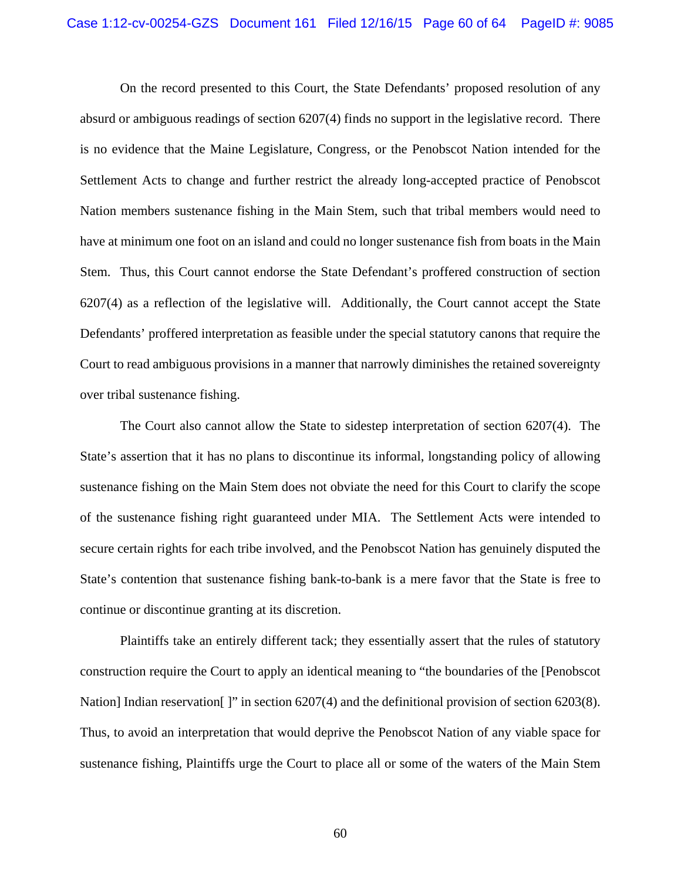On the record presented to this Court, the State Defendants' proposed resolution of any absurd or ambiguous readings of section 6207(4) finds no support in the legislative record. There is no evidence that the Maine Legislature, Congress, or the Penobscot Nation intended for the Settlement Acts to change and further restrict the already long-accepted practice of Penobscot Nation members sustenance fishing in the Main Stem, such that tribal members would need to have at minimum one foot on an island and could no longer sustenance fish from boats in the Main Stem. Thus, this Court cannot endorse the State Defendant's proffered construction of section 6207(4) as a reflection of the legislative will. Additionally, the Court cannot accept the State Defendants' proffered interpretation as feasible under the special statutory canons that require the Court to read ambiguous provisions in a manner that narrowly diminishes the retained sovereignty over tribal sustenance fishing.

The Court also cannot allow the State to sidestep interpretation of section 6207(4). The State's assertion that it has no plans to discontinue its informal, longstanding policy of allowing sustenance fishing on the Main Stem does not obviate the need for this Court to clarify the scope of the sustenance fishing right guaranteed under MIA. The Settlement Acts were intended to secure certain rights for each tribe involved, and the Penobscot Nation has genuinely disputed the State's contention that sustenance fishing bank-to-bank is a mere favor that the State is free to continue or discontinue granting at its discretion.

Plaintiffs take an entirely different tack; they essentially assert that the rules of statutory construction require the Court to apply an identical meaning to "the boundaries of the [Penobscot Nation] Indian reservation []" in section 6207(4) and the definitional provision of section 6203(8). Thus, to avoid an interpretation that would deprive the Penobscot Nation of any viable space for sustenance fishing, Plaintiffs urge the Court to place all or some of the waters of the Main Stem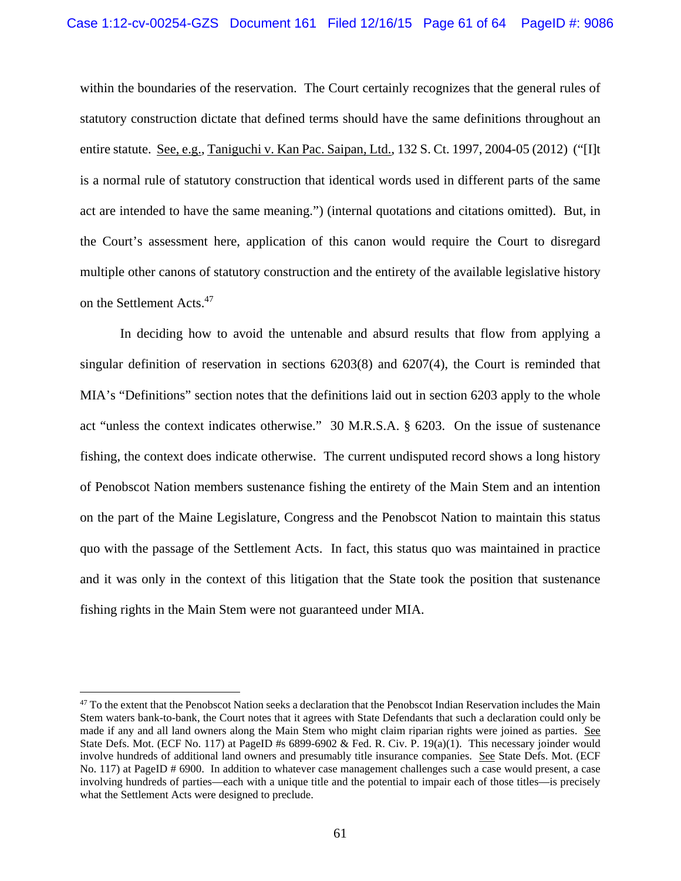within the boundaries of the reservation. The Court certainly recognizes that the general rules of statutory construction dictate that defined terms should have the same definitions throughout an entire statute. See, e.g., Taniguchi v. Kan Pac. Saipan, Ltd., 132 S. Ct. 1997, 2004-05 (2012) ("[I]t is a normal rule of statutory construction that identical words used in different parts of the same act are intended to have the same meaning.") (internal quotations and citations omitted). But, in the Court's assessment here, application of this canon would require the Court to disregard multiple other canons of statutory construction and the entirety of the available legislative history on the Settlement Acts.47

In deciding how to avoid the untenable and absurd results that flow from applying a singular definition of reservation in sections 6203(8) and 6207(4), the Court is reminded that MIA's "Definitions" section notes that the definitions laid out in section 6203 apply to the whole act "unless the context indicates otherwise." 30 M.R.S.A. § 6203. On the issue of sustenance fishing, the context does indicate otherwise. The current undisputed record shows a long history of Penobscot Nation members sustenance fishing the entirety of the Main Stem and an intention on the part of the Maine Legislature, Congress and the Penobscot Nation to maintain this status quo with the passage of the Settlement Acts. In fact, this status quo was maintained in practice and it was only in the context of this litigation that the State took the position that sustenance fishing rights in the Main Stem were not guaranteed under MIA.

1

 $47$  To the extent that the Penobscot Nation seeks a declaration that the Penobscot Indian Reservation includes the Main Stem waters bank-to-bank, the Court notes that it agrees with State Defendants that such a declaration could only be made if any and all land owners along the Main Stem who might claim riparian rights were joined as parties. See State Defs. Mot. (ECF No. 117) at PageID #s 6899-6902 & Fed. R. Civ. P. 19(a)(1). This necessary joinder would involve hundreds of additional land owners and presumably title insurance companies. See State Defs. Mot. (ECF No. 117) at PageID # 6900. In addition to whatever case management challenges such a case would present, a case involving hundreds of parties—each with a unique title and the potential to impair each of those titles—is precisely what the Settlement Acts were designed to preclude.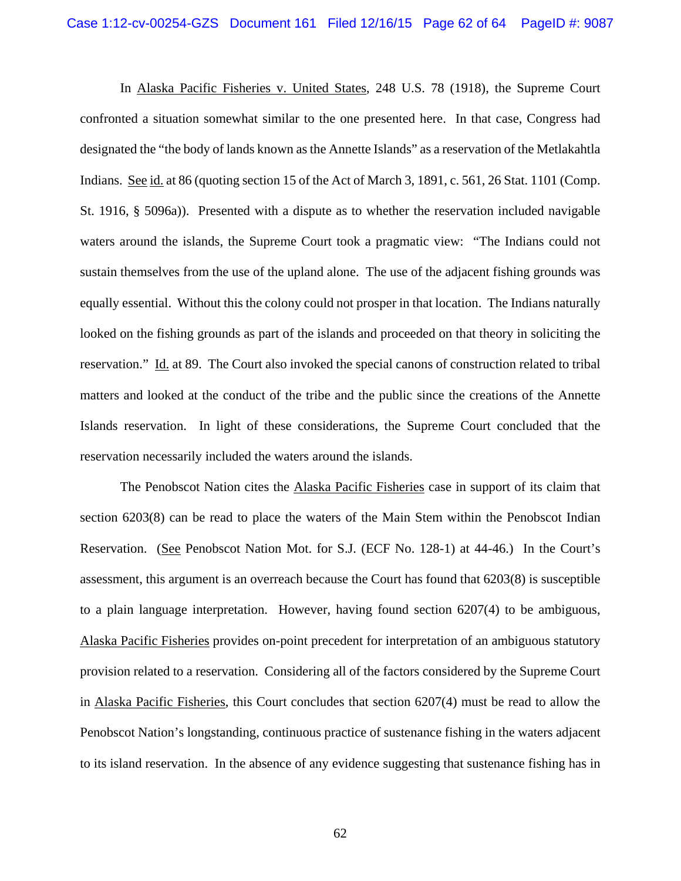In Alaska Pacific Fisheries v. United States, 248 U.S. 78 (1918), the Supreme Court confronted a situation somewhat similar to the one presented here. In that case, Congress had designated the "the body of lands known as the Annette Islands" as a reservation of the Metlakahtla Indians. See id. at 86 (quoting section 15 of the Act of March 3, 1891, c. 561, 26 Stat. 1101 (Comp. St. 1916, § 5096a)). Presented with a dispute as to whether the reservation included navigable waters around the islands, the Supreme Court took a pragmatic view: "The Indians could not sustain themselves from the use of the upland alone. The use of the adjacent fishing grounds was equally essential. Without this the colony could not prosper in that location. The Indians naturally looked on the fishing grounds as part of the islands and proceeded on that theory in soliciting the reservation." Id. at 89. The Court also invoked the special canons of construction related to tribal matters and looked at the conduct of the tribe and the public since the creations of the Annette Islands reservation. In light of these considerations, the Supreme Court concluded that the reservation necessarily included the waters around the islands.

The Penobscot Nation cites the Alaska Pacific Fisheries case in support of its claim that section 6203(8) can be read to place the waters of the Main Stem within the Penobscot Indian Reservation. (See Penobscot Nation Mot. for S.J. (ECF No. 128-1) at 44-46.) In the Court's assessment, this argument is an overreach because the Court has found that 6203(8) is susceptible to a plain language interpretation. However, having found section 6207(4) to be ambiguous, Alaska Pacific Fisheries provides on-point precedent for interpretation of an ambiguous statutory provision related to a reservation. Considering all of the factors considered by the Supreme Court in Alaska Pacific Fisheries, this Court concludes that section 6207(4) must be read to allow the Penobscot Nation's longstanding, continuous practice of sustenance fishing in the waters adjacent to its island reservation. In the absence of any evidence suggesting that sustenance fishing has in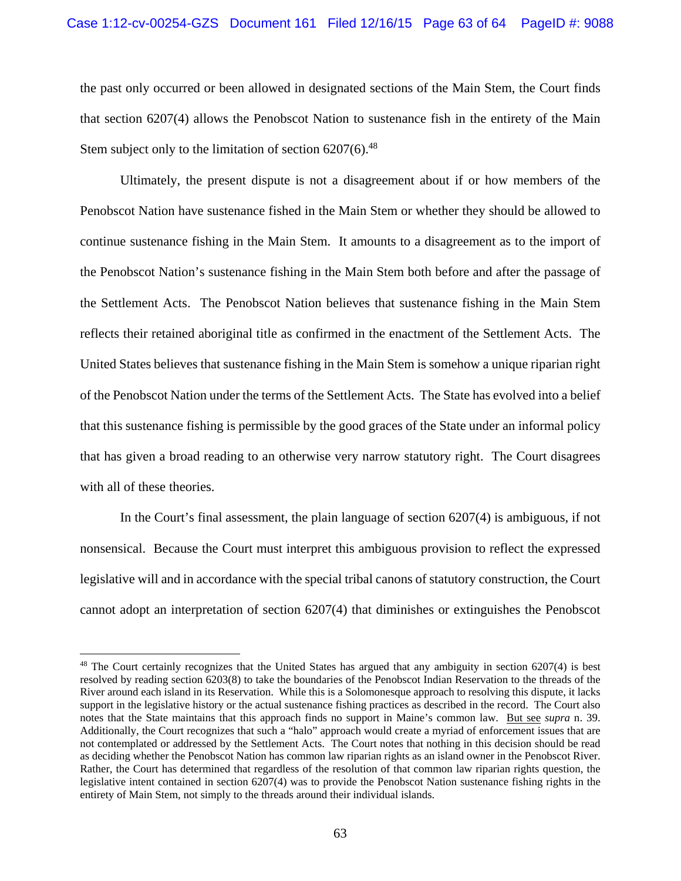the past only occurred or been allowed in designated sections of the Main Stem, the Court finds that section 6207(4) allows the Penobscot Nation to sustenance fish in the entirety of the Main Stem subject only to the limitation of section  $6207(6)$ .<sup>48</sup>

Ultimately, the present dispute is not a disagreement about if or how members of the Penobscot Nation have sustenance fished in the Main Stem or whether they should be allowed to continue sustenance fishing in the Main Stem. It amounts to a disagreement as to the import of the Penobscot Nation's sustenance fishing in the Main Stem both before and after the passage of the Settlement Acts. The Penobscot Nation believes that sustenance fishing in the Main Stem reflects their retained aboriginal title as confirmed in the enactment of the Settlement Acts. The United States believes that sustenance fishing in the Main Stem is somehow a unique riparian right of the Penobscot Nation under the terms of the Settlement Acts. The State has evolved into a belief that this sustenance fishing is permissible by the good graces of the State under an informal policy that has given a broad reading to an otherwise very narrow statutory right. The Court disagrees with all of these theories.

In the Court's final assessment, the plain language of section 6207(4) is ambiguous, if not nonsensical. Because the Court must interpret this ambiguous provision to reflect the expressed legislative will and in accordance with the special tribal canons of statutory construction, the Court cannot adopt an interpretation of section 6207(4) that diminishes or extinguishes the Penobscot

<sup>&</sup>lt;sup>48</sup> The Court certainly recognizes that the United States has argued that any ambiguity in section 6207(4) is best resolved by reading section 6203(8) to take the boundaries of the Penobscot Indian Reservation to the threads of the River around each island in its Reservation. While this is a Solomonesque approach to resolving this dispute, it lacks support in the legislative history or the actual sustenance fishing practices as described in the record. The Court also notes that the State maintains that this approach finds no support in Maine's common law. But see *supra* n. 39. Additionally, the Court recognizes that such a "halo" approach would create a myriad of enforcement issues that are not contemplated or addressed by the Settlement Acts. The Court notes that nothing in this decision should be read as deciding whether the Penobscot Nation has common law riparian rights as an island owner in the Penobscot River. Rather, the Court has determined that regardless of the resolution of that common law riparian rights question, the legislative intent contained in section 6207(4) was to provide the Penobscot Nation sustenance fishing rights in the entirety of Main Stem, not simply to the threads around their individual islands.